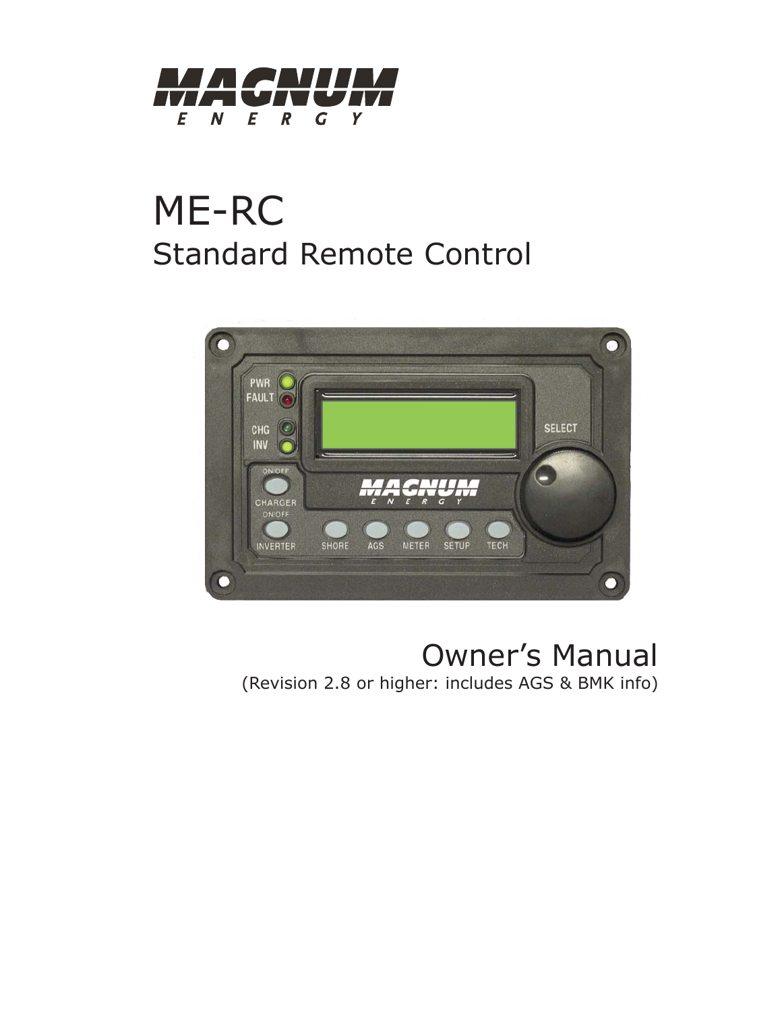

# ME-RC Standard Remote Control



# Owner's Manual

(Revision 2.8 or higher: includes AGS & BMK info)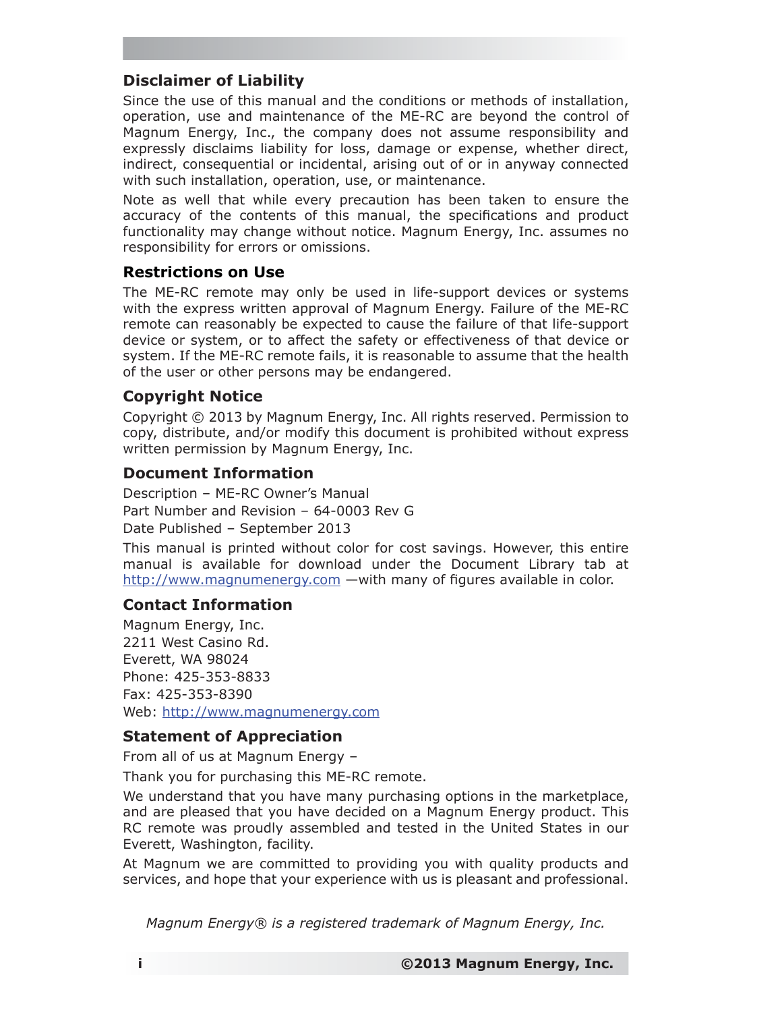#### **Disclaimer of Liability**

Since the use of this manual and the conditions or methods of installation, operation, use and maintenance of the ME-RC are beyond the control of Magnum Energy, Inc., the company does not assume responsibility and expressly disclaims liability for loss, damage or expense, whether direct, indirect, consequential or incidental, arising out of or in anyway connected with such installation, operation, use, or maintenance.

Note as well that while every precaution has been taken to ensure the accuracy of the contents of this manual, the specifications and product functionality may change without notice. Magnum Energy, Inc. assumes no responsibility for errors or omissions.

#### **Restrictions on Use**

The ME-RC remote may only be used in life-support devices or systems with the express written approval of Magnum Energy. Failure of the ME-RC remote can reasonably be expected to cause the failure of that life-support device or system, or to affect the safety or effectiveness of that device or system. If the ME-RC remote fails, it is reasonable to assume that the health of the user or other persons may be endangered.

#### **Copyright Notice**

Copyright © 2013 by Magnum Energy, Inc. All rights reserved. Permission to copy, distribute, and/or modify this document is prohibited without express written permission by Magnum Energy, Inc.

#### **Document Information**

Description – ME-RC Owner's Manual Part Number and Revision – 64-0003 Rev G Date Published – September 2013

This manual is printed without color for cost savings. However, this entire manual is available for download under the Document Library tab at  $http://www.magnumenergy.com$  —with many of figures available in color.

#### **Contact Information**

Magnum Energy, Inc. 2211 West Casino Rd. Everett, WA 98024 Phone: 425-353-8833 Fax: 425-353-8390 Web: http://www.magnumenergy.com

#### **Statement of Appreciation**

From all of us at Magnum Energy –

Thank you for purchasing this ME-RC remote.

We understand that you have many purchasing options in the marketplace, and are pleased that you have decided on a Magnum Energy product. This RC remote was proudly assembled and tested in the United States in our Everett, Washington, facility.

At Magnum we are committed to providing you with quality products and services, and hope that your experience with us is pleasant and professional.

*Magnum Energy® is a registered trademark of Magnum Energy, Inc.*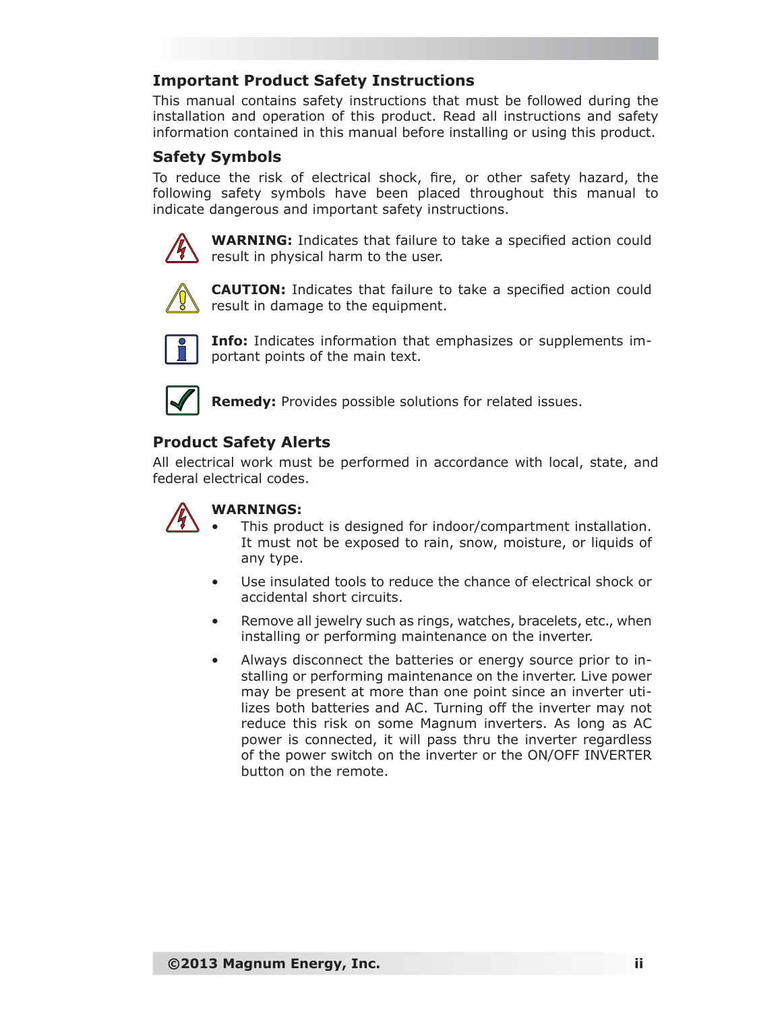#### **Important Product Safety Instructions**

This manual contains safety instructions that must be followed during the installation and operation of this product. Read all instructions and safety information contained in this manual before installing or using this product.

#### **Safety Symbols**

To reduce the risk of electrical shock, fire, or other safety hazard, the following safety symbols have been placed throughout this manual to indicate dangerous and important safety instructions.



**WARNING:** Indicates that failure to take a specified action could result in physical harm to the user.



**CAUTION:** Indicates that failure to take a specified action could result in damage to the equipment.



**Info:** Indicates information that emphasizes or supplements important points of the main text.



**Remedy:** Provides possible solutions for related issues.

#### **Product Safety Alerts**

All electrical work must be performed in accordance with local, state, and federal electrical codes.



#### **WARNINGS:**

- This product is designed for indoor/compartment installation. It must not be exposed to rain, snow, moisture, or liquids of any type.
- Use insulated tools to reduce the chance of electrical shock or accidental short circuits.
- Remove all jewelry such as rings, watches, bracelets, etc., when installing or performing maintenance on the inverter.
- Always disconnect the batteries or energy source prior to installing or performing maintenance on the inverter. Live power may be present at more than one point since an inverter utilizes both batteries and AC. Turning off the inverter may not reduce this risk on some Magnum inverters. As long as AC power is connected, it will pass thru the inverter regardless of the power switch on the inverter or the ON/OFF INVERTER button on the remote.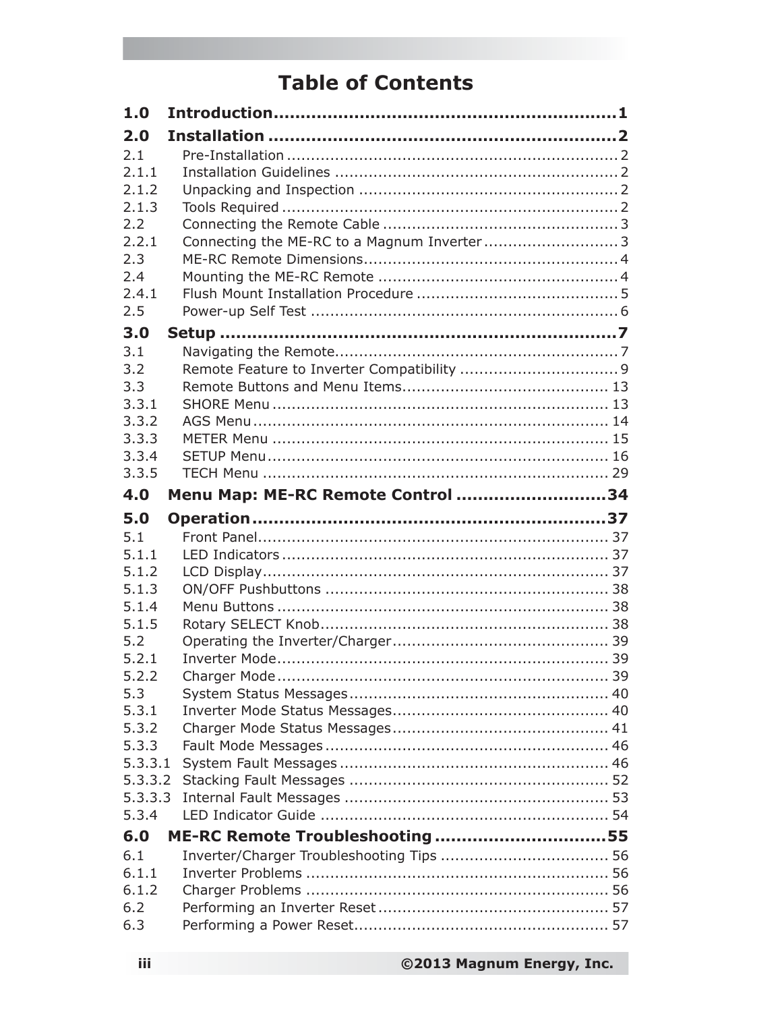# **Table of Contents**

| 1.0                |                                   |  |
|--------------------|-----------------------------------|--|
| 2.0                |                                   |  |
| 2.1                |                                   |  |
| 2.1.1              |                                   |  |
| 2.1.2              |                                   |  |
| 2.1.3              |                                   |  |
| 2.2                |                                   |  |
| 2.2.1              |                                   |  |
| 2.3                |                                   |  |
| 2.4                |                                   |  |
| 2.4.1              |                                   |  |
| 2.5                |                                   |  |
| 3.0                |                                   |  |
| 3.1                |                                   |  |
| 3.2                |                                   |  |
| 3.3                |                                   |  |
| 3.3.1              |                                   |  |
| 3.3.2              |                                   |  |
| 3.3.3              |                                   |  |
| 3.3.4              |                                   |  |
| 3.3.5              |                                   |  |
| 4.0                | Menu Map: ME-RC Remote Control 34 |  |
| 5.0                |                                   |  |
|                    |                                   |  |
| 5.1                |                                   |  |
| 5.1.1              |                                   |  |
| 5.1.2              |                                   |  |
| 5.1.3              |                                   |  |
| 5.1.4              |                                   |  |
| 5.1.5              |                                   |  |
| 5.2                |                                   |  |
| 5.2.1              |                                   |  |
| 5.2.2              |                                   |  |
| 5.3                |                                   |  |
| 5.3.1              |                                   |  |
| 5.3.2              |                                   |  |
| 5.3.3              |                                   |  |
| 5.3.3.1            |                                   |  |
| 5.3.3.2<br>5.3.3.3 |                                   |  |
| 5.3.4              |                                   |  |
|                    |                                   |  |
| 6.0<br>6.1         | ME-RC Remote Troubleshooting 55   |  |
| 6.1.1              |                                   |  |
| 6.1.2              |                                   |  |
| 6.2                |                                   |  |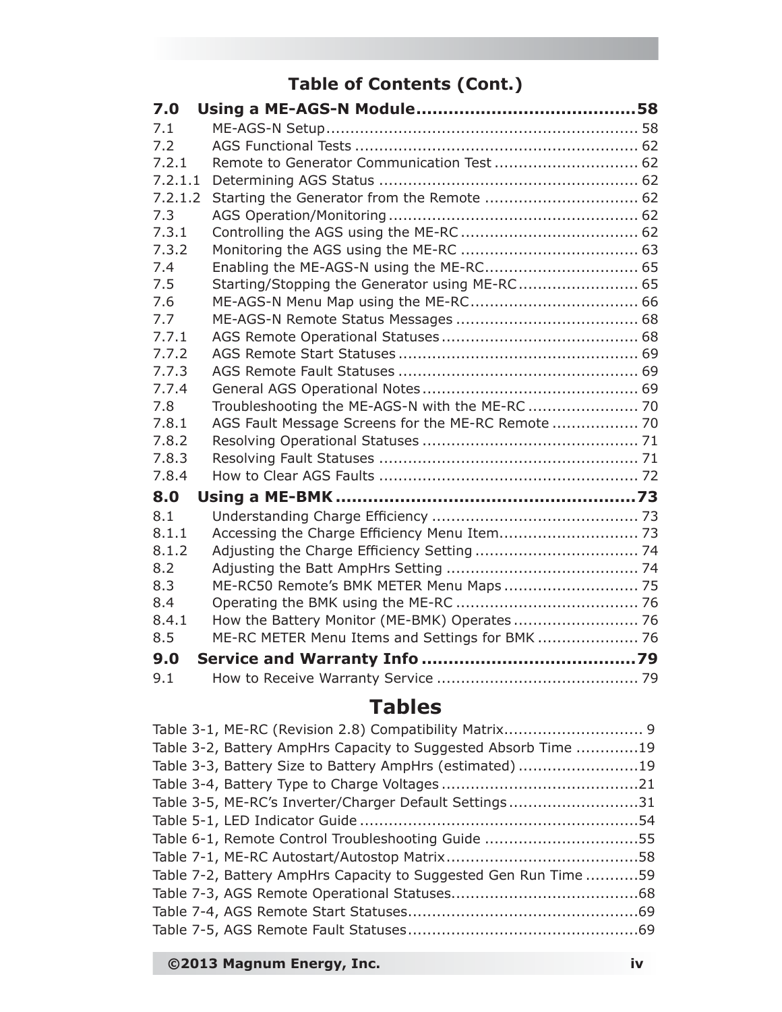# **Table of Contents (Cont.)**

| 7.0     |                                                    |  |
|---------|----------------------------------------------------|--|
| 7.1     |                                                    |  |
| 7.2     |                                                    |  |
| 7.2.1   | Remote to Generator Communication Test  62         |  |
| 7.2.1.1 |                                                    |  |
| 7.2.1.2 | Starting the Generator from the Remote  62         |  |
| 7.3     |                                                    |  |
| 7.3.1   |                                                    |  |
| 7.3.2   |                                                    |  |
| 7.4     | Enabling the ME-AGS-N using the ME-RC 65           |  |
| 7.5     | Starting/Stopping the Generator using ME-RC 65     |  |
| 7.6     |                                                    |  |
| 7.7     |                                                    |  |
| 7.7.1   |                                                    |  |
| 7.7.2   |                                                    |  |
| 7.7.3   |                                                    |  |
| 7.7.4   |                                                    |  |
| 7.8     | Troubleshooting the ME-AGS-N with the ME-RC  70    |  |
| 7.8.1   | AGS Fault Message Screens for the ME-RC Remote  70 |  |
| 7.8.2   |                                                    |  |
| 7.8.3   |                                                    |  |
| 7.8.4   |                                                    |  |
| 8.0     |                                                    |  |
| 8.1     |                                                    |  |
| 8.1.1   |                                                    |  |
| 8.1.2   |                                                    |  |
| 8.2     |                                                    |  |
| 8.3     | ME-RC50 Remote's BMK METER Menu Maps 75            |  |
| 8.4     |                                                    |  |
| 8.4.1   | How the Battery Monitor (ME-BMK) Operates 76       |  |
| 8.5     | ME-RC METER Menu Items and Settings for BMK  76    |  |
| 9.0     |                                                    |  |
| 9.1     |                                                    |  |

# **Tables**

| Table 3-2, Battery AmpHrs Capacity to Suggested Absorb Time 19  |  |
|-----------------------------------------------------------------|--|
| Table 3-3, Battery Size to Battery AmpHrs (estimated)19         |  |
|                                                                 |  |
| Table 3-5, ME-RC's Inverter/Charger Default Settings31          |  |
|                                                                 |  |
| Table 6-1, Remote Control Troubleshooting Guide 55              |  |
|                                                                 |  |
| Table 7-2, Battery AmpHrs Capacity to Suggested Gen Run Time 59 |  |
|                                                                 |  |
|                                                                 |  |
|                                                                 |  |
|                                                                 |  |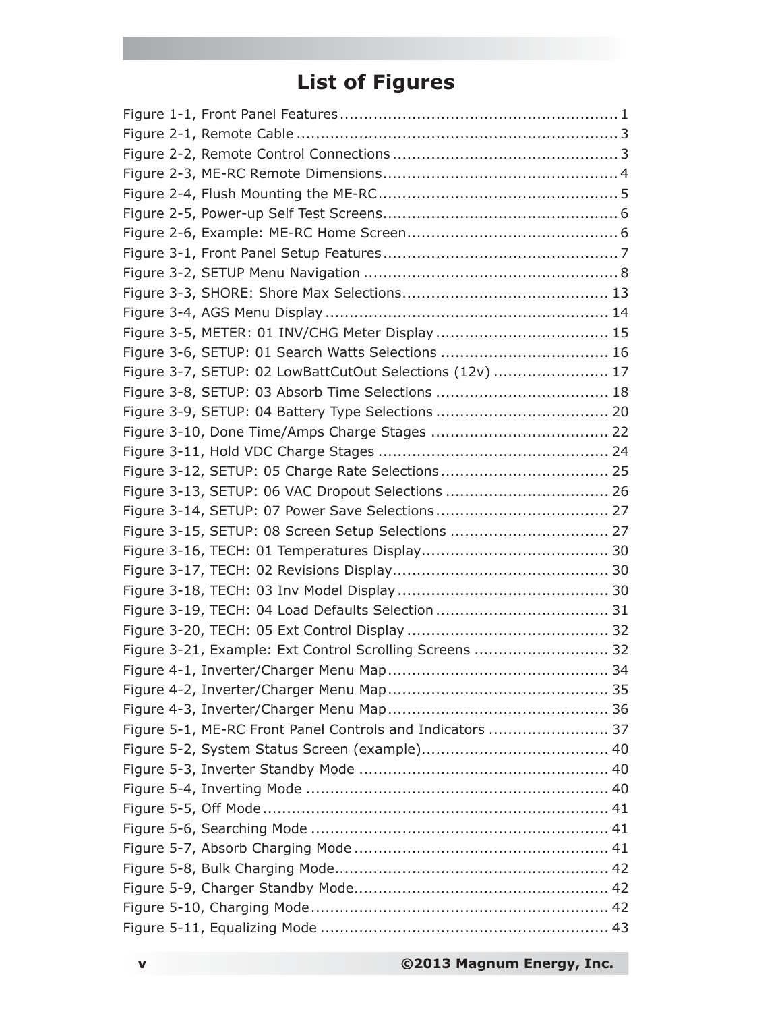# **List of Figures**

| Figure 3-6, SETUP: 01 Search Watts Selections  16         |  |
|-----------------------------------------------------------|--|
| Figure 3-7, SETUP: 02 LowBattCutOut Selections (12v)  17  |  |
|                                                           |  |
|                                                           |  |
|                                                           |  |
|                                                           |  |
|                                                           |  |
| Figure 3-13, SETUP: 06 VAC Dropout Selections  26         |  |
|                                                           |  |
| Figure 3-15, SETUP: 08 Screen Setup Selections  27        |  |
|                                                           |  |
|                                                           |  |
|                                                           |  |
|                                                           |  |
|                                                           |  |
| Figure 3-21, Example: Ext Control Scrolling Screens  32   |  |
|                                                           |  |
|                                                           |  |
|                                                           |  |
| Figure 5-1, ME-RC Front Panel Controls and Indicators  37 |  |
|                                                           |  |
|                                                           |  |
|                                                           |  |
|                                                           |  |
|                                                           |  |
|                                                           |  |
|                                                           |  |
|                                                           |  |
|                                                           |  |
|                                                           |  |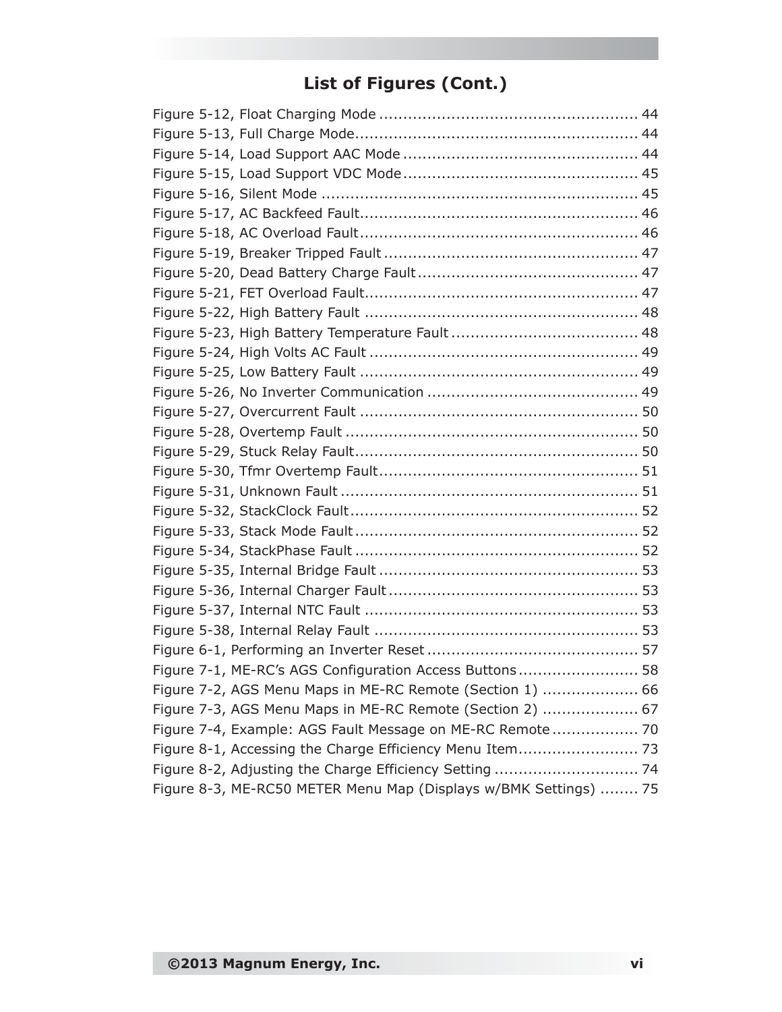# **List of Figures (Cont.)**

| Figure 7-1, ME-RC's AGS Configuration Access Buttons 58          |  |
|------------------------------------------------------------------|--|
| Figure 7-2, AGS Menu Maps in ME-RC Remote (Section 1)  66        |  |
| Figure 7-3, AGS Menu Maps in ME-RC Remote (Section 2)  67        |  |
| Figure 7-4, Example: AGS Fault Message on ME-RC Remote 70        |  |
|                                                                  |  |
|                                                                  |  |
| Figure 8-3, ME-RC50 METER Menu Map (Displays w/BMK Settings)  75 |  |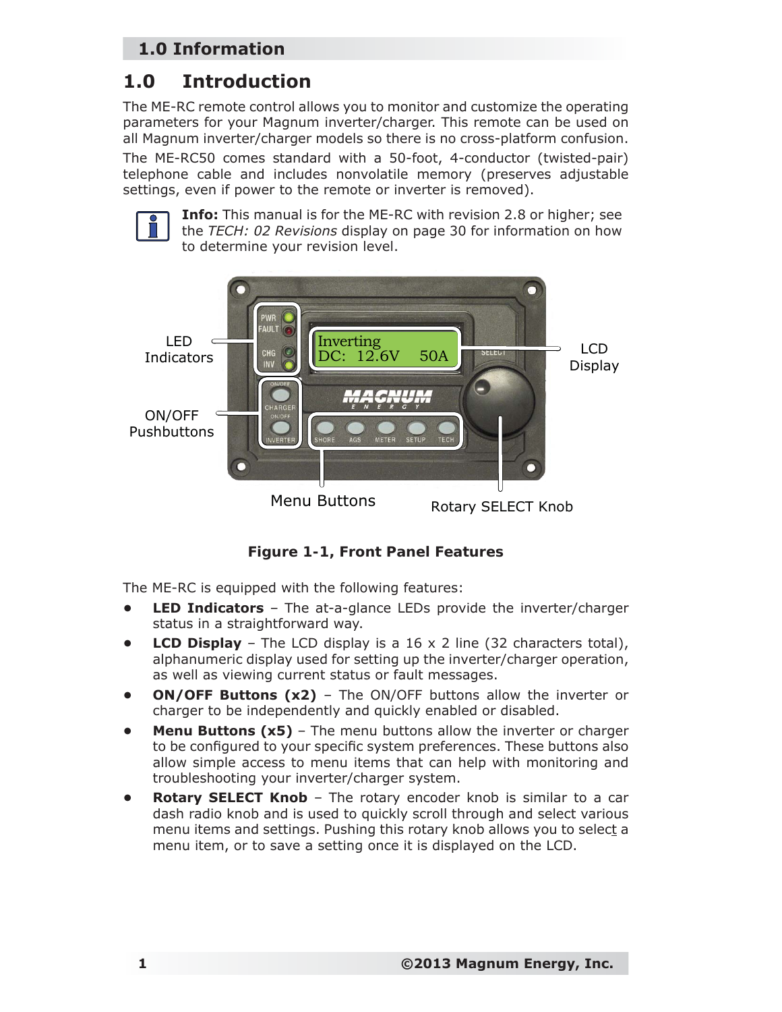# **1.0 Information**

# **1.0 Introduction**

The ME-RC remote control allows you to monitor and customize the operating parameters for your Magnum inverter/charger. This remote can be used on all Magnum inverter/charger models so there is no cross-platform confusion.

The ME-RC50 comes standard with a 50-foot, 4-conductor (twisted-pair) telephone cable and includes nonvolatile memory (preserves adjustable settings, even if power to the remote or inverter is removed).



**Info:** This manual is for the ME-RC with revision 2.8 or higher; see the *TECH: 02 Revisions* display on page 30 for information on how to determine your revision level.



*Figure 1-1, Front Panel Features*

The ME-RC is equipped with the following features:

- **LED Indicators** The at-a-glance LEDs provide the inverter/charger status in a straightforward way.
- **LCD Display**  The LCD display is a 16 x 2 line (32 characters total), alphanumeric display used for setting up the inverter/charger operation, as well as viewing current status or fault messages.
- **ON/OFF Buttons (x2)** The ON/OFF buttons allow the inverter or charger to be independently and quickly enabled or disabled.
- **Menu Buttons (x5)** The menu buttons allow the inverter or charger to be configured to your specific system preferences. These buttons also allow simple access to menu items that can help with monitoring and troubleshooting your inverter/charger system.
- **Rotary SELECT Knob The rotary encoder knob is similar to a car** dash radio knob and is used to quickly scroll through and select various menu items and settings. Pushing this rotary knob allows you to select a menu item, or to save a setting once it is displayed on the LCD.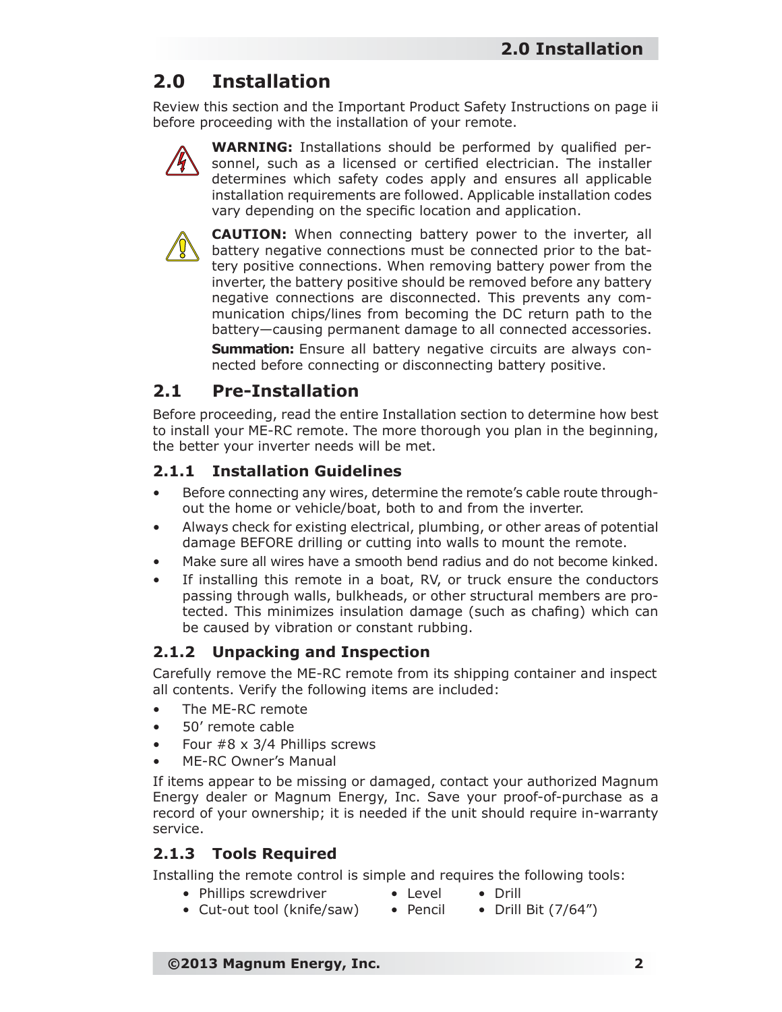# **2.0 Installation**

Review this section and the Important Product Safety Instructions on page ii before proceeding with the installation of your remote.



**WARNING:** Installations should be performed by qualified personnel, such as a licensed or certified electrician. The installer determines which safety codes apply and ensures all applicable installation requirements are followed. Applicable installation codes vary depending on the specific location and application.



**CAUTION:** When connecting battery power to the inverter, all battery negative connections must be connected prior to the battery positive connections. When removing battery power from the inverter, the battery positive should be removed before any battery negative connections are disconnected. This prevents any communication chips/lines from becoming the DC return path to the battery—causing permanent damage to all connected accessories.

**Summation:** Ensure all battery negative circuits are always connected before connecting or disconnecting battery positive.

# **2.1 Pre-Installation**

Before proceeding, read the entire Installation section to determine how best to install your ME-RC remote. The more thorough you plan in the beginning, the better your inverter needs will be met.

## **2.1.1 Installation Guidelines**

- Before connecting any wires, determine the remote's cable route throughout the home or vehicle/boat, both to and from the inverter.
- Always check for existing electrical, plumbing, or other areas of potential damage BEFORE drilling or cutting into walls to mount the remote.
- Make sure all wires have a smooth bend radius and do not become kinked.
- If installing this remote in a boat, RV, or truck ensure the conductors passing through walls, bulkheads, or other structural members are protected. This minimizes insulation damage (such as chafing) which can be caused by vibration or constant rubbing.

## **2.1.2 Unpacking and Inspection**

Carefully remove the ME-RC remote from its shipping container and inspect all contents. Verify the following items are included:

- The ME-RC remote
- 50' remote cable
- Four  $#8 \times 3/4$  Phillips screws
- ME-RC Owner's Manual

If items appear to be missing or damaged, contact your authorized Magnum Energy dealer or Magnum Energy, Inc. Save your proof-of-purchase as a record of your ownership; it is needed if the unit should require in-warranty service.

## **2.1.3 Tools Required**

Installing the remote control is simple and requires the following tools:

- Phillips screwdriver Level Drill
- Cut-out tool (knife/saw) Pencil Drill Bit (7/64")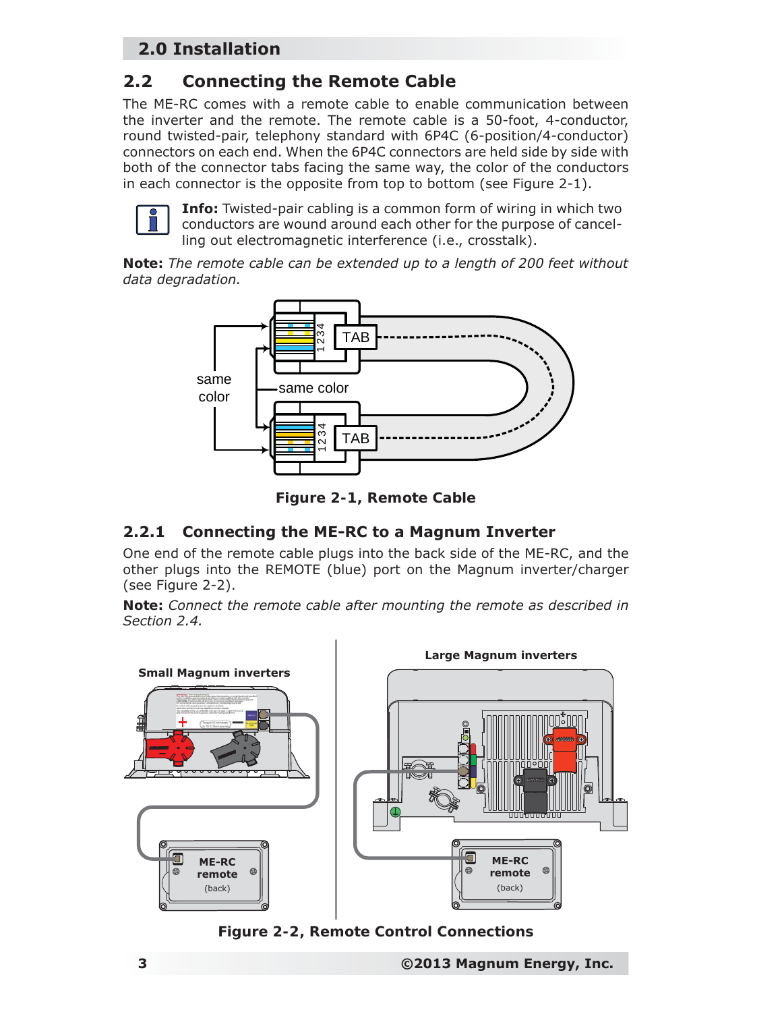# **2.0 Installation**

# **2.2 Connecting the Remote Cable**

The ME-RC comes with a remote cable to enable communication between the inverter and the remote. The remote cable is a 50-foot, 4-conductor, round twisted-pair, telephony standard with 6P4C (6-position/4-conductor) connectors on each end. When the 6P4C connectors are held side by side with both of the connector tabs facing the same way, the color of the conductors in each connector is the opposite from top to bottom (see Figure 2-1).



**Info:** Twisted-pair cabling is a common form of wiring in which two conductors are wound around each other for the purpose of cancelling out electromagnetic interference (i.e., crosstalk).

*Note: The remote cable can be extended up to a length of 200 feet without data degradation.*



*Figure 2-1, Remote Cable*

#### **2.2.1 Connecting the ME-RC to a Magnum Inverter**

One end of the remote cable plugs into the back side of the ME-RC, and the other plugs into the REMOTE (blue) port on the Magnum inverter/charger (see Figure 2-2).

*Note: Connect the remote cable after mounting the remote as described in Section 2.4.*



*Figure 2-2, Remote Control Connections*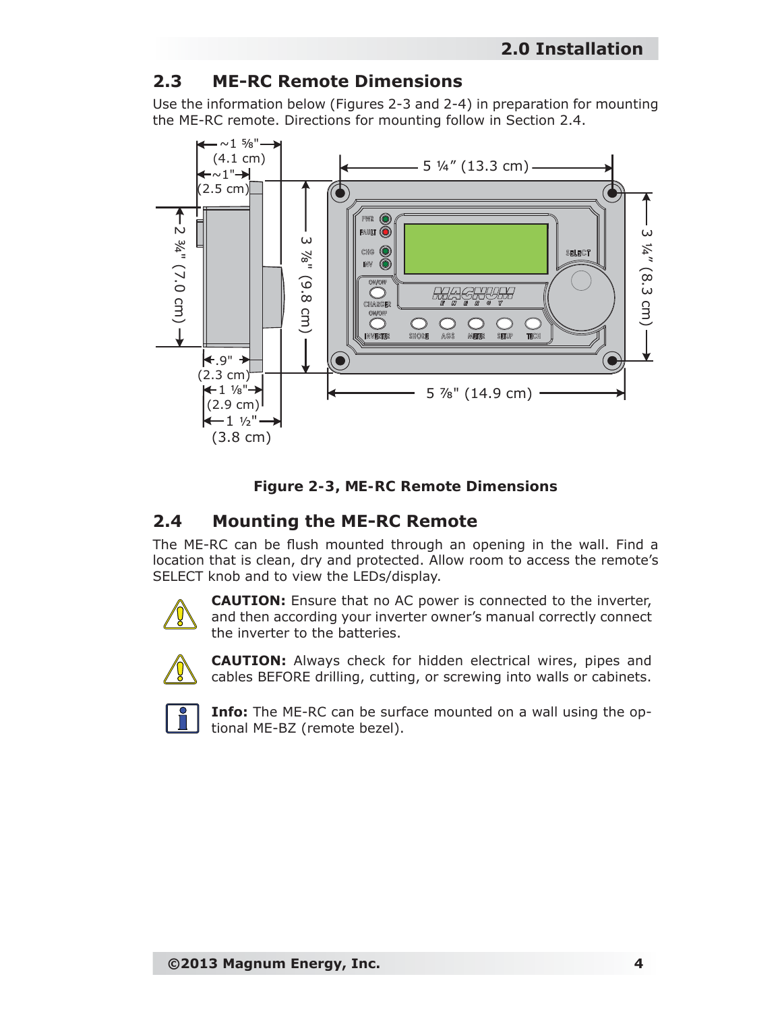# **2.3 ME-RC Remote Dimensions**

Use the information below (Figures 2-3 and 2-4) in preparation for mounting the ME-RC remote. Directions for mounting follow in Section 2.4.





## **2.4 Mounting the ME-RC Remote**

The ME-RC can be flush mounted through an opening in the wall. Find a location that is clean, dry and protected. Allow room to access the remote's SELECT knob and to view the LEDs/display.



**CAUTION:** Ensure that no AC power is connected to the inverter, and then according your inverter owner's manual correctly connect the inverter to the batteries.



**CAUTION:** Always check for hidden electrical wires, pipes and cables BEFORE drilling, cutting, or screwing into walls or cabinets.



**Info:** The ME-RC can be surface mounted on a wall using the optional ME-BZ (remote bezel).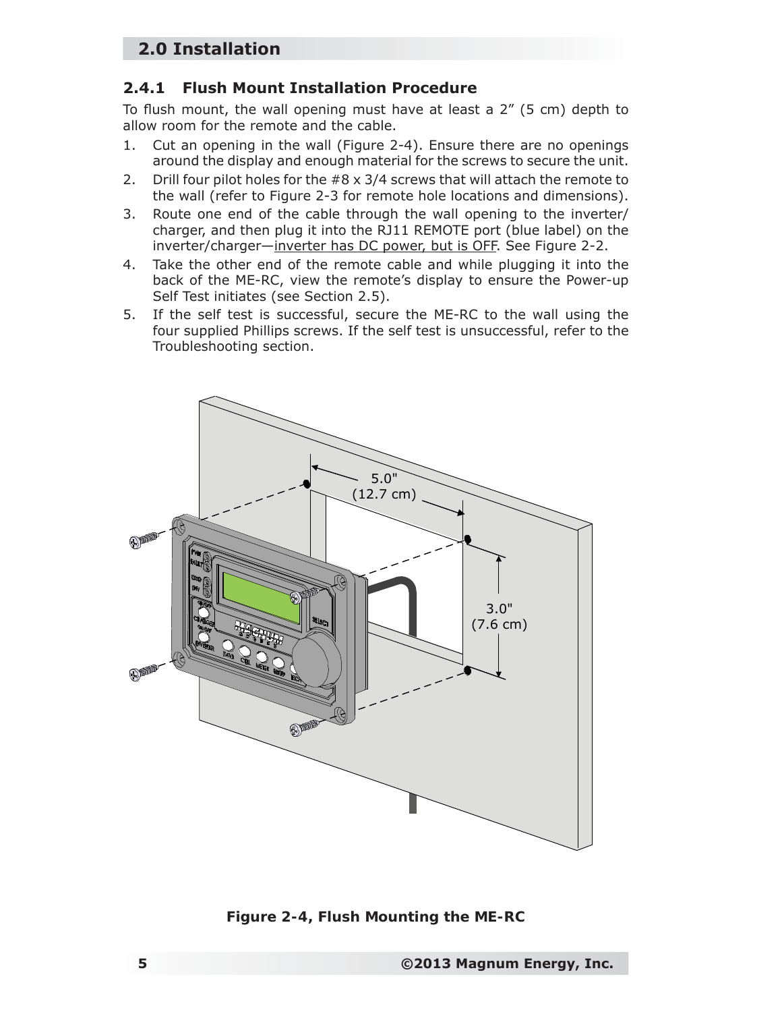# **2.0 Installation**

#### **2.4.1 Flush Mount Installation Procedure**

To flush mount, the wall opening must have at least a  $2''$  (5 cm) depth to allow room for the remote and the cable.

- 1. Cut an opening in the wall (Figure 2-4). Ensure there are no openings around the display and enough material for the screws to secure the unit.
- 2. Drill four pilot holes for the  $#8 \times 3/4$  screws that will attach the remote to the wall (refer to Figure 2-3 for remote hole locations and dimensions).
- 3. Route one end of the cable through the wall opening to the inverter/ charger, and then plug it into the RJ11 REMOTE port (blue label) on the inverter/charger—inverter has DC power, but is OFF. See Figure 2-2.
- 4. Take the other end of the remote cable and while plugging it into the back of the ME-RC, view the remote's display to ensure the Power-up Self Test initiates (see Section 2.5).
- 5. If the self test is successful, secure the ME-RC to the wall using the four supplied Phillips screws. If the self test is unsuccessful, refer to the Troubleshooting section.



*Figure 2-4, Flush Mounting the ME-RC*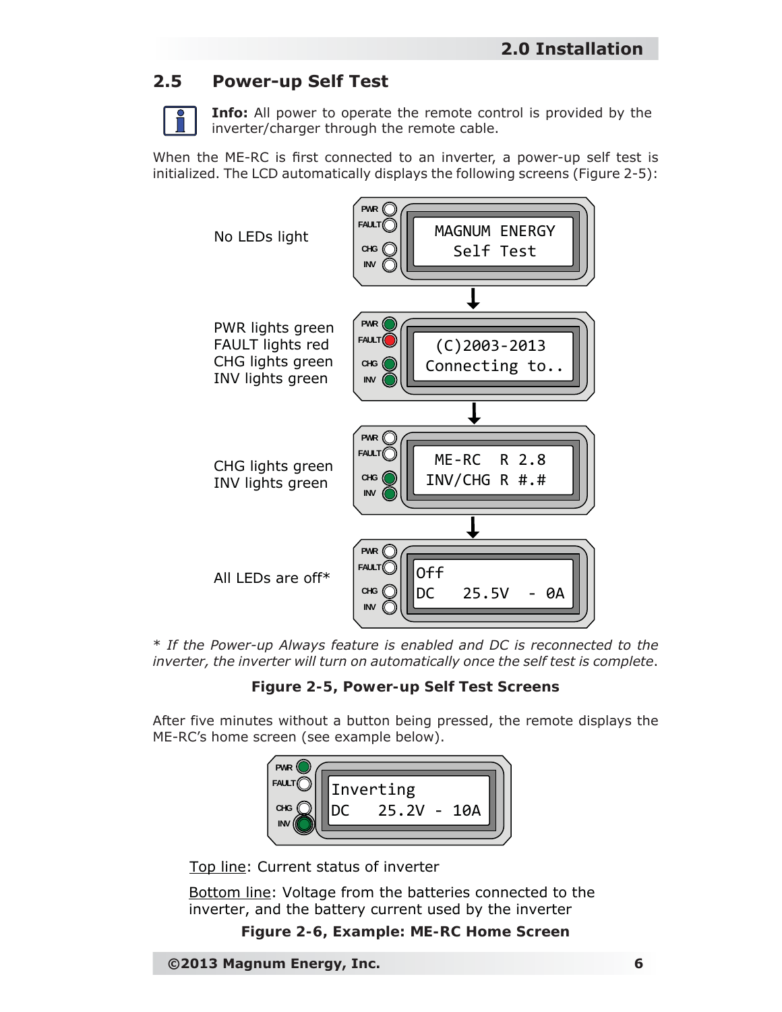# **2.5 Power-up Self Test**

**Info:** All power to operate the remote control is provided by the inverter/charger through the remote cable.

When the ME-RC is first connected to an inverter, a power-up self test is initialized. The LCD automatically displays the following screens (Figure 2-5):



\* *If the Power-up Always feature is enabled and DC is reconnected to the inverter, the inverter will turn on automatically once the self test is complete*.

*Figure 2-5, Power-up Self Test Screens*

After five minutes without a button being pressed, the remote displays the ME-RC's home screen (see example below).



Top line: Current status of inverter

Bottom line: Voltage from the batteries connected to the inverter, and the battery current used by the inverter

#### *Figure 2-6, Example: ME-RC Home Screen*

**©2013 Magnum Energy, Inc. 6**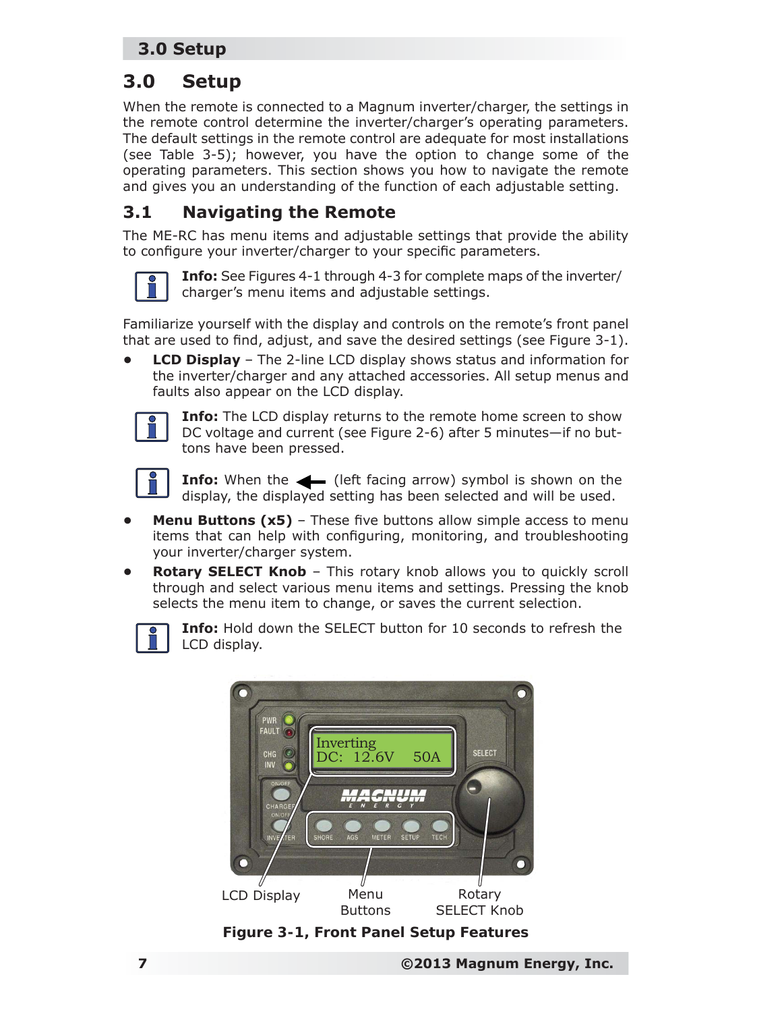# **3.0 Setup**

When the remote is connected to a Magnum inverter/charger, the settings in the remote control determine the inverter/charger's operating parameters. The default settings in the remote control are adequate for most installations (see Table 3-5); however, you have the option to change some of the operating parameters. This section shows you how to navigate the remote and gives you an understanding of the function of each adjustable setting.

# **3.1 Navigating the Remote**

The ME-RC has menu items and adjustable settings that provide the ability to configure your inverter/charger to your specific parameters.



**Info:** See Figures 4-1 through 4-3 for complete maps of the inverter/ charger's menu items and adjustable settings.

Familiarize yourself with the display and controls on the remote's front panel that are used to find, adjust, and save the desired settings (see Figure  $3-1$ ).

**• LCD Display** – The 2-line LCD display shows status and information for the inverter/charger and any attached accessories. All setup menus and faults also appear on the LCD display.



**Info:** The LCD display returns to the remote home screen to show DC voltage and current (see Figure 2-6) after 5 minutes—if no buttons have been pressed.



**Info:** When the  $\leftarrow$  (left facing arrow) symbol is shown on the display, the displayed setting has been selected and will be used.

- **Menu Buttons (x5)** These five buttons allow simple access to menu items that can help with configuring, monitoring, and troubleshooting your inverter/charger system.
- **Rotary SELECT Knob This rotary knob allows you to quickly scroll** through and select various menu items and settings. Pressing the knob selects the menu item to change, or saves the current selection.



**Info:** Hold down the SELECT button for 10 seconds to refresh the LCD display.



*Figure 3-1, Front Panel Setup Features*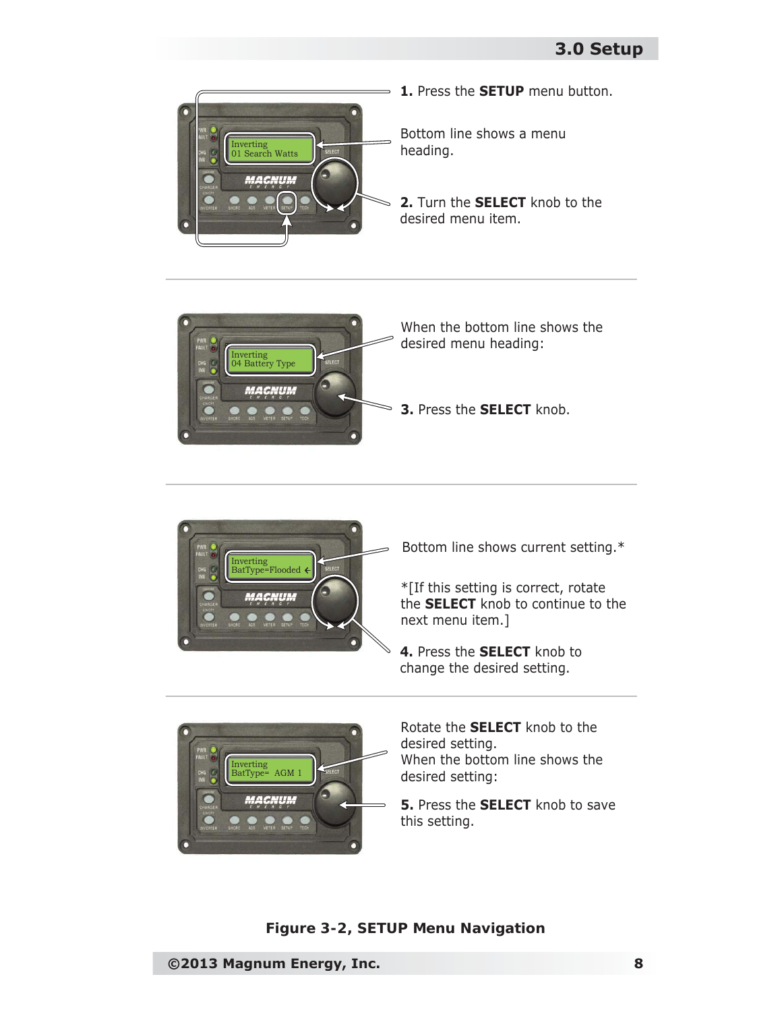





Bottom line shows current setting.\*

\*[If this setting is correct, rotate the **SELECT** knob to continue to the next menu item.]

**4.** Press the **SELECT** knob to change the desired setting.



Rotate the **SELECT** knob to the desired setting. When the bottom line shows the desired setting:

**5.** Press the **SELECT** knob to save this setting.

*Figure 3-2, SETUP Menu Navigation*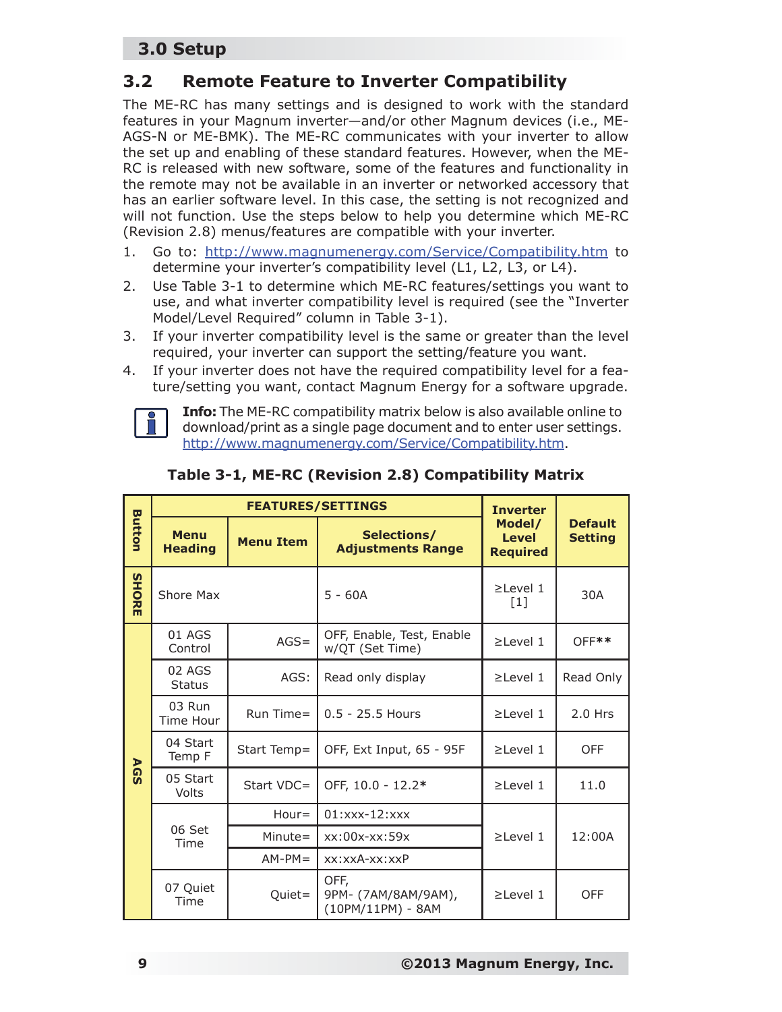## **3.2 Remote Feature to Inverter Compatibility**

The ME-RC has many settings and is designed to work with the standard features in your Magnum inverter—and/or other Magnum devices (i.e., ME-AGS-N or ME-BMK). The ME-RC communicates with your inverter to allow the set up and enabling of these standard features. However, when the ME-RC is released with new software, some of the features and functionality in the remote may not be available in an inverter or networked accessory that has an earlier software level. In this case, the setting is not recognized and will not function. Use the steps below to help you determine which ME-RC (Revision 2.8) menus/features are compatible with your inverter.

- 1. Go to: http://www.magnumenergy.com/Service/Compatibility.htm to determine your inverter's compatibility level (L1, L2, L3, or L4).
- 2. Use Table 3-1 to determine which ME-RC features/settings you want to use, and what inverter compatibility level is required (see the "Inverter Model/Level Required" column in Table 3-1).
- 3. If your inverter compatibility level is the same or greater than the level required, your inverter can support the setting/feature you want.
- 4. If your inverter does not have the required compatibility level for a feature/setting you want, contact Magnum Energy for a software upgrade.



**Info:** The ME-RC compatibility matrix below is also available online to download/print as a single page document and to enter user settings. http://www.magnumenergy.com/Service/Compatibility.htm.

|               |                               | <b>FEATURES/SETTINGS</b> | <b>Inverter</b>                                  |                                           |                                  |  |
|---------------|-------------------------------|--------------------------|--------------------------------------------------|-------------------------------------------|----------------------------------|--|
| <b>Button</b> | <b>Menu</b><br><b>Heading</b> | <b>Menu Item</b>         | Selections/<br><b>Adjustments Range</b>          | Model/<br><b>Level</b><br><b>Required</b> | <b>Default</b><br><b>Setting</b> |  |
| <b>SHORE</b>  | Shore Max                     |                          | $5 - 60A$                                        | $\geq$ Level 1<br>$[1]$                   | 30A                              |  |
|               | 01 AGS<br>Control             | $AGS =$                  | OFF, Enable, Test, Enable<br>w/QT (Set Time)     | $\geq$ Level 1                            | $OFF**$                          |  |
| <b>AGS</b>    | 02 AGS<br><b>Status</b>       | AGS:                     | Read only display                                | $\geq$ Level 1                            | Read Only                        |  |
|               | 03 Run<br>Time Hour           | Run Time=                | $0.5 - 25.5$ Hours                               | $\geq$ Level 1                            | $2.0$ Hrs                        |  |
|               | 04 Start<br>Temp F            | Start Temp=              | OFF, Ext Input, 65 - 95F                         | $\geq$ Level 1                            | <b>OFF</b>                       |  |
|               | 05 Start<br>Volts             | Start VDC=               | OFF, 10.0 - 12.2*                                | $\geq$ Level 1                            | 11.0                             |  |
|               |                               | $Hour =$                 | $01:$ xxx-12:xxx                                 |                                           |                                  |  |
|               | 06 Set<br>Time                | $Minute =$               | $xx:00x$ - $xx:59x$                              | $\geq$ Level 1                            | 12:00A                           |  |
|               |                               | $AM-PM=$                 | $xx:xxA-xx:xxP$                                  |                                           |                                  |  |
|               | 07 Quiet<br>Time              | Quiet=                   | OFF,<br>9PM- (7AM/8AM/9AM),<br>(10PM/11PM) - 8AM | $\geq$ Level 1                            | <b>OFF</b>                       |  |

#### **Table 3-1, ME-RC (Revision 2.8) Compatibility Matrix**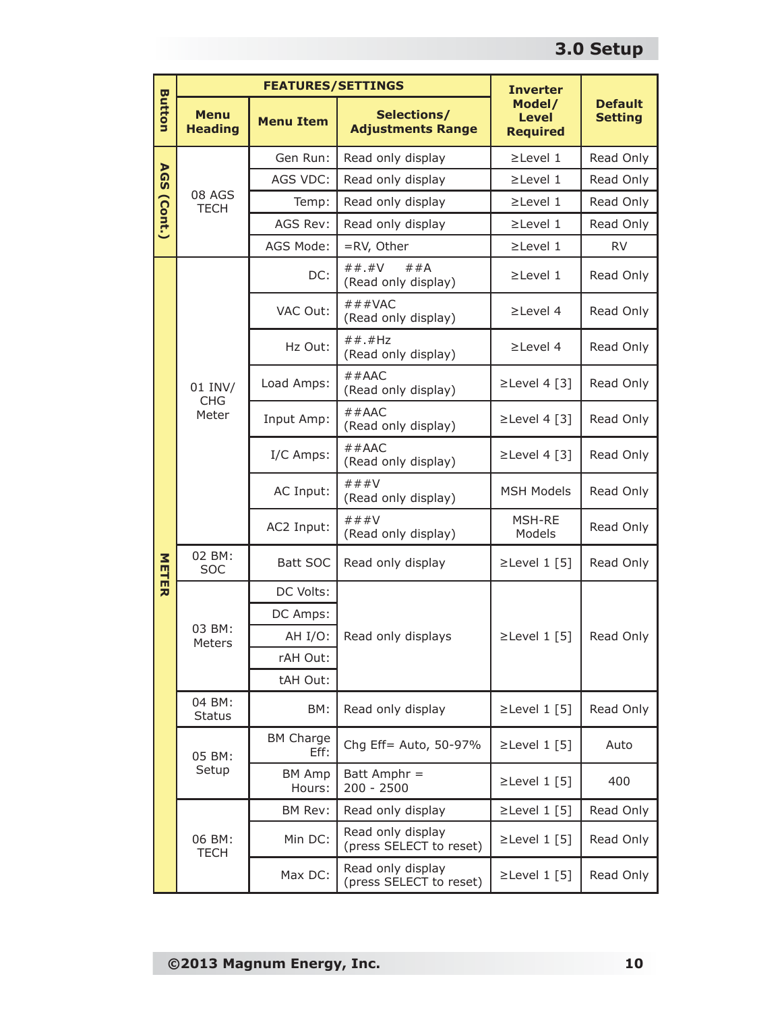|               |                               | <b>FEATURES/SETTINGS</b>    | <b>Inverter</b>                              |                                           |                                  |  |
|---------------|-------------------------------|-----------------------------|----------------------------------------------|-------------------------------------------|----------------------------------|--|
| <b>Button</b> | <b>Menu</b><br><b>Heading</b> | <b>Menu Item</b>            | Selections/<br><b>Adjustments Range</b>      | Model/<br><b>Level</b><br><b>Required</b> | <b>Default</b><br><b>Setting</b> |  |
|               |                               | Gen Run:                    | Read only display                            | $\geq$ Level 1                            | Read Only                        |  |
| <b>AGS</b>    |                               | AGS VDC:                    | Read only display                            | $\geq$ Level 1                            | Read Only                        |  |
|               | 08 AGS<br><b>TECH</b>         | Temp:                       | Read only display                            | $\geq$ Level 1                            | Read Only                        |  |
| (Cont.)       |                               | AGS Rev:                    | Read only display                            | $\geq$ Level 1                            | Read Only                        |  |
|               |                               | AGS Mode:                   | =RV, Other                                   | $\geq$ Level 1                            | <b>RV</b>                        |  |
|               |                               | DC:                         | $##$ .#V<br>##A<br>(Read only display)       | $\geq$ Level 1                            | Read Only                        |  |
|               |                               | VAC Out:                    | # # #VAC<br>(Read only display)              | $\geq$ Level 4                            | Read Only                        |  |
|               |                               | Hz Out:                     | $##$ .#Hz<br>(Read only display)             | $\geq$ Level 4                            | Read Only                        |  |
|               | 01 INV/<br><b>CHG</b>         | Load Amps:                  | $#$ #AAC<br>(Read only display)              | $\geq$ Level 4 [3]                        | Read Only                        |  |
|               | Meter                         | Input Amp:                  | $#$ #AAC<br>(Read only display)              | $\geq$ Level 4 [3]                        | Read Only                        |  |
|               |                               | I/C Amps:                   | $#$ #AAC<br>(Read only display)              | $\geq$ Level 4 [3]                        | Read Only                        |  |
|               |                               | AC Input:                   | ###V<br>(Read only display)                  | <b>MSH Models</b>                         | Read Only                        |  |
|               |                               | AC2 Input:                  | ###V<br>(Read only display)                  | MSH-RE<br>Models                          | Read Only                        |  |
| NETER         | 02 BM:<br><b>SOC</b>          | Batt SOC                    | Read only display                            | $\geq$ Level 1 [5]                        | Read Only                        |  |
|               |                               | DC Volts:                   |                                              |                                           |                                  |  |
|               |                               | DC Amps:                    |                                              |                                           |                                  |  |
|               | 03 BM:<br>Meters              | AH I/O:                     | Read only displays                           | $\geq$ Level 1 [5]                        | Read Only                        |  |
|               |                               | rAH Out:                    |                                              |                                           |                                  |  |
|               |                               | tAH Out:                    |                                              |                                           |                                  |  |
|               | 04 BM:<br><b>Status</b>       | BM:                         | Read only display                            | $\geq$ Level 1 [5]                        | Read Only                        |  |
|               | 05 BM:                        | <b>BM Charge</b><br>$Eff$ : | Chg Eff= Auto, 50-97%                        | $\geq$ Level 1 [5]                        | Auto                             |  |
|               | Setup                         | <b>BM Amp</b><br>Hours:     | Batt Amphr =<br>$200 - 2500$                 | $\geq$ Level 1 [5]                        | 400                              |  |
|               |                               | BM Rev:                     | Read only display                            | $\geq$ Level 1 [5]                        | Read Only                        |  |
|               | 06 BM:<br><b>TECH</b>         | Min DC:                     | Read only display<br>(press SELECT to reset) | $\geq$ Level 1 [5]                        | Read Only                        |  |
|               |                               | Max DC:                     | Read only display<br>(press SELECT to reset) | $\geq$ Level 1 [5]                        | Read Only                        |  |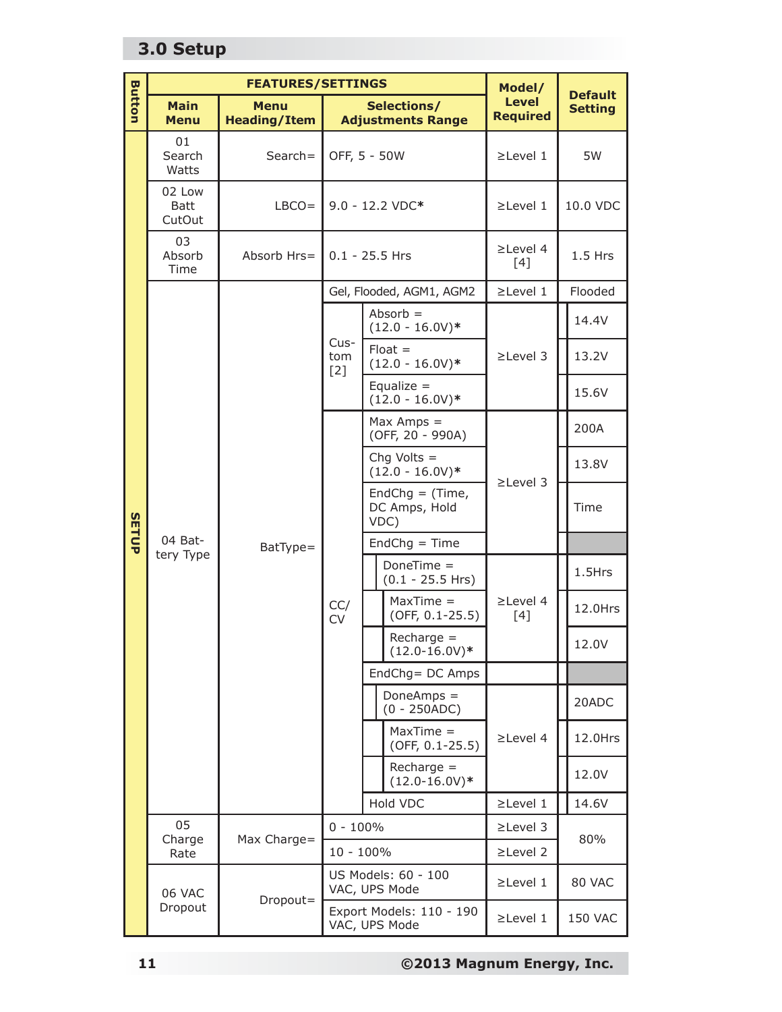|               |                                  | <b>FEATURES/SETTINGS</b>           |                      |                                           |                                            | Model/                            | <b>Default</b>                   |        |      |
|---------------|----------------------------------|------------------------------------|----------------------|-------------------------------------------|--------------------------------------------|-----------------------------------|----------------------------------|--------|------|
| <b>Button</b> | <b>Main</b><br><b>Menu</b>       | <b>Menu</b><br><b>Heading/Item</b> |                      | Selections/<br><b>Adjustments Range</b>   |                                            | <b>Level</b><br><b>Required</b>   | <b>Setting</b>                   |        |      |
|               | 01<br>Search<br>Search=<br>Watts |                                    | OFF, 5 - 50W         |                                           |                                            | $\geq$ Level 1                    | 5W                               |        |      |
|               | 02 Low<br><b>Batt</b><br>CutOut  | $LBCO =$                           |                      |                                           | 9.0 - 12.2 VDC*                            | $\geq$ Level 1                    | 10.0 VDC                         |        |      |
|               | 03<br>Absorb<br>Time             | Absorb Hrs=                        | $0.1 - 25.5$ Hrs     |                                           |                                            | $\geq$ Level 4<br>$[4]$           | $1.5$ Hrs                        |        |      |
|               |                                  |                                    |                      |                                           | Gel, Flooded, AGM1, AGM2                   | $\geq$ Level 1                    | Flooded                          |        |      |
|               |                                  |                                    |                      |                                           | $Absorb =$<br>$(12.0 - 16.0V)*$            |                                   | 14.4V                            |        |      |
|               |                                  |                                    | Cus-<br>tom<br>$[2]$ |                                           | $F$ loat =<br>$(12.0 - 16.0V)*$            | $\geq$ Level 3                    | 13.2V                            |        |      |
|               |                                  |                                    |                      |                                           | Equalize $=$<br>$(12.0 - 16.0V)*$          |                                   | 15.6V                            |        |      |
|               | 04 Bat-<br>BatType=<br>tery Type |                                    |                      |                                           |                                            |                                   | $Max Amps =$<br>(OFF, 20 - 990A) |        | 200A |
|               |                                  |                                    |                      |                                           | Chg Volts $=$<br>$(12.0 - 16.0V)^*$        | $\geq$ Level 3                    | 13.8V                            |        |      |
| <b>SETUP</b>  |                                  |                                    |                      |                                           | EndChg = $(Time,$<br>DC Amps, Hold<br>VDC) |                                   | Time                             |        |      |
|               |                                  |                                    |                      | $EndChg = Time$                           |                                            |                                   |                                  |        |      |
|               |                                  |                                    |                      |                                           |                                            | DoneTime =<br>$(0.1 - 25.5$ Hrs)  |                                  | 1.5Hrs |      |
|               |                                  |                                    | CC/<br><b>CV</b>     |                                           | $MaxTime =$<br>$(OFF, 0.1-25.5)$           | $\geq$ Level 4<br>$[4]$           | 12.0Hrs                          |        |      |
|               |                                  |                                    |                      |                                           |                                            | $Recharge =$<br>$(12.0 - 16.0V)*$ |                                  | 12.0V  |      |
|               |                                  |                                    |                      |                                           | EndChg= DC Amps                            |                                   |                                  |        |      |
|               |                                  |                                    |                      |                                           | Done $Amps =$<br>$(0 - 250 ADC)$           | $\geq$ Level 4                    | 20ADC                            |        |      |
|               |                                  |                                    |                      |                                           | $MaxTime =$<br>(OFF, 0.1-25.5)             |                                   | 12.0Hrs                          |        |      |
|               |                                  |                                    |                      |                                           | $Recharge =$<br>$(12.0 - 16.0V)*$          |                                   | 12.0V                            |        |      |
|               |                                  |                                    | Hold VDC             |                                           | $\geq$ Level 1                             | 14.6V                             |                                  |        |      |
|               | 05<br>Charge                     | Max Charge=                        | $0 - 100\%$          |                                           |                                            | $\geq$ Level 3                    | 80%                              |        |      |
|               | Rate                             |                                    | $10 - 100\%$         |                                           |                                            | $\geq$ Level 2                    |                                  |        |      |
|               | 06 VAC                           | Dropout=                           |                      |                                           | US Models: 60 - 100<br>VAC, UPS Mode       | $\geq$ Level 1                    | 80 VAC                           |        |      |
|               |                                  | Dropout                            |                      | Export Models: 110 - 190<br>VAC, UPS Mode |                                            | $\geq$ Level 1                    | <b>150 VAC</b>                   |        |      |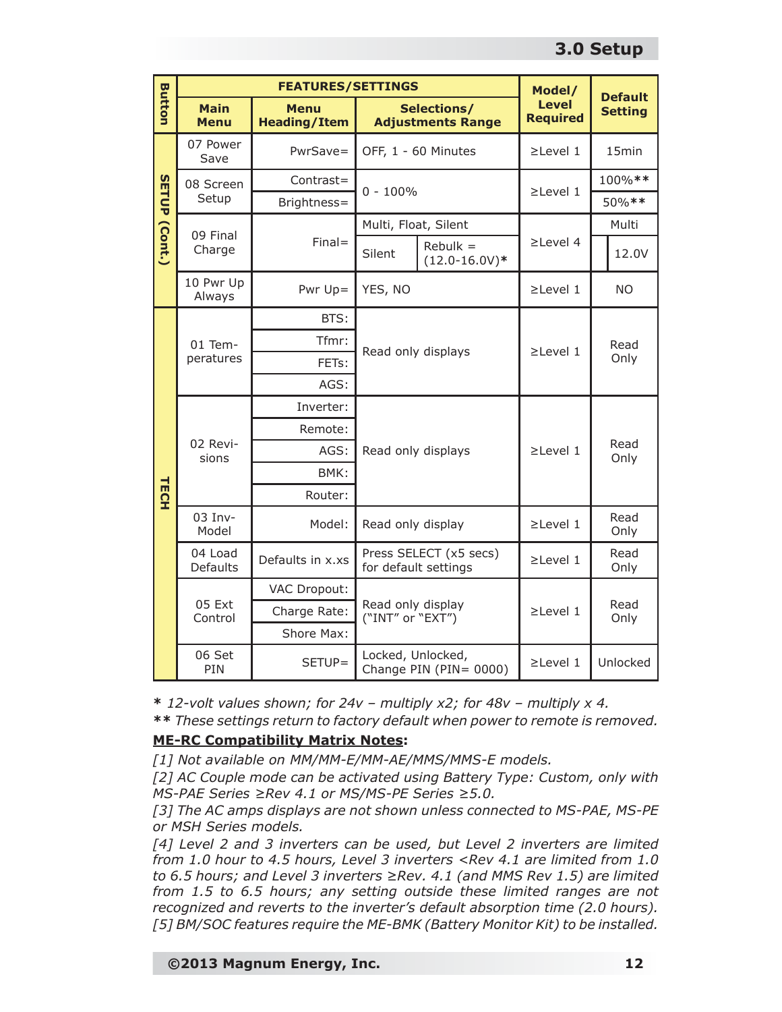|                      | <b>FEATURES/SETTINGS</b>   |                                                                               |                                       |                                                | Model/                          | <b>Default</b>    |
|----------------------|----------------------------|-------------------------------------------------------------------------------|---------------------------------------|------------------------------------------------|---------------------------------|-------------------|
| <b>Button</b>        | <b>Main</b><br><b>Menu</b> | <b>Menu</b><br>Selections/<br><b>Heading/Item</b><br><b>Adjustments Range</b> |                                       |                                                | <b>Level</b><br><b>Required</b> | <b>Setting</b>    |
|                      | 07 Power<br>Save           | PwrSave=                                                                      |                                       | OFF, 1 - 60 Minutes                            |                                 | 15 <sub>min</sub> |
|                      | 08 Screen                  | Contrast=                                                                     | $0 - 100\%$                           |                                                | $\geq$ Level 1                  | 100%**            |
|                      | Setup                      | Brightness=                                                                   |                                       |                                                |                                 | 50%**             |
|                      | 09 Final                   |                                                                               | Multi, Float, Silent                  |                                                |                                 | Multi             |
| <b>SETUP (Cont.)</b> | Charge                     | $Final =$                                                                     | Silent                                | $Rebulk =$<br>$(12.0 - 16.0V)*$                | $\geq$ Level 4                  | 12.0V             |
|                      | 10 Pwr Up<br>Always        | Pwr Up=                                                                       | YES, NO                               |                                                | $\geq$ Level 1                  | <b>NO</b>         |
|                      |                            | BTS:                                                                          |                                       |                                                |                                 |                   |
|                      | 01 Tem-<br>peratures       | Tfmr:                                                                         | Read only displays                    |                                                | $\geq$ Level 1                  | Read              |
|                      |                            | FETs:                                                                         |                                       |                                                |                                 | Only              |
|                      |                            | AGS:                                                                          |                                       |                                                |                                 |                   |
|                      |                            | Inverter:                                                                     |                                       |                                                |                                 |                   |
|                      |                            | Remote:                                                                       |                                       |                                                |                                 |                   |
|                      | 02 Revi-<br>sions          | AGS:                                                                          | Read only displays                    |                                                | $\geq$ Level 1                  | Read<br>Only      |
|                      |                            | BMK:                                                                          |                                       |                                                |                                 |                   |
| <b>TECH</b>          |                            | Router:                                                                       |                                       |                                                |                                 |                   |
|                      | 03 Inv-<br>Model           | Model:                                                                        |                                       | Read only display                              |                                 | Read<br>Only      |
|                      | 04 Load<br>Defaults        | Defaults in x.xs                                                              |                                       | Press SELECT (x5 secs)<br>for default settings |                                 | Read<br>Only      |
|                      |                            | VAC Dropout:                                                                  |                                       |                                                |                                 |                   |
|                      | 05 Ext<br>Control          | Charge Rate:                                                                  | Read only display<br>("INT" or "EXT") |                                                | $\geq$ Level 1                  | Read<br>Only      |
|                      |                            | Shore Max:                                                                    |                                       |                                                |                                 |                   |
|                      | 06 Set<br>PIN              | SETUP=                                                                        |                                       | Locked, Unlocked,<br>Change PIN (PIN= 0000)    |                                 | Unlocked          |

**\*** *12-volt values shown; for 24v – multiply x2; for 48v – multiply x 4.*

**\*\*** *These settings return to factory default when power to remote is removed.*

#### **ME-RC Compatibility Matrix Notes:**

*[1] Not available on MM/MM-E/MM-AE/MMS/MMS-E models.*

*[2] AC Couple mode can be activated using Battery Type: Custom, only with MS-PAE Series ≥Rev 4.1 or MS/MS-PE Series ≥5.0.*

*[3] The AC amps displays are not shown unless connected to MS-PAE, MS-PE or MSH Series models.*

*[4] Level 2 and 3 inverters can be used, but Level 2 inverters are limited from 1.0 hour to 4.5 hours, Level 3 inverters <Rev 4.1 are limited from 1.0 to 6.5 hours; and Level 3 inverters ≥Rev. 4.1 (and MMS Rev 1.5) are limited from 1.5 to 6.5 hours; any setting outside these limited ranges are not recognized and reverts to the inverter's default absorption time (2.0 hours). [5] BM/SOC features require the ME-BMK (Battery Monitor Kit) to be installed.*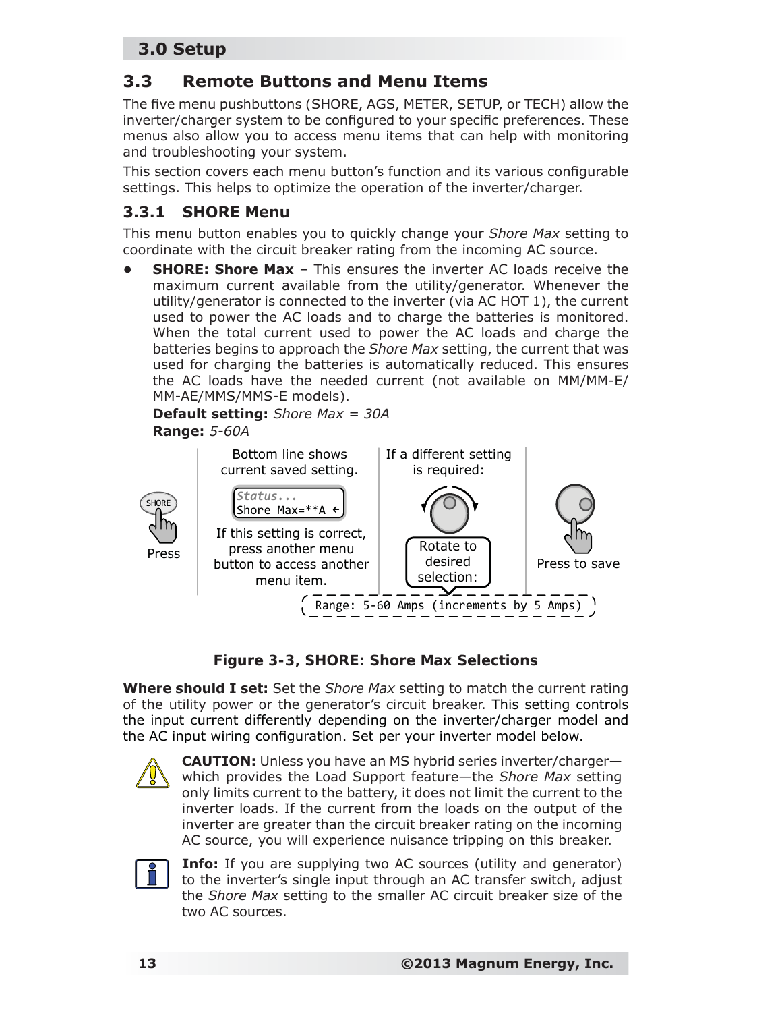## **3.3 Remote Buttons and Menu Items**

The five menu pushbuttons (SHORE, AGS, METER, SETUP, or TECH) allow the inverter/charger system to be configured to your specific preferences. These menus also allow you to access menu items that can help with monitoring and troubleshooting your system.

This section covers each menu button's function and its various configurable settings. This helps to optimize the operation of the inverter/charger.

#### **3.3.1 SHORE Menu**

This menu button enables you to quickly change your *Shore Max* setting to coordinate with the circuit breaker rating from the incoming AC source.

**SHORE: Shore Max** – This ensures the inverter AC loads receive the maximum current available from the utility/generator. Whenever the utility/generator is connected to the inverter (via AC HOT 1), the current used to power the AC loads and to charge the batteries is monitored. When the total current used to power the AC loads and charge the batteries begins to approach the *Shore Max* setting, the current that was used for charging the batteries is automatically reduced. This ensures the AC loads have the needed current (not available on MM/MM-E/ MM-AE/MMS/MMS-E models).

**Default setting:** *Shore Max = 30A* **Range:** *5-60A*





**Where should I set:** Set the *Shore Max* setting to match the current rating of the utility power or the generator's circuit breaker. This setting controls the input current differently depending on the inverter/charger model and the AC input wiring configuration. Set per your inverter model below.



**CAUTION:** Unless you have an MS hybrid series inverter/charger which provides the Load Support feature—the *Shore Max* setting only limits current to the battery, it does not limit the current to the inverter loads. If the current from the loads on the output of the inverter are greater than the circuit breaker rating on the incoming AC source, you will experience nuisance tripping on this breaker.



**Info:** If you are supplying two AC sources (utility and generator) to the inverter's single input through an AC transfer switch, adjust the *Shore Max* setting to the smaller AC circuit breaker size of the two AC sources.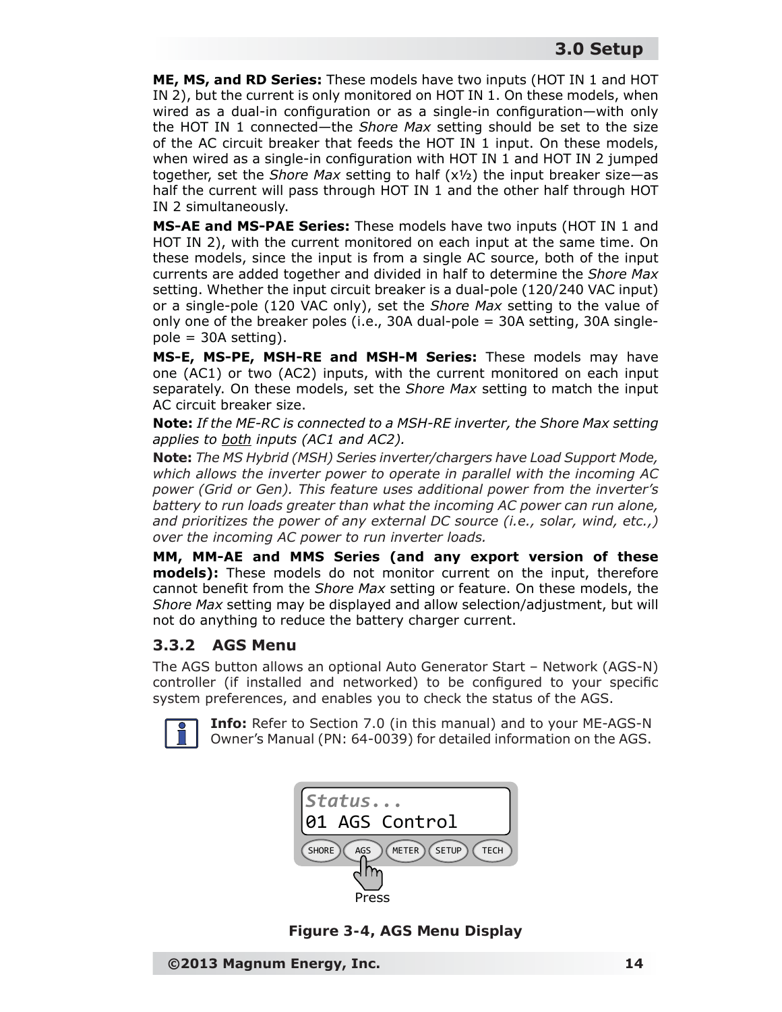**ME, MS, and RD Series:** These models have two inputs (HOT IN 1 and HOT IN 2), but the current is only monitored on HOT IN 1. On these models, when wired as a dual-in configuration or as a single-in configuration—with only the HOT IN 1 connected—the *Shore Max* setting should be set to the size of the AC circuit breaker that feeds the HOT IN 1 input. On these models, when wired as a single-in configuration with HOT IN 1 and HOT IN 2 jumped together, set the *Shore Max* setting to half (x½) the input breaker size—as half the current will pass through HOT IN 1 and the other half through HOT IN 2 simultaneously.

**MS-AE and MS-PAE Series:** These models have two inputs (HOT IN 1 and HOT IN 2), with the current monitored on each input at the same time. On these models, since the input is from a single AC source, both of the input currents are added together and divided in half to determine the *Shore Max* setting. Whether the input circuit breaker is a dual-pole (120/240 VAC input) or a single-pole (120 VAC only), set the *Shore Max* setting to the value of only one of the breaker poles (i.e., 30A dual-pole = 30A setting, 30A single $pole = 30A$  setting).

**MS-E, MS-PE, MSH-RE and MSH-M Series:** These models may have one (AC1) or two (AC2) inputs, with the current monitored on each input separately. On these models, set the *Shore Max* setting to match the input AC circuit breaker size.

*Note: If the ME-RC is connected to a MSH-RE inverter, the Shore Max setting applies to both inputs (AC1 and AC2).*

*Note: The MS Hybrid (MSH) Series inverter/chargers have Load Support Mode, which allows the inverter power to operate in parallel with the incoming AC power (Grid or Gen). This feature uses additional power from the inverter's battery to run loads greater than what the incoming AC power can run alone, and prioritizes the power of any external DC source (i.e., solar, wind, etc.,) over the incoming AC power to run inverter loads.*

**MM, MM-AE and MMS Series (and any export version of these models):** These models do not monitor current on the input, therefore cannot benefit from the *Shore Max* setting or feature. On these models, the *Shore Max* setting may be displayed and allow selection/adjustment, but will not do anything to reduce the battery charger current.

#### **3.3.2 AGS Menu**

The AGS button allows an optional Auto Generator Start – Network (AGS-N) controller (if installed and networked) to be configured to your specific system preferences, and enables you to check the status of the AGS.



**Info:** Refer to Section 7.0 (in this manual) and to your ME-AGS-N Owner's Manual (PN: 64-0039) for detailed information on the AGS.



*Figure 3-4, AGS Menu Display*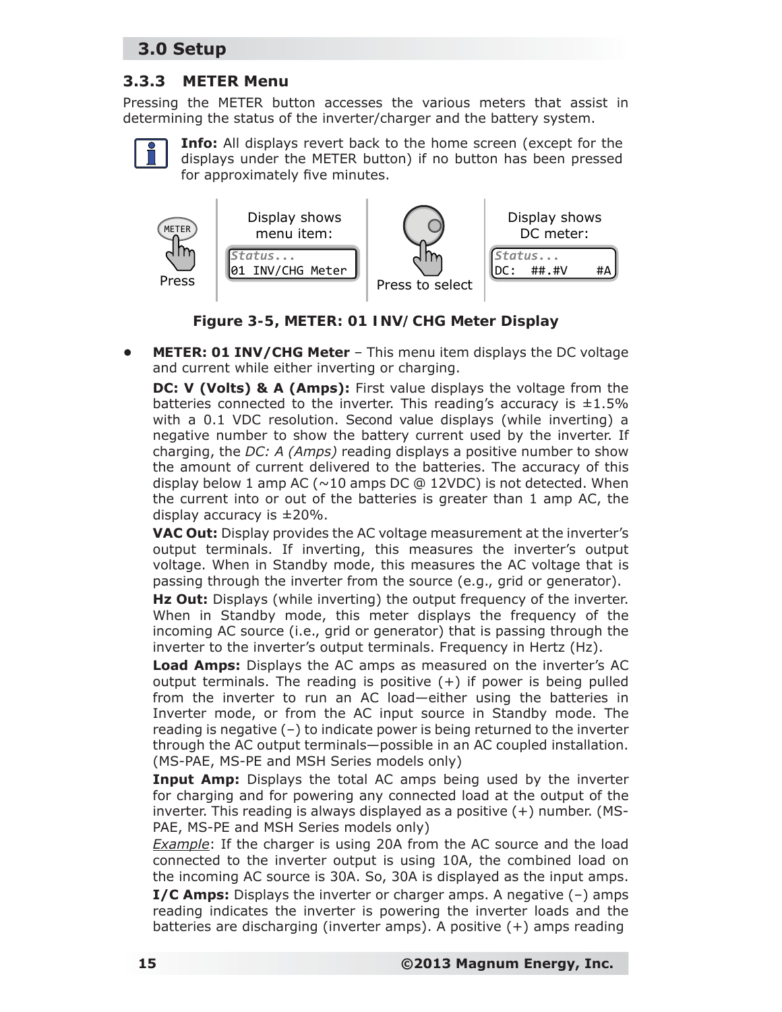#### **3.3.3 METER Menu**

Pressing the METER button accesses the various meters that assist in determining the status of the inverter/charger and the battery system.



**Info:** All displays revert back to the home screen (except for the displays under the METER button) if no button has been pressed for approximately five minutes.





**METER: 01 INV/CHG Meter** - This menu item displays the DC voltage and current while either inverting or charging.

**DC: V (Volts) & A (Amps):** First value displays the voltage from the batteries connected to the inverter. This reading's accuracy is  $\pm 1.5\%$ with a 0.1 VDC resolution. Second value displays (while inverting) a negative number to show the battery current used by the inverter. If charging, the *DC: A (Amps)* reading displays a positive number to show the amount of current delivered to the batteries. The accuracy of this display below 1 amp AC ( $\sim$ 10 amps DC @ 12VDC) is not detected. When the current into or out of the batteries is greater than 1 amp AC, the display accuracy is  $\pm 20\%$ .

**VAC Out:** Display provides the AC voltage measurement at the inverter's output terminals. If inverting, this measures the inverter's output voltage. When in Standby mode, this measures the AC voltage that is passing through the inverter from the source (e.g., grid or generator).

**Hz Out:** Displays (while inverting) the output frequency of the inverter. When in Standby mode, this meter displays the frequency of the incoming AC source (i.e., grid or generator) that is passing through the inverter to the inverter's output terminals. Frequency in Hertz (Hz).

**Load Amps:** Displays the AC amps as measured on the inverter's AC output terminals. The reading is positive  $(+)$  if power is being pulled from the inverter to run an AC load—either using the batteries in Inverter mode, or from the AC input source in Standby mode. The reading is negative (–) to indicate power is being returned to the inverter through the AC output terminals—possible in an AC coupled installation. (MS-PAE, MS-PE and MSH Series models only)

**Input Amp:** Displays the total AC amps being used by the inverter for charging and for powering any connected load at the output of the inverter. This reading is always displayed as a positive (+) number. (MS-PAE, MS-PE and MSH Series models only)

*Example*: If the charger is using 20A from the AC source and the load connected to the inverter output is using 10A, the combined load on the incoming AC source is 30A. So, 30A is displayed as the input amps.

**I/C Amps:** Displays the inverter or charger amps. A negative (–) amps reading indicates the inverter is powering the inverter loads and the batteries are discharging (inverter amps). A positive (+) amps reading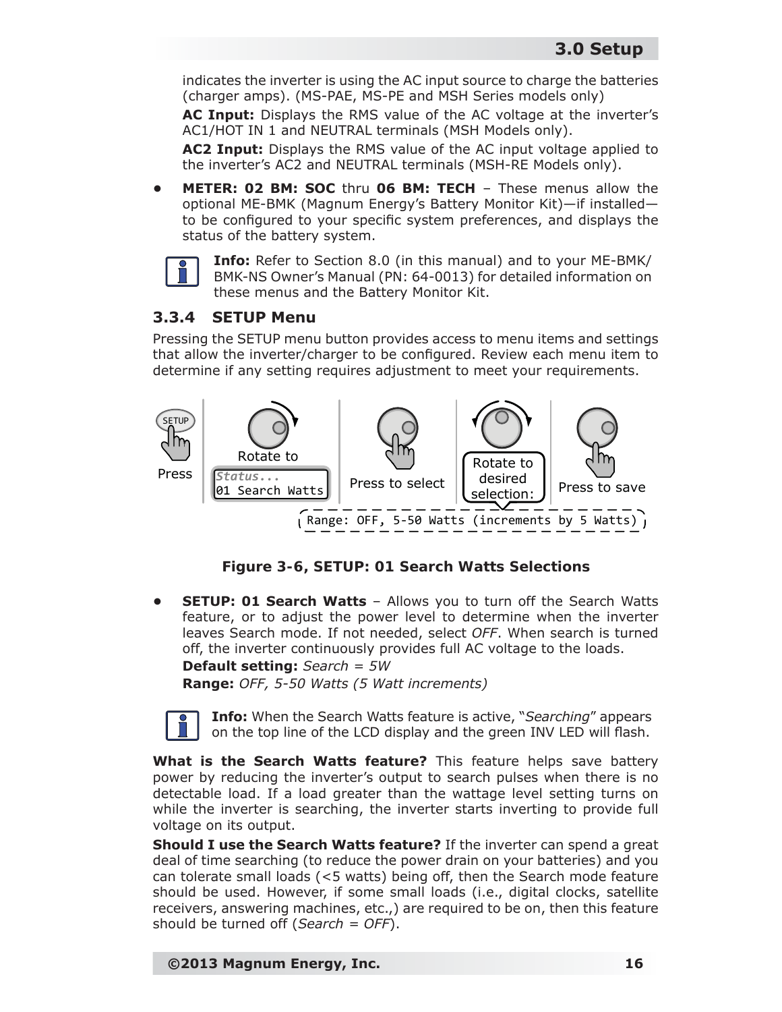indicates the inverter is using the AC input source to charge the batteries (charger amps). (MS-PAE, MS-PE and MSH Series models only)

**AC Input:** Displays the RMS value of the AC voltage at the inverter's AC1/HOT IN 1 and NEUTRAL terminals (MSH Models only).

**AC2 Input:** Displays the RMS value of the AC input voltage applied to the inverter's AC2 and NEUTRAL terminals (MSH-RE Models only).

**• METER: 02 BM: SOC** thru **06 BM: TECH** – These menus allow the optional ME-BMK (Magnum Energy's Battery Monitor Kit)—if installed to be configured to your specific system preferences, and displays the status of the battery system.



**Info:** Refer to Section 8.0 (in this manual) and to your ME-BMK/ BMK-NS Owner's Manual (PN: 64-0013) for detailed information on these menus and the Battery Monitor Kit.

#### **3.3.4 SETUP Menu**

Pressing the SETUP menu button provides access to menu items and settings that allow the inverter/charger to be configured. Review each menu item to determine if any setting requires adjustment to meet your requirements.



*Figure 3-6, SETUP: 01 Search Watts Selections*

**SETUP: 01 Search Watts** - Allows you to turn off the Search Watts feature, or to adjust the power level to determine when the inverter leaves Search mode. If not needed, select *OFF*. When search is turned off, the inverter continuously provides full AC voltage to the loads. **Default setting:** *Search = 5W* **Range:** *OFF, 5-50 Watts (5 Watt increments)*

**Info:** When the Search Watts feature is active, "*Searching*" appears on the top line of the LCD display and the green INV LED will flash.

**What is the Search Watts feature?** This feature helps save battery power by reducing the inverter's output to search pulses when there is no detectable load. If a load greater than the wattage level setting turns on while the inverter is searching, the inverter starts inverting to provide full voltage on its output.

**Should I use the Search Watts feature?** If the inverter can spend a great deal of time searching (to reduce the power drain on your batteries) and you can tolerate small loads (<5 watts) being off, then the Search mode feature should be used. However, if some small loads (i.e., digital clocks, satellite receivers, answering machines, etc.,) are required to be on, then this feature should be turned off (*Search = OFF*).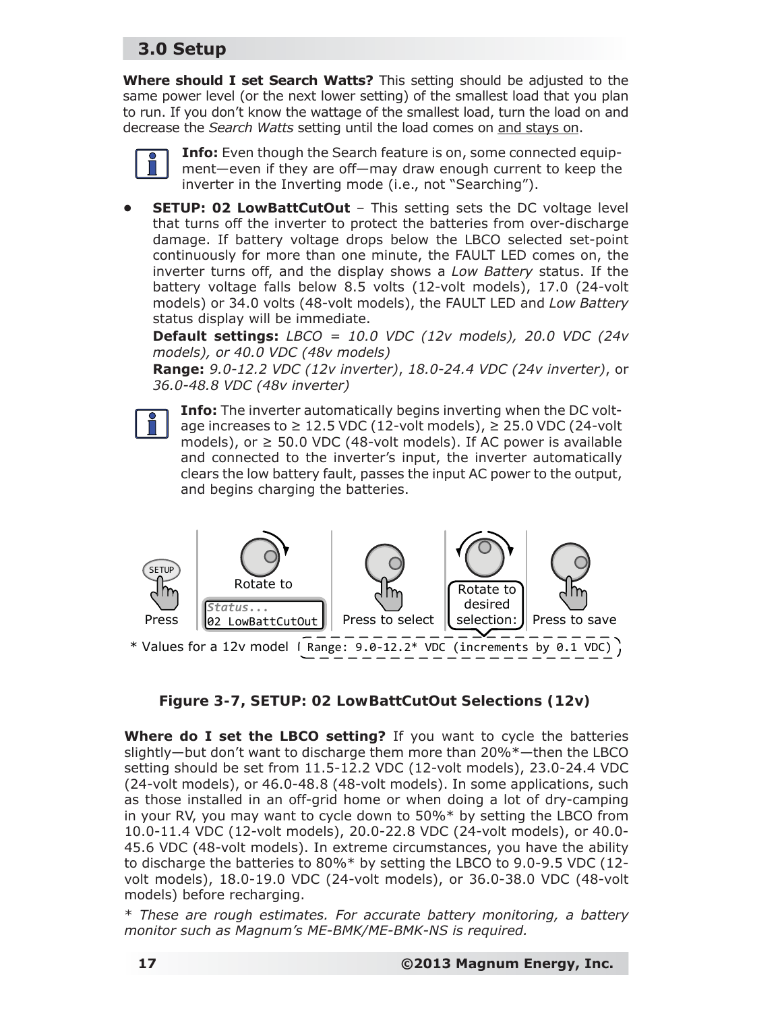**Where should I set Search Watts?** This setting should be adjusted to the same power level (or the next lower setting) of the smallest load that you plan to run. If you don't know the wattage of the smallest load, turn the load on and decrease the *Search Watts* setting until the load comes on and stays on.



**Info:** Even though the Search feature is on, some connected equipment—even if they are off—may draw enough current to keep the inverter in the Inverting mode (i.e., not "Searching").

**SETUP: 02 LowBattCutOut - This setting sets the DC voltage level** that turns off the inverter to protect the batteries from over-discharge damage. If battery voltage drops below the LBCO selected set-point continuously for more than one minute, the FAULT LED comes on, the inverter turns off, and the display shows a *Low Battery* status. If the battery voltage falls below 8.5 volts (12-volt models), 17.0 (24-volt models) or 34.0 volts (48-volt models), the FAULT LED and *Low Battery* status display will be immediate.

**Default settings:** *LBCO = 10.0 VDC (12v models), 20.0 VDC (24v models), or 40.0 VDC (48v models)*

**Range:** *9.0-12.2 VDC (12v inverter)*, *18.0-24.4 VDC (24v inverter)*, or *36.0-48.8 VDC (48v inverter)*



**Info:** The inverter automatically begins inverting when the DC voltage increases to  $\geq 12.5$  VDC (12-volt models),  $\geq 25.0$  VDC (24-volt models), or  $\geq$  50.0 VDC (48-volt models). If AC power is available and connected to the inverter's input, the inverter automatically clears the low battery fault, passes the input AC power to the output, and begins charging the batteries.



*Figure 3-7, SETUP: 02 LowBattCutOut Selections (12v)*

**Where do I set the LBCO setting?** If you want to cycle the batteries slightly—but don't want to discharge them more than 20%\*—then the LBCO setting should be set from 11.5-12.2 VDC (12-volt models), 23.0-24.4 VDC (24-volt models), or 46.0-48.8 (48-volt models). In some applications, such as those installed in an off-grid home or when doing a lot of dry-camping in your RV, you may want to cycle down to 50%\* by setting the LBCO from 10.0-11.4 VDC (12-volt models), 20.0-22.8 VDC (24-volt models), or 40.0- 45.6 VDC (48-volt models). In extreme circumstances, you have the ability to discharge the batteries to 80%\* by setting the LBCO to 9.0-9.5 VDC (12 volt models), 18.0-19.0 VDC (24-volt models), or 36.0-38.0 VDC (48-volt models) before recharging.

\* *These are rough estimates. For accurate battery monitoring, a battery monitor such as Magnum's ME-BMK/ME-BMK-NS is required.*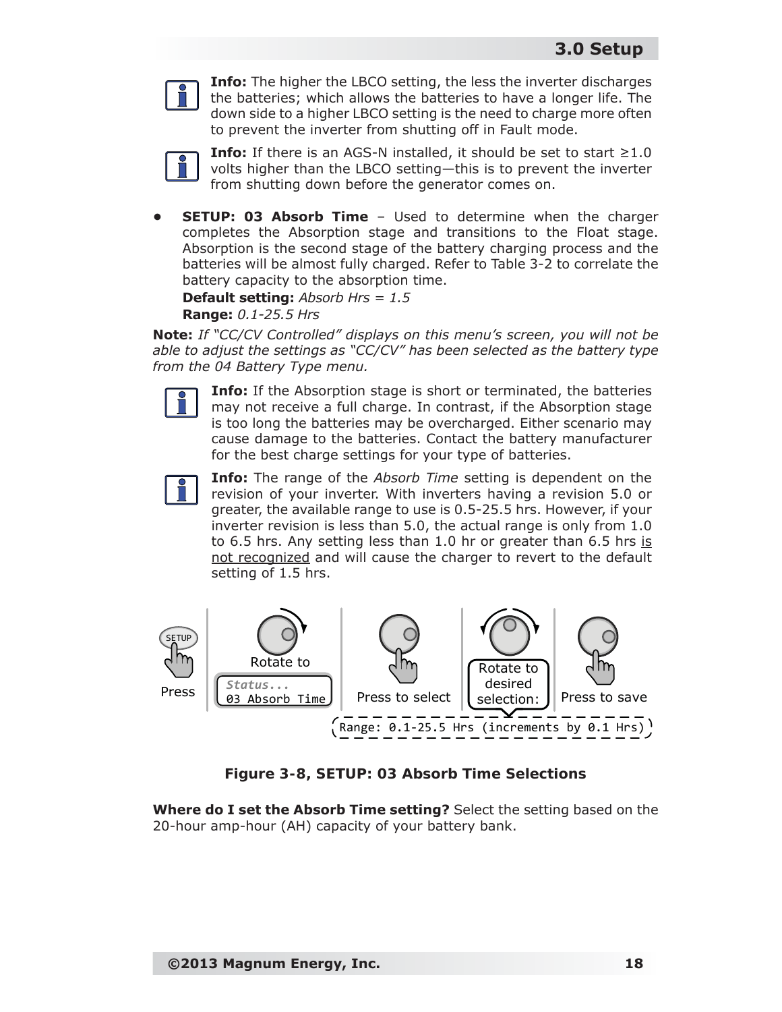

**Info:** The higher the LBCO setting, the less the inverter discharges the batteries; which allows the batteries to have a longer life. The down side to a higher LBCO setting is the need to charge more often to prevent the inverter from shutting off in Fault mode.



**Info:** If there is an AGS-N installed, it should be set to start  $\geq 1.0$ volts higher than the LBCO setting—this is to prevent the inverter from shutting down before the generator comes on.

**SETUP: 03 Absorb Time** - Used to determine when the charger completes the Absorption stage and transitions to the Float stage. Absorption is the second stage of the battery charging process and the batteries will be almost fully charged. Refer to Table 3-2 to correlate the battery capacity to the absorption time.

**Default setting:** *Absorb Hrs = 1.5*

**Range:** *0.1-25.5 Hrs*

*Note: If "CC/CV Controlled" displays on this menu's screen, you will not be able to adjust the settings as "CC/CV" has been selected as the battery type from the 04 Battery Type menu.*



**Info:** If the Absorption stage is short or terminated, the batteries may not receive a full charge. In contrast, if the Absorption stage is too long the batteries may be overcharged. Either scenario may cause damage to the batteries. Contact the battery manufacturer for the best charge settings for your type of batteries.



**Info:** The range of the *Absorb Time* setting is dependent on the revision of your inverter. With inverters having a revision 5.0 or greater, the available range to use is 0.5-25.5 hrs. However, if your inverter revision is less than 5.0, the actual range is only from 1.0 to 6.5 hrs. Any setting less than 1.0 hr or greater than 6.5 hrs is not recognized and will cause the charger to revert to the default setting of 1.5 hrs.



*Figure 3-8, SETUP: 03 Absorb Time Selections*

**Where do I set the Absorb Time setting?** Select the setting based on the 20-hour amp-hour (AH) capacity of your battery bank.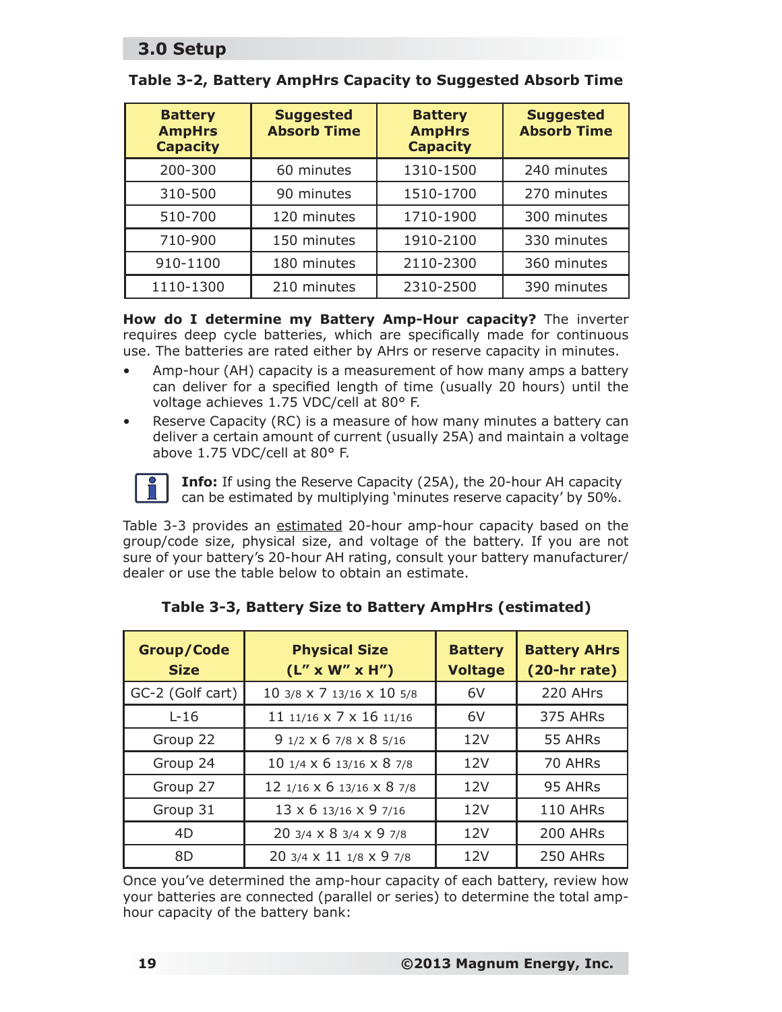| <b>Battery</b><br><b>AmpHrs</b><br><b>Capacity</b> | <b>Suggested</b><br><b>Absorb Time</b> | <b>Battery</b><br><b>AmpHrs</b><br><b>Capacity</b> | <b>Suggested</b><br><b>Absorb Time</b> |
|----------------------------------------------------|----------------------------------------|----------------------------------------------------|----------------------------------------|
| 200-300                                            | 60 minutes                             | 1310-1500                                          | 240 minutes                            |
| 310-500                                            | 90 minutes                             | 1510-1700                                          | 270 minutes                            |
| 510-700                                            | 120 minutes                            | 1710-1900                                          | 300 minutes                            |
| 710-900                                            | 150 minutes                            | 1910-2100                                          | 330 minutes                            |
| 910-1100                                           | 180 minutes                            | 2110-2300                                          | 360 minutes                            |
| 1110-1300                                          | 210 minutes                            | 2310-2500                                          | 390 minutes                            |

#### **Table 3-2, Battery AmpHrs Capacity to Suggested Absorb Time**

**How do I determine my Battery Amp-Hour capacity?** The inverter requires deep cycle batteries, which are specifically made for continuous use. The batteries are rated either by AHrs or reserve capacity in minutes.

- Amp-hour (AH) capacity is a measurement of how many amps a battery can deliver for a specified length of time (usually 20 hours) until the voltage achieves 1.75 VDC/cell at 80° F.
- Reserve Capacity (RC) is a measure of how many minutes a battery can deliver a certain amount of current (usually 25A) and maintain a voltage above 1.75 VDC/cell at 80° F.



**Info:** If using the Reserve Capacity (25A), the 20-hour AH capacity can be estimated by multiplying 'minutes reserve capacity' by 50%.

Table 3-3 provides an estimated 20-hour amp-hour capacity based on the group/code size, physical size, and voltage of the battery. If you are not sure of your battery's 20-hour AH rating, consult your battery manufacturer/ dealer or use the table below to obtain an estimate.

| <b>Group/Code</b><br><b>Size</b> | <b>Physical Size</b><br>$(L'' \times W'' \times H'')$ | <b>Battery</b><br><b>Voltage</b> | <b>Battery AHrs</b><br>$(20 - hr rate)$ |
|----------------------------------|-------------------------------------------------------|----------------------------------|-----------------------------------------|
| GC-2 (Golf cart)                 | 10 3/8 x 7 13/16 x 10 5/8                             | 6V                               | 220 AHrs                                |
| $L-16$                           | 11 11/16 x 7 x 16 11/16                               | 6V                               | 375 AHRs                                |
| Group 22                         | $91/2 \times 67/8 \times 85/16$                       | 12V                              | 55 AHRs                                 |
| Group 24                         | 10 1/4 x 6 13/16 x 8 7/8                              | 12V                              | 70 AHRs                                 |
| Group 27                         | 12 1/16 x 6 13/16 x 8 7/8                             | 12V                              | 95 AHRs                                 |
| Group 31                         | 13 x 6 13/16 x 9 7/16                                 | 12V                              | 110 AHRs                                |
| 4D                               | 20 3/4 x 8 3/4 x 9 7/8                                | 12V                              | 200 AHRs                                |
| 8D                               | 20 3/4 x 11 1/8 x 9 7/8                               | 12V                              | 250 AHRs                                |

#### **Table 3-3, Battery Size to Battery AmpHrs (estimated)**

Once you've determined the amp-hour capacity of each battery, review how your batteries are connected (parallel or series) to determine the total amphour capacity of the battery bank: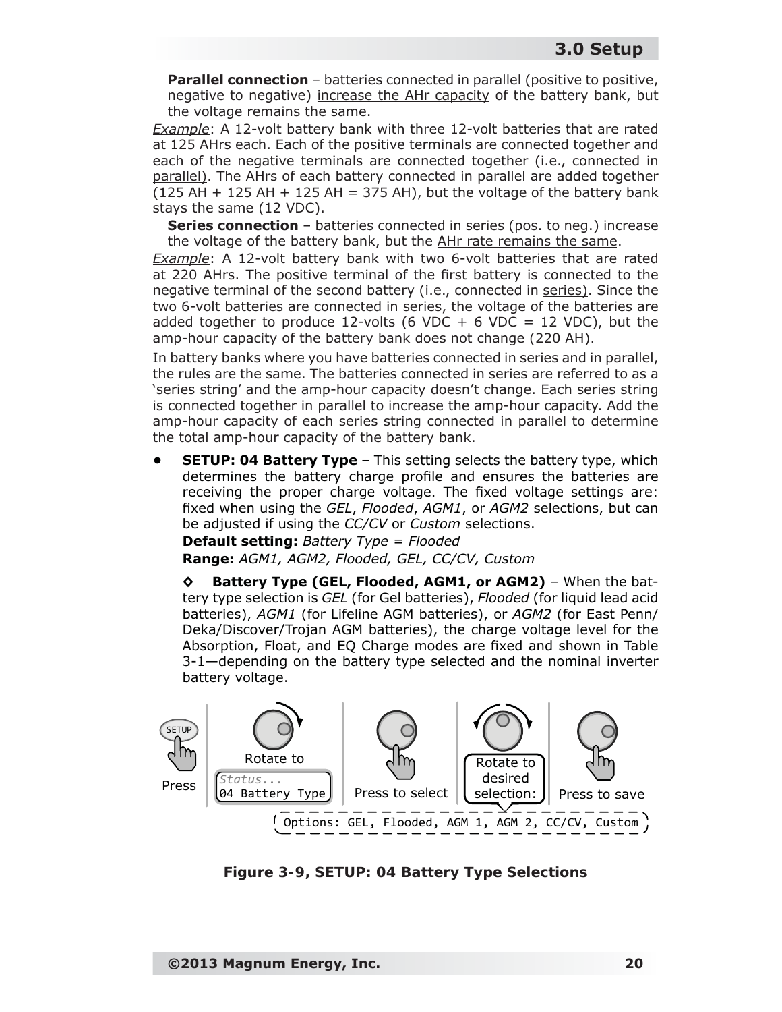**Parallel connection** – batteries connected in parallel (positive to positive, negative to negative) increase the AHr capacity of the battery bank, but the voltage remains the same.

*Example*: A 12-volt battery bank with three 12-volt batteries that are rated at 125 AHrs each. Each of the positive terminals are connected together and each of the negative terminals are connected together (i.e., connected in parallel). The AHrs of each battery connected in parallel are added together  $(125$  AH + 125 AH + 125 AH = 375 AH), but the voltage of the battery bank stays the same (12 VDC).

**Series connection** – batteries connected in series (pos. to neg.) increase the voltage of the battery bank, but the AHr rate remains the same.

*Example*: A 12-volt battery bank with two 6-volt batteries that are rated at 220 AHrs. The positive terminal of the first battery is connected to the negative terminal of the second battery (i.e., connected in series). Since the two 6-volt batteries are connected in series, the voltage of the batteries are added together to produce 12-volts (6 VDC + 6 VDC = 12 VDC), but the amp-hour capacity of the battery bank does not change (220 AH).

In battery banks where you have batteries connected in series and in parallel, the rules are the same. The batteries connected in series are referred to as a 'series string' and the amp-hour capacity doesn't change. Each series string is connected together in parallel to increase the amp-hour capacity. Add the amp-hour capacity of each series string connected in parallel to determine the total amp-hour capacity of the battery bank.

**SETUP: 04 Battery Type** – This setting selects the battery type, which determines the battery charge profile and ensures the batteries are receiving the proper charge voltage. The fixed voltage settings are: fixed when using the *GEL, Flooded, AGM1*, or *AGM2* selections, but can be adjusted if using the *CC/CV* or *Custom* selections.

**Default setting:** *Battery Type = Flooded* **Range:** *AGM1, AGM2, Flooded, GEL, CC/CV, Custom*

**◊ Battery Type (GEL, Flooded, AGM1, or AGM2)** – When the battery type selection is *GEL* (for Gel batteries), *Flooded* (for liquid lead acid batteries), *AGM1* (for Lifeline AGM batteries), or *AGM2* (for East Penn/ Deka/Discover/Trojan AGM batteries), the charge voltage level for the Absorption, Float, and EQ Charge modes are fixed and shown in Table 3-1—depending on the battery type selected and the nominal inverter battery voltage.



*Figure 3-9, SETUP: 04 Battery Type Selections*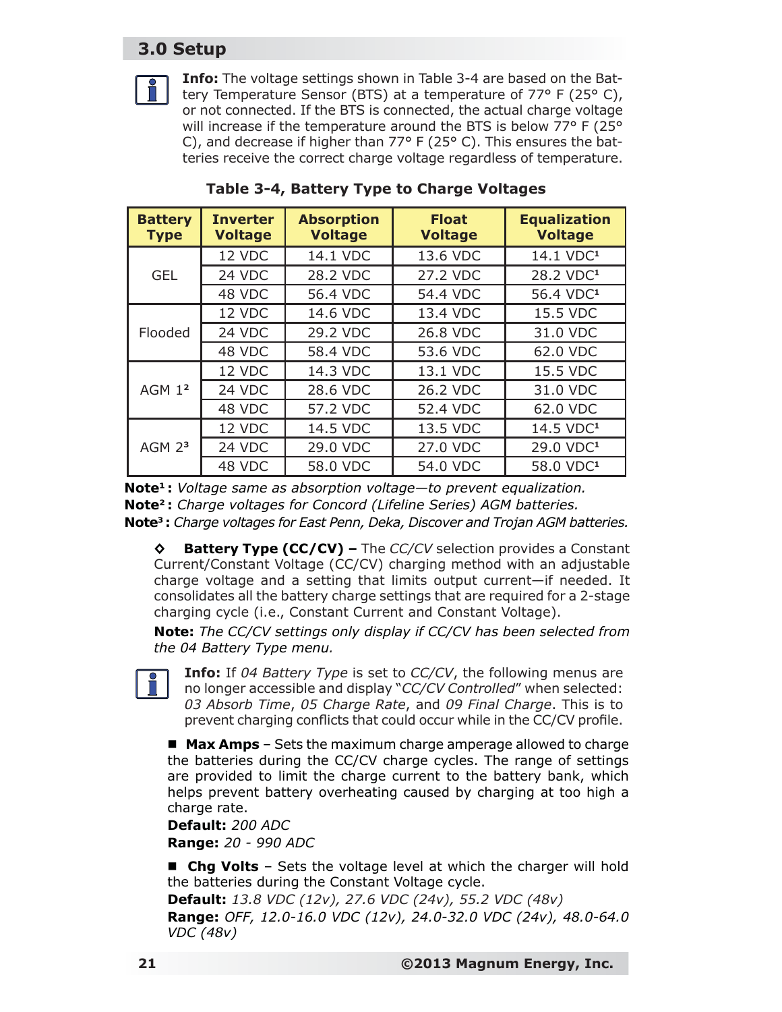**Info:** The voltage settings shown in Table 3-4 are based on the Battery Temperature Sensor (BTS) at a temperature of 77° F (25° C), or not connected. If the BTS is connected, the actual charge voltage will increase if the temperature around the BTS is below 77° F (25° C), and decrease if higher than  $77^{\circ}$  F (25 $^{\circ}$  C). This ensures the batteries receive the correct charge voltage regardless of temperature.

| <b>Battery</b><br><b>Type</b> | <b>Inverter</b><br><b>Voltage</b> | <b>Absorption</b><br><b>Voltage</b> | <b>Float</b><br><b>Voltage</b> | <b>Equalization</b><br><b>Voltage</b> |
|-------------------------------|-----------------------------------|-------------------------------------|--------------------------------|---------------------------------------|
|                               | 12 VDC                            | 14.1 VDC                            | 13.6 VDC                       | 14.1 VDC <sup>1</sup>                 |
| <b>GEL</b>                    | 24 VDC                            | 28.2 VDC                            | 27.2 VDC                       | 28.2 VDC <sup>1</sup>                 |
|                               | 48 VDC                            | 56.4 VDC                            | 54.4 VDC                       | 56.4 VDC <sup>1</sup>                 |
|                               | 12 VDC                            | 14.6 VDC                            | 13.4 VDC                       | 15.5 VDC                              |
| Flooded                       | 24 VDC                            | 29.2 VDC                            | 26.8 VDC                       | 31.0 VDC                              |
|                               | 48 VDC                            | 58.4 VDC                            | 53.6 VDC                       | 62.0 VDC                              |
|                               | 12 VDC                            | 14.3 VDC                            | 13.1 VDC                       | 15.5 VDC                              |
| AGM 1 <sup>2</sup>            | 24 VDC                            | 28.6 VDC                            | 26.2 VDC                       | 31.0 VDC                              |
|                               | 48 VDC                            | 57.2 VDC                            | 52.4 VDC                       | 62.0 VDC                              |
|                               | 12 VDC                            | 14.5 VDC                            | 13.5 VDC                       | 14.5 VDC <sup>1</sup>                 |
| AGM <sub>23</sub>             | 24 VDC                            | 29.0 VDC                            | 27.0 VDC                       | 29.0 VDC <sup>1</sup>                 |
|                               | 48 VDC                            | 58.0 VDC                            | 54.0 VDC                       | 58.0 VDC <sup>1</sup>                 |

**Table 3-4, Battery Type to Charge Voltages**

*Note<sup>1</sup>: Voltage same as absorption voltage—to prevent equalization. Note²: Charge voltages for Concord (Lifeline Series) AGM batteries. Note³: Charge voltages for East Penn, Deka, Discover and Trojan AGM batteries.*

**◊ Battery Type (CC/CV) –** The *CC/CV* selection provides a Constant Current/Constant Voltage (CC/CV) charging method with an adjustable charge voltage and a setting that limits output current—if needed. It consolidates all the battery charge settings that are required for a 2-stage charging cycle (i.e., Constant Current and Constant Voltage).

*Note***:** *The CC/CV settings only display if CC/CV has been selected from the 04 Battery Type menu.*

**Info:** If *04 Battery Type* is set to *CC/CV*, the following menus are no longer accessible and display "*CC/CV Controlled*" when selected: *03 Absorb Time*, *05 Charge Rate*, and *09 Final Charge*. This is to prevent charging conflicts that could occur while in the CC/CV profile.

 **Max Amps** – Sets the maximum charge amperage allowed to charge the batteries during the CC/CV charge cycles. The range of settings are provided to limit the charge current to the battery bank, which helps prevent battery overheating caused by charging at too high a charge rate.

**Default:** *200 ADC* **Range:** *20 - 990 ADC*

 **Chg Volts** – Sets the voltage level at which the charger will hold the batteries during the Constant Voltage cycle.

**Default:** *13.8 VDC (12v), 27.6 VDC (24v), 55.2 VDC (48v)* **Range:** *OFF, 12.0-16.0 VDC (12v), 24.0-32.0 VDC (24v), 48.0-64.0 VDC (48v)*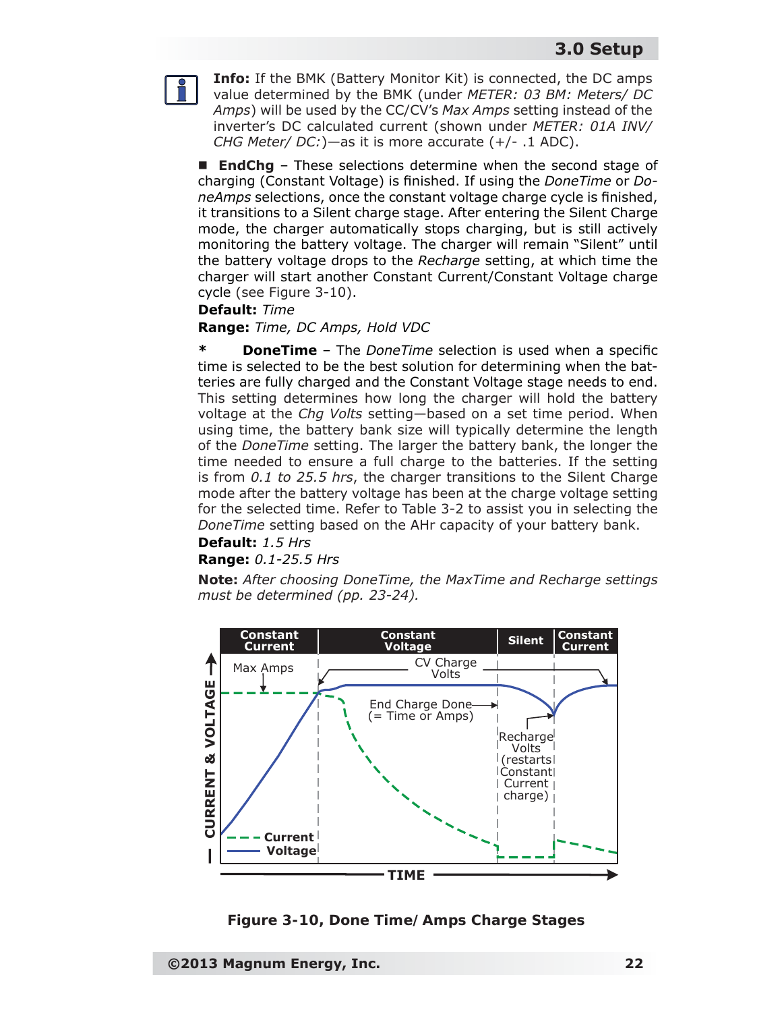**Info:** If the BMK (Battery Monitor Kit) is connected, the DC amps value determined by the BMK (under *METER: 03 BM: Meters/ DC Amps*) will be used by the CC/CV's *Max Amps* setting instead of the inverter's DC calculated current (shown under *METER: 01A INV/ CHG Meter/ DC:*)—as it is more accurate (+/- .1 ADC).

■ **EndChg** – These selections determine when the second stage of charging (Constant Voltage) is finished. If using the *DoneTime* or *Do*neAmps selections, once the constant voltage charge cycle is finished, it transitions to a Silent charge stage. After entering the Silent Charge mode, the charger automatically stops charging, but is still actively monitoring the battery voltage. The charger will remain "Silent" until the battery voltage drops to the *Recharge* setting, at which time the charger will start another Constant Current/Constant Voltage charge cycle (see Figure 3-10).

#### **Default:** *Time*

#### **Range:** *Time, DC Amps, Hold VDC*

**\* DoneTime** – The *DoneTime* selection is used when a specific time is selected to be the best solution for determining when the batteries are fully charged and the Constant Voltage stage needs to end. This setting determines how long the charger will hold the battery voltage at the *Chg Volts* setting—based on a set time period. When using time, the battery bank size will typically determine the length of the *DoneTime* setting. The larger the battery bank, the longer the time needed to ensure a full charge to the batteries. If the setting is from *0.1 to 25.5 hrs*, the charger transitions to the Silent Charge mode after the battery voltage has been at the charge voltage setting for the selected time. Refer to Table 3-2 to assist you in selecting the *DoneTime* setting based on the AHr capacity of your battery bank.

#### **Default:** *1.5 Hrs*

#### **Range:** *0.1-25.5 Hrs*

*Note: After choosing DoneTime, the MaxTime and Recharge settings must be determined (pp. 23-24).*



*Figure 3-10, Done Time/Amps Charge Stages*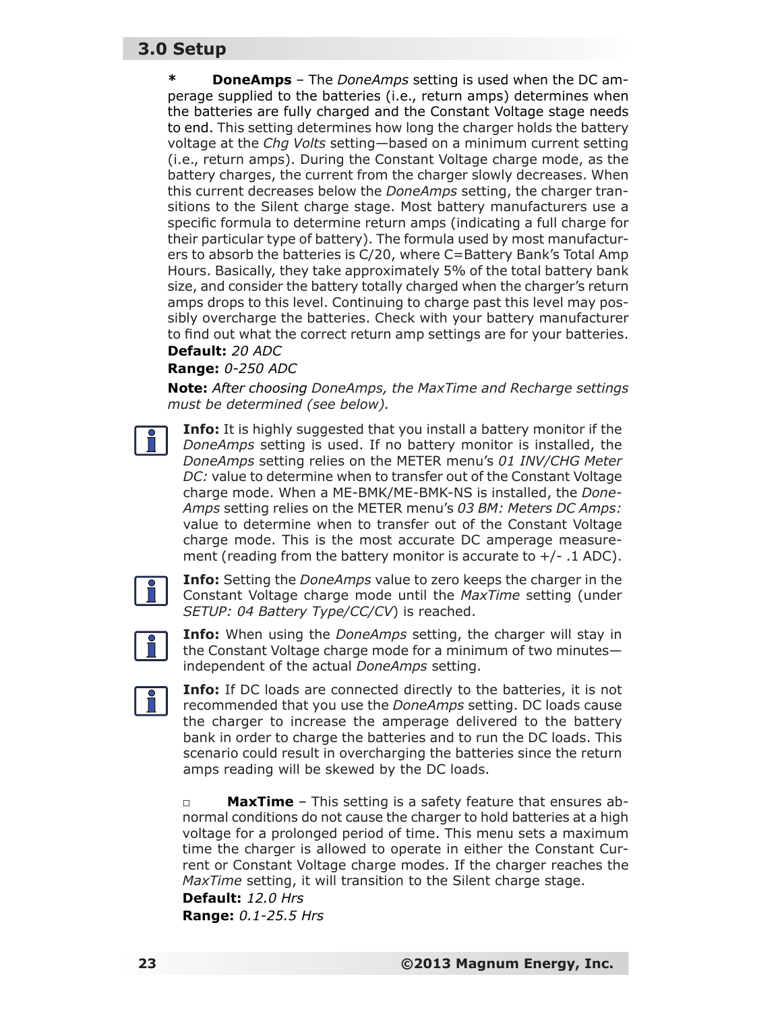**\* DoneAmps** – The *DoneAmps* setting is used when the DC amperage supplied to the batteries (i.e., return amps) determines when the batteries are fully charged and the Constant Voltage stage needs to end. This setting determines how long the charger holds the battery voltage at the *Chg Volts* setting—based on a minimum current setting (i.e., return amps). During the Constant Voltage charge mode, as the battery charges, the current from the charger slowly decreases. When this current decreases below the *DoneAmps* setting, the charger transitions to the Silent charge stage. Most battery manufacturers use a specific formula to determine return amps (indicating a full charge for their particular type of battery). The formula used by most manufacturers to absorb the batteries is C/20, where C=Battery Bank's Total Amp Hours. Basically, they take approximately 5% of the total battery bank size, and consider the battery totally charged when the charger's return amps drops to this level. Continuing to charge past this level may possibly overcharge the batteries. Check with your battery manufacturer to find out what the correct return amp settings are for your batteries.

#### **Default:** *20 ADC*

**Range:** *0-250 ADC*

*Note: After choosing DoneAmps, the MaxTime and Recharge settings must be determined (see below).*

**Info:** It is highly suggested that you install a battery monitor if the *DoneAmps* setting is used. If no battery monitor is installed, the *DoneAmps* setting relies on the METER menu's *01 INV/CHG Meter DC:* value to determine when to transfer out of the Constant Voltage charge mode. When a ME-BMK/ME-BMK-NS is installed, the *Done-Amps* setting relies on the METER menu's *03 BM: Meters DC Amps:* value to determine when to transfer out of the Constant Voltage charge mode. This is the most accurate DC amperage measurement (reading from the battery monitor is accurate to  $+/-$  .1 ADC).



**Info:** Setting the *DoneAmps* value to zero keeps the charger in the Constant Voltage charge mode until the *MaxTime* setting (under *SETUP: 04 Battery Type/CC/CV*) is reached.



**Info:** When using the *DoneAmps* setting, the charger will stay in the Constant Voltage charge mode for a minimum of two minutes independent of the actual *DoneAmps* setting.



**Info:** If DC loads are connected directly to the batteries, it is not recommended that you use the *DoneAmps* setting. DC loads cause the charger to increase the amperage delivered to the battery bank in order to charge the batteries and to run the DC loads. This scenario could result in overcharging the batteries since the return amps reading will be skewed by the DC loads.

**□ MaxTime** – This setting is a safety feature that ensures abnormal conditions do not cause the charger to hold batteries at a high voltage for a prolonged period of time. This menu sets a maximum time the charger is allowed to operate in either the Constant Current or Constant Voltage charge modes. If the charger reaches the *MaxTime* setting, it will transition to the Silent charge stage.

#### **Default:** *12.0 Hrs* **Range:** *0.1-25.5 Hrs*

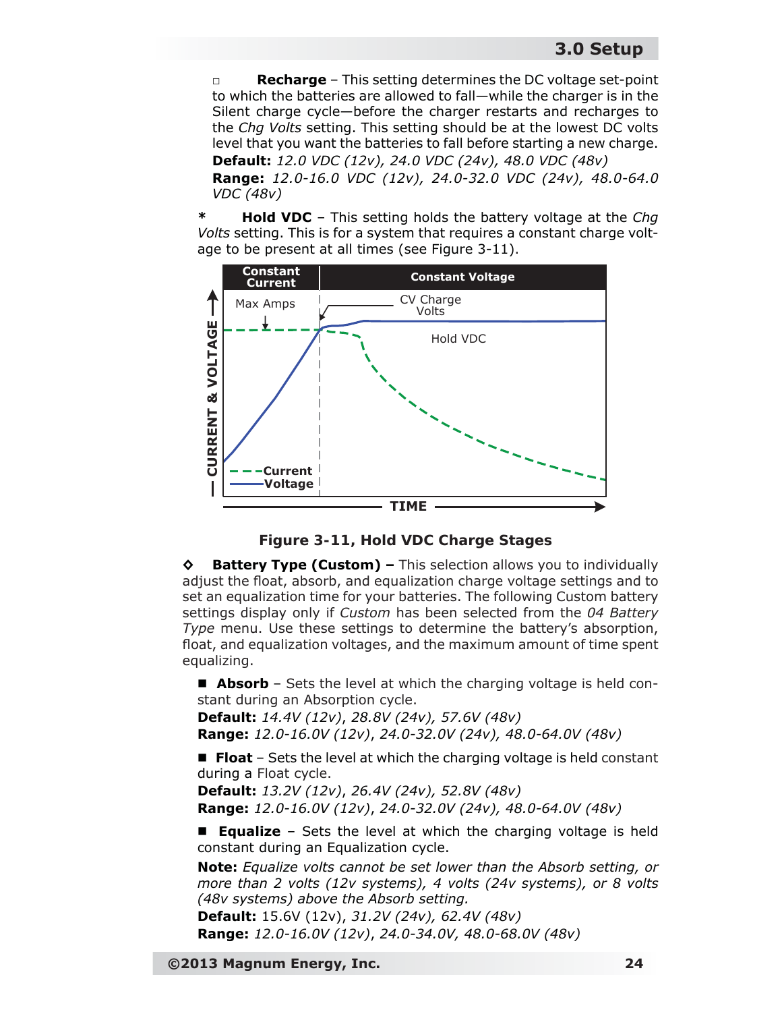**Recharge** – This setting determines the DC voltage set-point to which the batteries are allowed to fall—while the charger is in the Silent charge cycle—before the charger restarts and recharges to the *Chg Volts* setting. This setting should be at the lowest DC volts level that you want the batteries to fall before starting a new charge. **Default:** *12.0 VDC (12v), 24.0 VDC (24v), 48.0 VDC (48v)*

**Range:** *12.0-16.0 VDC (12v), 24.0-32.0 VDC (24v), 48.0-64.0 VDC (48v)*

**\* Hold VDC** – This setting holds the battery voltage at the *Chg Volts* setting. This is for a system that requires a constant charge voltage to be present at all times (see Figure 3-11).





**◊ Battery Type (Custom) –** This selection allows you to individually adjust the float, absorb, and equalization charge voltage settings and to set an equalization time for your batteries. The following Custom battery settings display only if *Custom* has been selected from the *04 Battery Type* menu. Use these settings to determine the battery's absorption, float, and equalization voltages, and the maximum amount of time spent equalizing.

■ **Absorb** – Sets the level at which the charging voltage is held constant during an Absorption cycle.

**Default:** *14.4V (12v)*, *28.8V (24v), 57.6V (48v)* **Range:** *12.0-16.0V (12v)*, *24.0-32.0V (24v), 48.0-64.0V (48v)*

■ Float – Sets the level at which the charging voltage is held constant during a Float cycle.

**Default:** *13.2V (12v)*, *26.4V (24v), 52.8V (48v)* **Range:** *12.0-16.0V (12v)*, *24.0-32.0V (24v), 48.0-64.0V (48v)*

 **Equalize** – Sets the level at which the charging voltage is held constant during an Equalization cycle.

*Note: Equalize volts cannot be set lower than the Absorb setting, or more than 2 volts (12v systems), 4 volts (24v systems), or 8 volts (48v systems) above the Absorb setting.*

**Default:** 15.6V (12v), *31.2V (24v), 62.4V (48v)* **Range:** *12.0-16.0V (12v)*, *24.0-34.0V, 48.0-68.0V (48v)*

**©2013 Magnum Energy, Inc. 24**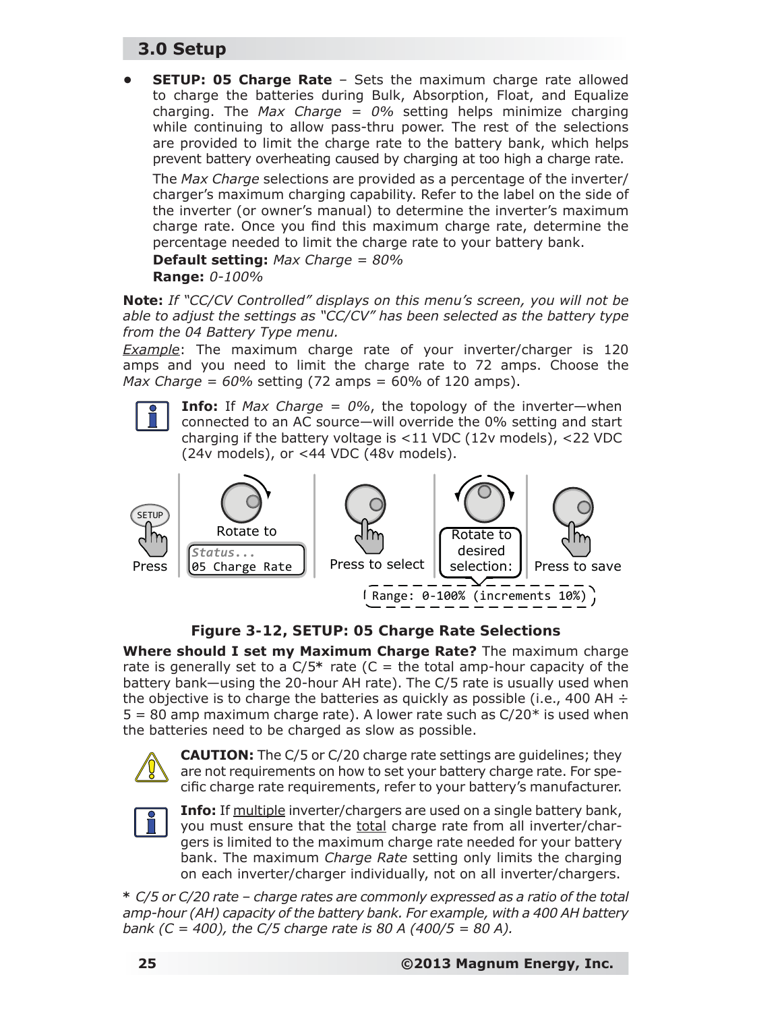**• SETUP: 05 Charge Rate** – Sets the maximum charge rate allowed to charge the batteries during Bulk, Absorption, Float, and Equalize charging. The *Max Charge = 0%* setting helps minimize charging while continuing to allow pass-thru power. The rest of the selections are provided to limit the charge rate to the battery bank, which helps prevent battery overheating caused by charging at too high a charge rate.

The *Max Charge* selections are provided as a percentage of the inverter/ charger's maximum charging capability. Refer to the label on the side of the inverter (or owner's manual) to determine the inverter's maximum charge rate. Once you find this maximum charge rate, determine the percentage needed to limit the charge rate to your battery bank.

**Default setting:** *Max Charge = 80%*

**Range:** *0-100%*

*Note: If "CC/CV Controlled" displays on this menu's screen, you will not be able to adjust the settings as "CC/CV" has been selected as the battery type from the 04 Battery Type menu.*

*Example*: The maximum charge rate of your inverter/charger is 120 amps and you need to limit the charge rate to 72 amps. Choose the *Max Charge = 60%* setting (72 amps = 60% of 120 amps).



**Info:** If *Max Charge = 0%*, the topology of the inverter—when connected to an AC source—will override the 0% setting and start charging if the battery voltage is <11 VDC (12v models), <22 VDC (24v models), or <44 VDC (48v models).



#### *Figure 3-12, SETUP: 05 Charge Rate Selections*

**Where should I set my Maximum Charge Rate?** The maximum charge rate is generally set to a  $C/5$ <sup>\*</sup> rate (C = the total amp-hour capacity of the battery bank—using the 20-hour AH rate). The C/5 rate is usually used when the objective is to charge the batteries as quickly as possible (i.e., 400 AH  $\div$  $5 = 80$  amp maximum charge rate). A lower rate such as  $C/20^*$  is used when the batteries need to be charged as slow as possible.



**CAUTION:** The C/5 or C/20 charge rate settings are guidelines; they are not requirements on how to set your battery charge rate. For specific charge rate requirements, refer to your battery's manufacturer.



**Info:** If multiple inverter/chargers are used on a single battery bank, you must ensure that the total charge rate from all inverter/chargers is limited to the maximum charge rate needed for your battery bank. The maximum *Charge Rate* setting only limits the charging on each inverter/charger individually, not on all inverter/chargers.

*\* C/5 or C/20 rate – charge rates are commonly expressed as a ratio of the total amp-hour (AH) capacity of the battery bank. For example, with a 400 AH battery bank (C = 400), the C/5 charge rate is 80 A (400/5 = 80 A).*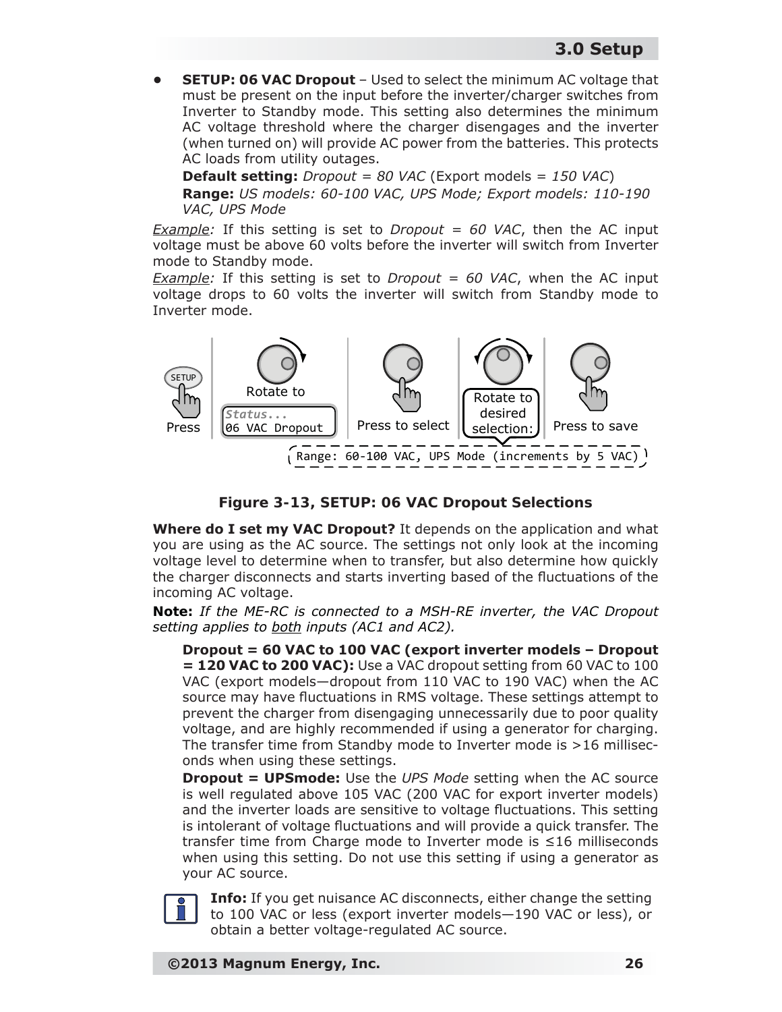**SETUP: 06 VAC Dropout** – Used to select the minimum AC voltage that must be present on the input before the inverter/charger switches from Inverter to Standby mode. This setting also determines the minimum AC voltage threshold where the charger disengages and the inverter (when turned on) will provide AC power from the batteries. This protects AC loads from utility outages.

**Default setting:** *Dropout = 80 VAC* (Export models = *150 VAC*) **Range:** *US models: 60-100 VAC, UPS Mode; Export models: 110-190 VAC, UPS Mode*

*Example:* If this setting is set to *Dropout = 60 VAC*, then the AC input voltage must be above 60 volts before the inverter will switch from Inverter mode to Standby mode.

*Example:* If this setting is set to *Dropout = 60 VAC*, when the AC input voltage drops to 60 volts the inverter will switch from Standby mode to Inverter mode.



#### *Figure 3-13, SETUP: 06 VAC Dropout Selections*

**Where do I set my VAC Dropout?** It depends on the application and what you are using as the AC source. The settings not only look at the incoming voltage level to determine when to transfer, but also determine how quickly the charger disconnects and starts inverting based of the fluctuations of the incoming AC voltage.

*Note: If the ME-RC is connected to a MSH-RE inverter, the VAC Dropout setting applies to both inputs (AC1 and AC2).*

**Dropout = 60 VAC to 100 VAC (export inverter models – Dropout = 120 VAC to 200 VAC):** Use a VAC dropout setting from 60 VAC to 100 VAC (export models—dropout from 110 VAC to 190 VAC) when the AC source may have fluctuations in RMS voltage. These settings attempt to prevent the charger from disengaging unnecessarily due to poor quality voltage, and are highly recommended if using a generator for charging. The transfer time from Standby mode to Inverter mode is >16 milliseconds when using these settings.

**Dropout = UPSmode:** Use the *UPS Mode* setting when the AC source is well regulated above 105 VAC (200 VAC for export inverter models) and the inverter loads are sensitive to voltage fluctuations. This setting is intolerant of voltage fluctuations and will provide a quick transfer. The transfer time from Charge mode to Inverter mode is ≤16 milliseconds when using this setting. Do not use this setting if using a generator as your AC source.



**Info:** If you get nuisance AC disconnects, either change the setting to 100 VAC or less (export inverter models—190 VAC or less), or obtain a better voltage-regulated AC source.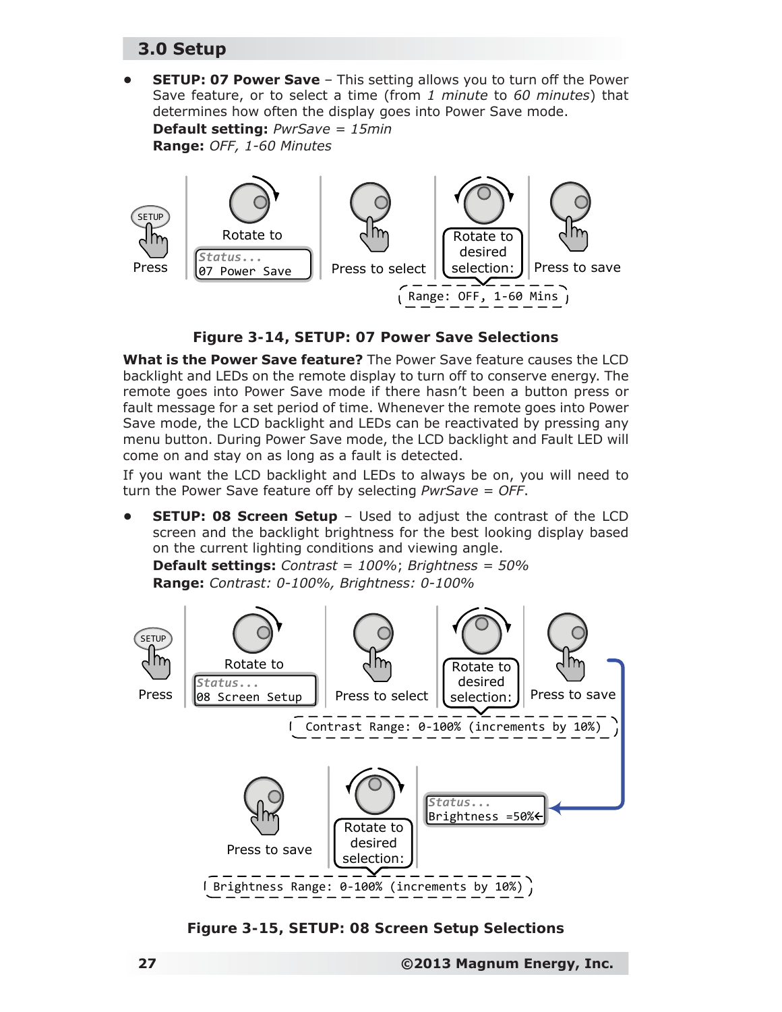**• SETUP: 07 Power Save** – This setting allows you to turn off the Power Save feature, or to select a time (from *1 minute* to *60 minutes*) that determines how often the display goes into Power Save mode. **Default setting:** *PwrSave = 15min*

**Range:** *OFF, 1-60 Minutes*



*Figure 3-14, SETUP: 07 Power Save Selections*

**What is the Power Save feature?** The Power Save feature causes the LCD backlight and LEDs on the remote display to turn off to conserve energy. The remote goes into Power Save mode if there hasn't been a button press or fault message for a set period of time. Whenever the remote goes into Power Save mode, the LCD backlight and LEDs can be reactivated by pressing any menu button. During Power Save mode, the LCD backlight and Fault LED will come on and stay on as long as a fault is detected.

If you want the LCD backlight and LEDs to always be on, you will need to turn the Power Save feature off by selecting *PwrSave = OFF*.

**SETUP: 08 Screen Setup** - Used to adjust the contrast of the LCD screen and the backlight brightness for the best looking display based on the current lighting conditions and viewing angle.

**Default settings:** *Contrast = 100%*; *Brightness = 50%* **Range:** *Contrast: 0-100%, Brightness: 0-100%*



*Figure 3-15, SETUP: 08 Screen Setup Selections*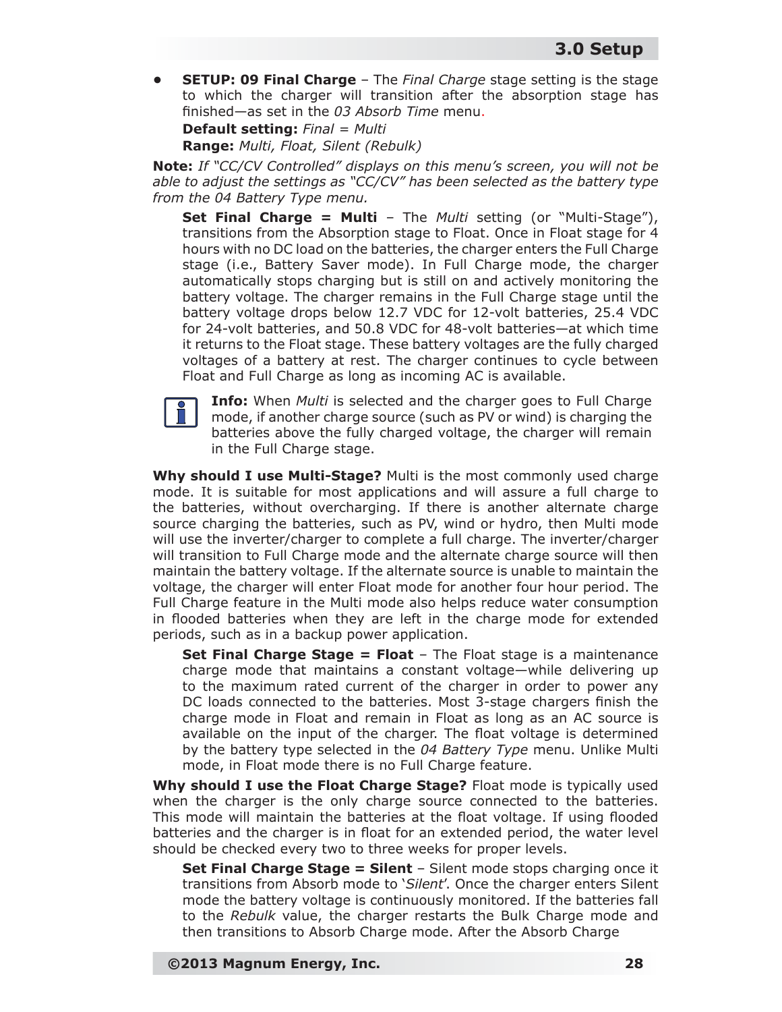**• SETUP: 09 Final Charge** – The *Final Charge* stage setting is the stage to which the charger will transition after the absorption stage has finished—as set in the 03 Absorb Time menu.

**Default setting:** *Final = Multi*

**Range:** *Multi, Float, Silent (Rebulk)*

*Note: If "CC/CV Controlled" displays on this menu's screen, you will not be able to adjust the settings as "CC/CV" has been selected as the battery type from the 04 Battery Type menu.*

**Set Final Charge = Multi** – The *Multi* setting (or "Multi-Stage"), transitions from the Absorption stage to Float. Once in Float stage for 4 hours with no DC load on the batteries, the charger enters the Full Charge stage (i.e., Battery Saver mode). In Full Charge mode, the charger automatically stops charging but is still on and actively monitoring the battery voltage. The charger remains in the Full Charge stage until the battery voltage drops below 12.7 VDC for 12-volt batteries, 25.4 VDC for 24-volt batteries, and 50.8 VDC for 48-volt batteries—at which time it returns to the Float stage. These battery voltages are the fully charged voltages of a battery at rest. The charger continues to cycle between Float and Full Charge as long as incoming AC is available.



**Info:** When *Multi* is selected and the charger goes to Full Charge mode, if another charge source (such as PV or wind) is charging the batteries above the fully charged voltage, the charger will remain in the Full Charge stage.

**Why should I use Multi-Stage?** Multi is the most commonly used charge mode. It is suitable for most applications and will assure a full charge to the batteries, without overcharging. If there is another alternate charge source charging the batteries, such as PV, wind or hydro, then Multi mode will use the inverter/charger to complete a full charge. The inverter/charger will transition to Full Charge mode and the alternate charge source will then maintain the battery voltage. If the alternate source is unable to maintain the voltage, the charger will enter Float mode for another four hour period. The Full Charge feature in the Multi mode also helps reduce water consumption in flooded batteries when they are left in the charge mode for extended periods, such as in a backup power application.

**Set Final Charge Stage = Float** - The Float stage is a maintenance charge mode that maintains a constant voltage—while delivering up to the maximum rated current of the charger in order to power any DC loads connected to the batteries. Most 3-stage chargers finish the charge mode in Float and remain in Float as long as an AC source is available on the input of the charger. The float voltage is determined by the battery type selected in the *04 Battery Type* menu. Unlike Multi mode, in Float mode there is no Full Charge feature.

**Why should I use the Float Charge Stage?** Float mode is typically used when the charger is the only charge source connected to the batteries. This mode will maintain the batteries at the float voltage. If using flooded batteries and the charger is in float for an extended period, the water level should be checked every two to three weeks for proper levels.

**Set Final Charge Stage = Silent** – Silent mode stops charging once it transitions from Absorb mode to '*Silent*'. Once the charger enters Silent mode the battery voltage is continuously monitored. If the batteries fall to the *Rebulk* value, the charger restarts the Bulk Charge mode and then transitions to Absorb Charge mode. After the Absorb Charge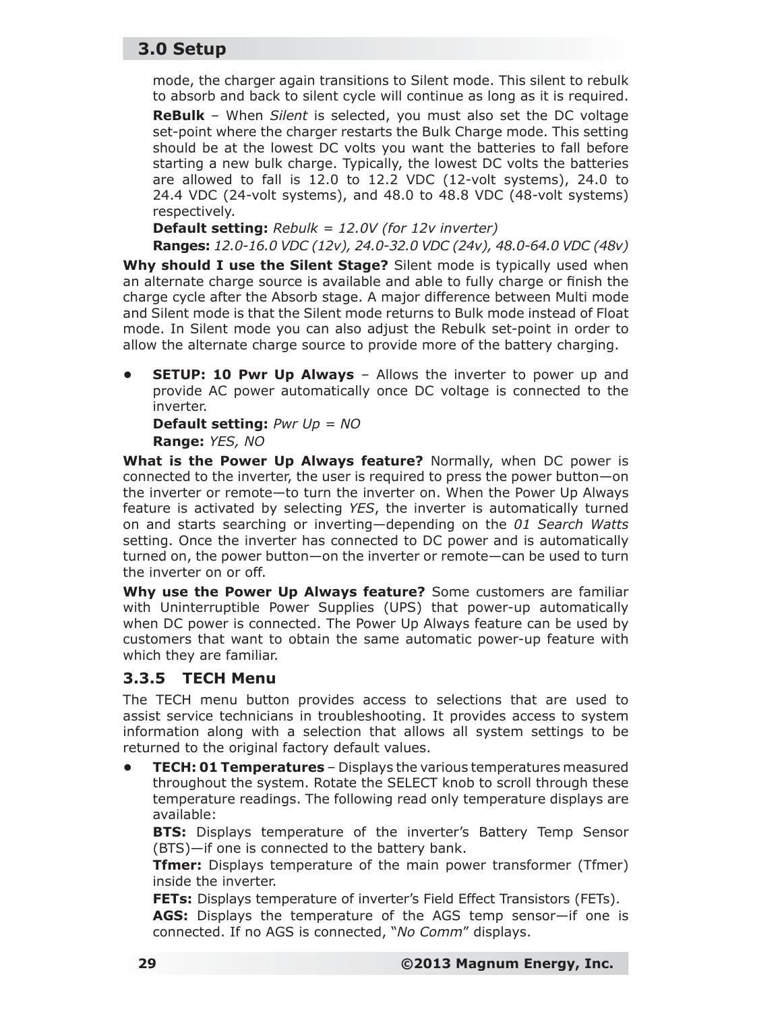mode, the charger again transitions to Silent mode. This silent to rebulk to absorb and back to silent cycle will continue as long as it is required.

**ReBulk** – When *Silent* is selected, you must also set the DC voltage set-point where the charger restarts the Bulk Charge mode. This setting should be at the lowest DC volts you want the batteries to fall before starting a new bulk charge. Typically, the lowest DC volts the batteries are allowed to fall is 12.0 to 12.2 VDC (12-volt systems), 24.0 to 24.4 VDC (24-volt systems), and 48.0 to 48.8 VDC (48-volt systems) respectively.

**Default setting:** *Rebulk = 12.0V (for 12v inverter)*

**Ranges:** *12.0-16.0 VDC (12v), 24.0-32.0 VDC (24v), 48.0-64.0 VDC (48v)*  **Why should I use the Silent Stage?** Silent mode is typically used when an alternate charge source is available and able to fully charge or finish the charge cycle after the Absorb stage. A major difference between Multi mode and Silent mode is that the Silent mode returns to Bulk mode instead of Float mode. In Silent mode you can also adjust the Rebulk set-point in order to allow the alternate charge source to provide more of the battery charging.

**SETUP: 10 Pwr Up Always** – Allows the inverter to power up and provide AC power automatically once DC voltage is connected to the inverter.

**Default setting:** *Pwr Up = NO* **Range:** *YES, NO*

**What is the Power Up Always feature?** Normally, when DC power is connected to the inverter, the user is required to press the power button—on the inverter or remote—to turn the inverter on. When the Power Up Always feature is activated by selecting *YES*, the inverter is automatically turned on and starts searching or inverting—depending on the *01 Search Watts* setting. Once the inverter has connected to DC power and is automatically turned on, the power button—on the inverter or remote—can be used to turn the inverter on or off.

**Why use the Power Up Always feature?** Some customers are familiar with Uninterruptible Power Supplies (UPS) that power-up automatically when DC power is connected. The Power Up Always feature can be used by customers that want to obtain the same automatic power-up feature with which they are familiar.

#### **3.3.5 TECH Menu**

The TECH menu button provides access to selections that are used to assist service technicians in troubleshooting. It provides access to system information along with a selection that allows all system settings to be returned to the original factory default values.

**• TECH: 01 Temperatures** – Displays the various temperatures measured throughout the system. Rotate the SELECT knob to scroll through these temperature readings. The following read only temperature displays are available:

**BTS:** Displays temperature of the inverter's Battery Temp Sensor (BTS)—if one is connected to the battery bank.

**Tfmer:** Displays temperature of the main power transformer (Tfmer) inside the inverter.

**FETs:** Displays temperature of inverter's Field Effect Transistors (FETs).

**AGS:** Displays the temperature of the AGS temp sensor—if one is connected. If no AGS is connected, "*No Comm*" displays.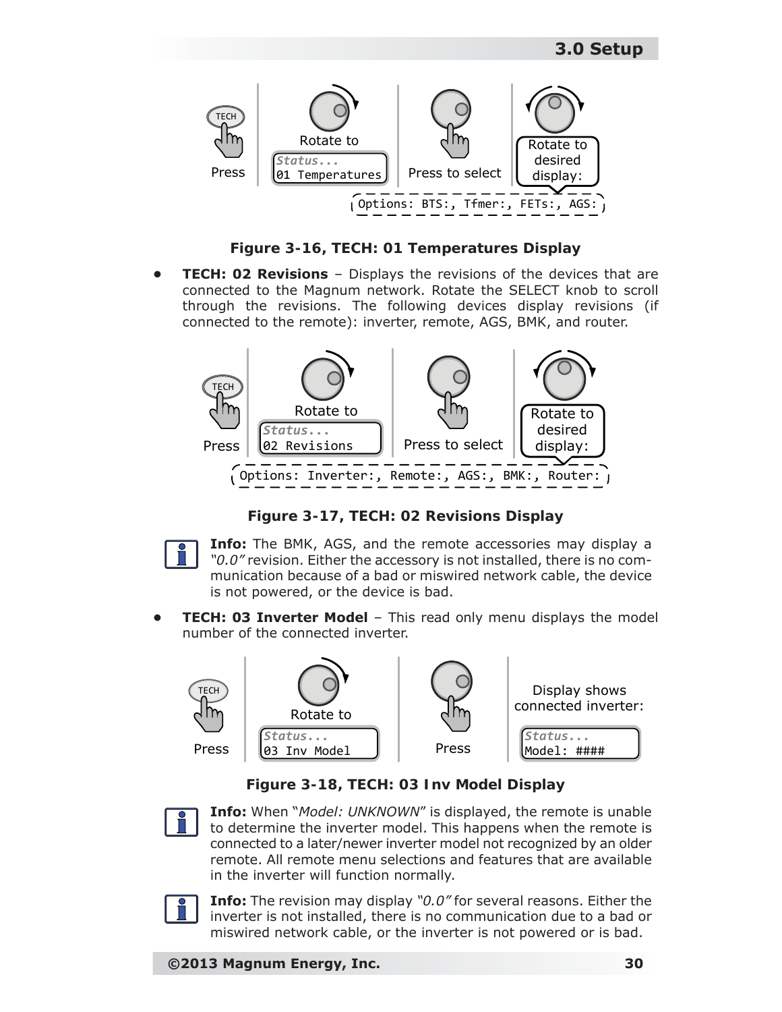

*Figure 3-16, TECH: 01 Temperatures Display*

**TECH: 02 Revisions** - Displays the revisions of the devices that are connected to the Magnum network. Rotate the SELECT knob to scroll through the revisions. The following devices display revisions (if connected to the remote): inverter, remote, AGS, BMK, and router.



*Figure 3-17, TECH: 02 Revisions Display*



**Info:** The BMK, AGS, and the remote accessories may display a *"0.0"* revision. Either the accessory is not installed, there is no communication because of a bad or miswired network cable, the device is not powered, or the device is bad.

**TECH: 03 Inverter Model** - This read only menu displays the model number of the connected inverter.



*Figure 3-18, TECH: 03 Inv Model Display*



**Info:** When "*Model: UNKNOWN*" is displayed, the remote is unable to determine the inverter model. This happens when the remote is connected to a later/newer inverter model not recognized by an older remote. All remote menu selections and features that are available in the inverter will function normally.



**Info:** The revision may display *"0.0"* for several reasons. Either the inverter is not installed, there is no communication due to a bad or miswired network cable, or the inverter is not powered or is bad.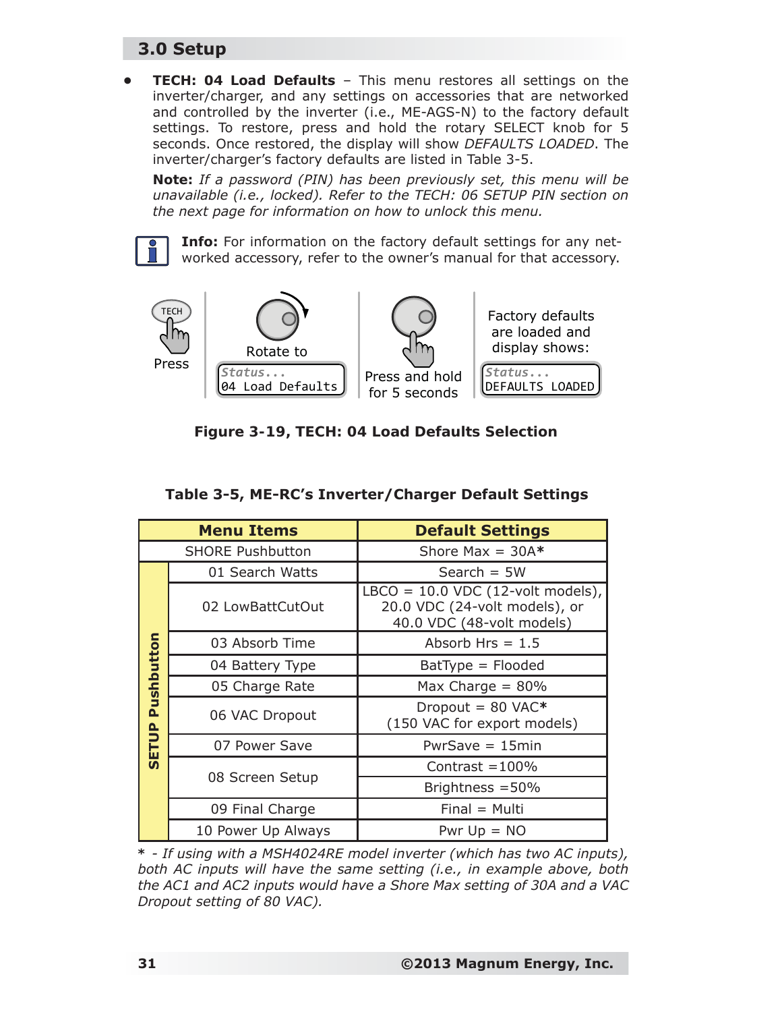## **3.0 Setup**

**• TECH: 04 Load Defaults** – This menu restores all settings on the inverter/charger, and any settings on accessories that are networked and controlled by the inverter (i.e., ME-AGS-N) to the factory default settings. To restore, press and hold the rotary SELECT knob for 5 seconds. Once restored, the display will show *DEFAULTS LOADED*. The inverter/charger's factory defaults are listed in Table 3-5.

*Note: If a password (PIN) has been previously set, this menu will be unavailable (i.e., locked). Refer to the TECH: 06 SETUP PIN section on the next page for information on how to unlock this menu.*

**Info:** For information on the factory default settings for any networked accessory, refer to the owner's manual for that accessory.



| Figure 3-19, TECH: 04 Load Defaults Selection |  |  |  |  |
|-----------------------------------------------|--|--|--|--|
|-----------------------------------------------|--|--|--|--|

| <b>Menu Items</b> |                         | <b>Default Settings</b>                                                                           |  |
|-------------------|-------------------------|---------------------------------------------------------------------------------------------------|--|
|                   | <b>SHORE Pushbutton</b> | Shore Max = $30A*$                                                                                |  |
|                   | 01 Search Watts         | Search $=$ 5W                                                                                     |  |
|                   | 02 LowBattCutOut        | LBCO = $10.0$ VDC (12-volt models),<br>20.0 VDC (24-volt models), or<br>40.0 VDC (48-volt models) |  |
|                   | 03 Absorb Time          | Absorb Hrs $= 1.5$                                                                                |  |
| Pushbutton        | 04 Battery Type         | $BatType = Flooded$                                                                               |  |
|                   | 05 Charge Rate          | Max Charge = $80\%$                                                                               |  |
|                   | 06 VAC Dropout          | Dropout = $80$ VAC*<br>(150 VAC for export models)                                                |  |
| SETUP             | 07 Power Save           | $PwrSave = 15min$                                                                                 |  |
|                   |                         | Contrast $=100\%$                                                                                 |  |
|                   | 08 Screen Setup         | Brightness $=$ 50%                                                                                |  |
|                   | 09 Final Charge         | $Final = Multi$                                                                                   |  |
|                   | 10 Power Up Always      | Pwr $Up = NO$                                                                                     |  |

#### **Table 3-5, ME-RC's Inverter/Charger Default Settings**

*\* - If using with a MSH4024RE model inverter (which has two AC inputs), both AC inputs will have the same setting (i.e., in example above, both the AC1 and AC2 inputs would have a Shore Max setting of 30A and a VAC Dropout setting of 80 VAC).*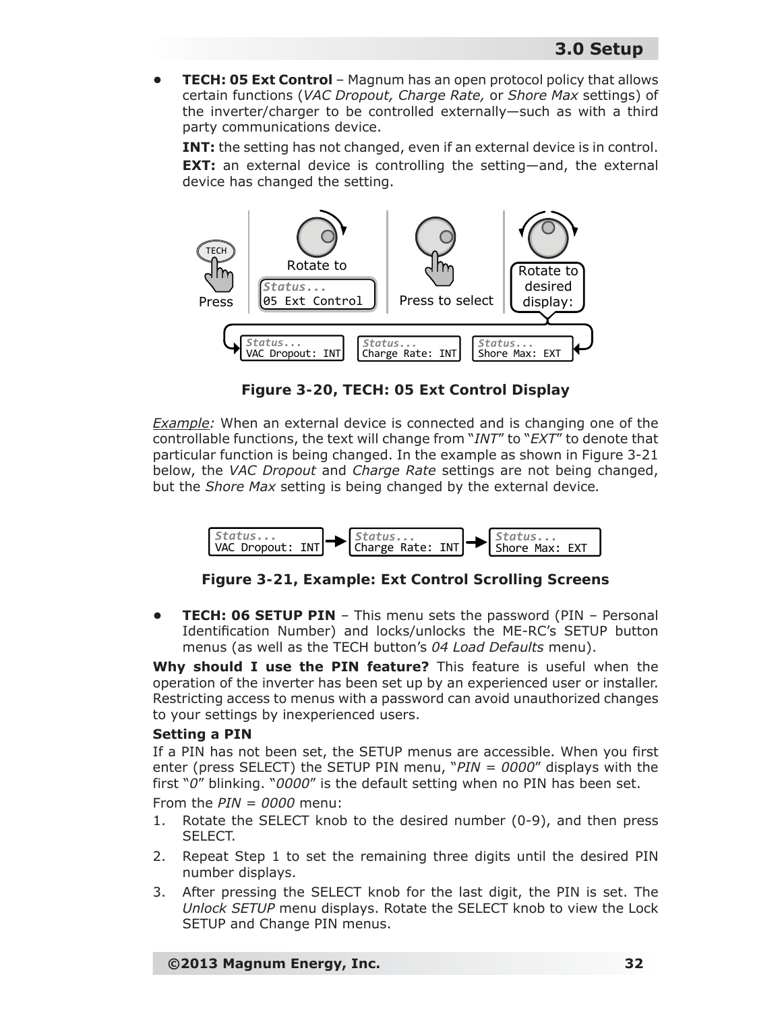**• TECH: 05 Ext Control** – Magnum has an open protocol policy that allows certain functions (*VAC Dropout, Charge Rate,* or *Shore Max* settings) of the inverter/charger to be controlled externally—such as with a third party communications device.

**INT:** the setting has not changed, even if an external device is in control. **EXT:** an external device is controlling the setting—and, the external device has changed the setting.



*Figure 3-20, TECH: 05 Ext Control Display*

*Example:* When an external device is connected and is changing one of the controllable functions, the text will change from "*INT*" to "*EXT*" to denote that particular function is being changed. In the example as shown in Figure 3-21 below, the *VAC Dropout* and *Charge Rate* settings are not being changed, but the *Shore Max* setting is being changed by the external device*.*



*Figure 3-21, Example: Ext Control Scrolling Screens*

**FECH: 06 SETUP PIN** – This menu sets the password (PIN – Personal Identification Number) and locks/unlocks the ME-RC's SETUP button menus (as well as the TECH button's *04 Load Defaults* menu).

**Why should I use the PIN feature?** This feature is useful when the operation of the inverter has been set up by an experienced user or installer. Restricting access to menus with a password can avoid unauthorized changes to your settings by inexperienced users.

#### **Setting a PIN**

If a PIN has not been set, the SETUP menus are accessible. When you first enter (press SELECT) the SETUP PIN menu, "*PIN = 0000*" displays with the first "*0*" blinking. "*0000*" is the default setting when no PIN has been set.

From the *PIN = 0000* menu:

- 1. Rotate the SELECT knob to the desired number (0-9), and then press SELECT.
- 2. Repeat Step 1 to set the remaining three digits until the desired PIN number displays.
- 3. After pressing the SELECT knob for the last digit, the PIN is set. The *Unlock SETUP* menu displays. Rotate the SELECT knob to view the Lock SETUP and Change PIN menus.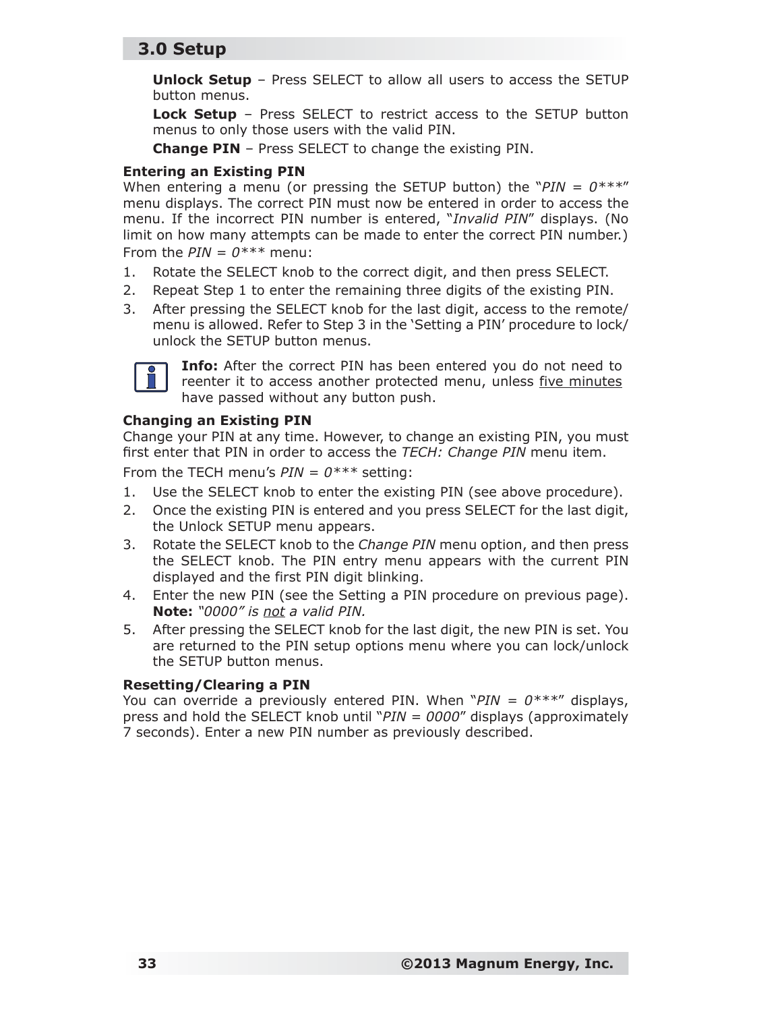### **3.0 Setup**

**Unlock Setup** – Press SELECT to allow all users to access the SETUP button menus.

**Lock Setup** – Press SELECT to restrict access to the SETUP button menus to only those users with the valid PIN.

**Change PIN** – Press SELECT to change the existing PIN.

#### **Entering an Existing PIN**

When entering a menu (or pressing the SETUP button) the " $PIN = 0***$ " menu displays. The correct PIN must now be entered in order to access the menu. If the incorrect PIN number is entered, "*Invalid PIN*" displays. (No limit on how many attempts can be made to enter the correct PIN number.) From the  $PIN = 0***$  menu:

- 1. Rotate the SELECT knob to the correct digit, and then press SELECT.
- 2. Repeat Step 1 to enter the remaining three digits of the existing PIN.
- 3. After pressing the SELECT knob for the last digit, access to the remote/ menu is allowed. Refer to Step 3 in the 'Setting a PIN' procedure to lock/ unlock the SETUP button menus.



**Info:** After the correct PIN has been entered you do not need to reenter it to access another protected menu, unless five minutes have passed without any button push.

#### **Changing an Existing PIN**

Change your PIN at any time. However, to change an existing PIN, you must first enter that PIN in order to access the *TECH: Change PIN* menu item.

From the TECH menu's *PIN = 0\*\*\** setting:

- 1. Use the SELECT knob to enter the existing PIN (see above procedure).
- 2. Once the existing PIN is entered and you press SELECT for the last digit, the Unlock SETUP menu appears.
- 3. Rotate the SELECT knob to the *Change PIN* menu option, and then press the SELECT knob. The PIN entry menu appears with the current PIN displayed and the first PIN digit blinking.
- 4. Enter the new PIN (see the Setting a PIN procedure on previous page). *Note: "0000" is not a valid PIN.*
- 5. After pressing the SELECT knob for the last digit, the new PIN is set. You are returned to the PIN setup options menu where you can lock/unlock the SETUP button menus.

#### **Resetting/Clearing a PIN**

You can override a previously entered PIN. When "*PIN = 0\*\*\**" displays, press and hold the SELECT knob until "*PIN = 0000*" displays (approximately 7 seconds). Enter a new PIN number as previously described.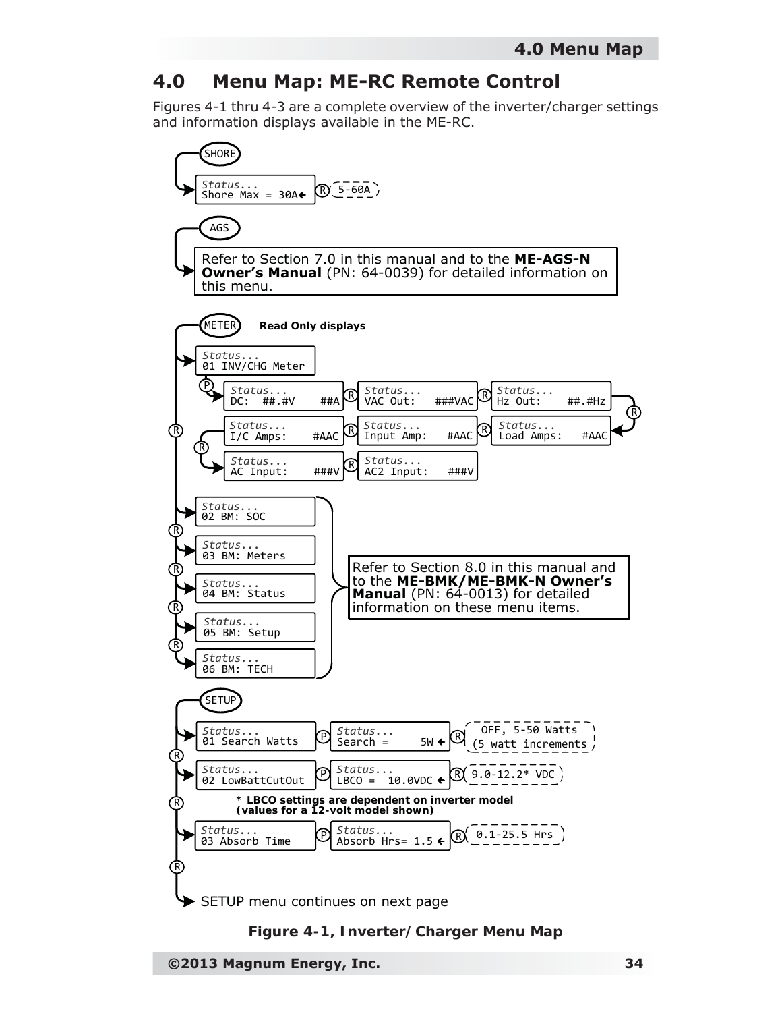## **4.0 Menu Map: ME-RC Remote Control**

Figures 4-1 thru 4-3 are a complete overview of the inverter/charger settings and information displays available in the ME-RC.





**©2013 Magnum Energy, Inc. 34**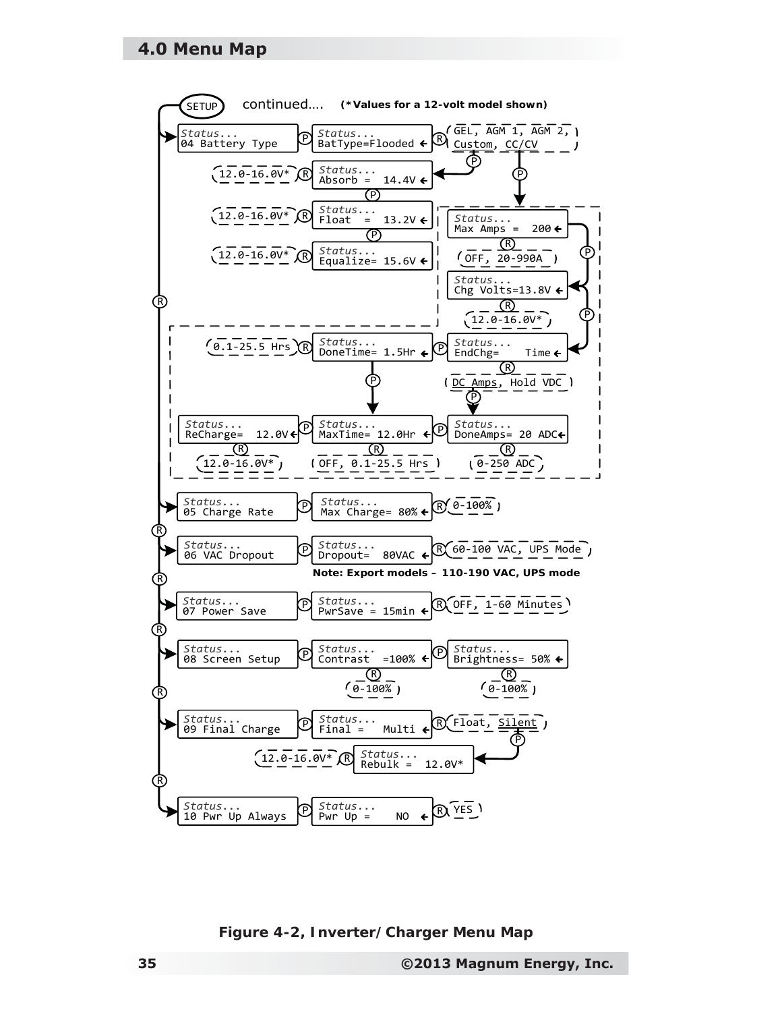#### **4.0 Menu Map**



*Figure 4-2, Inverter/Charger Menu Map*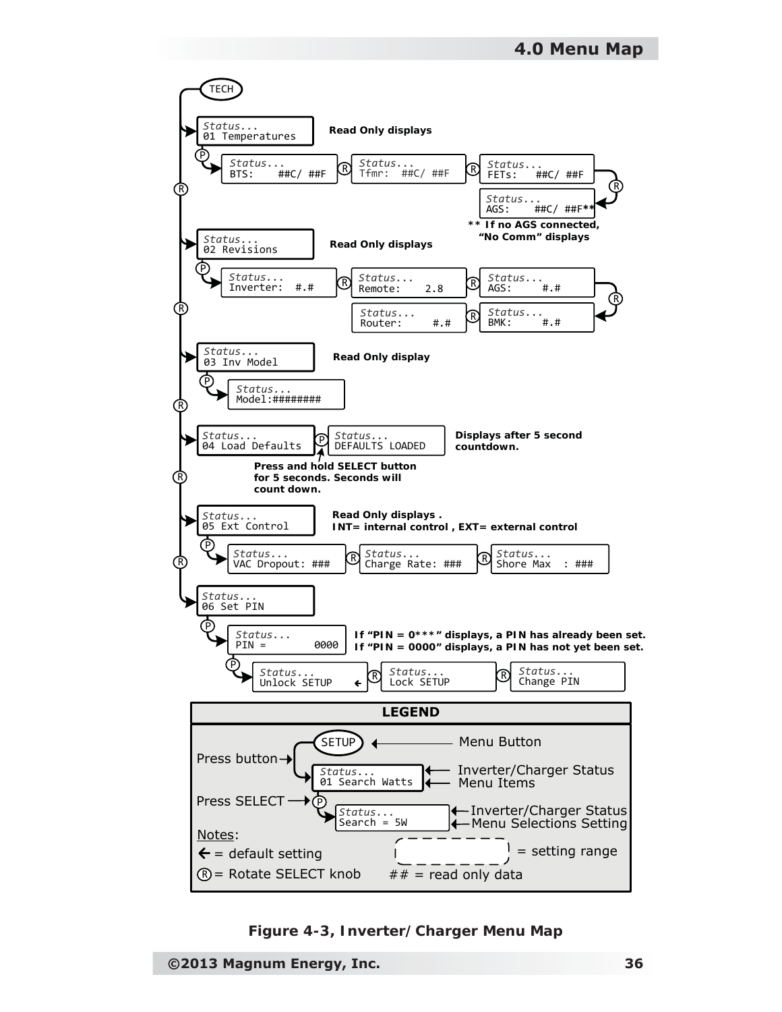

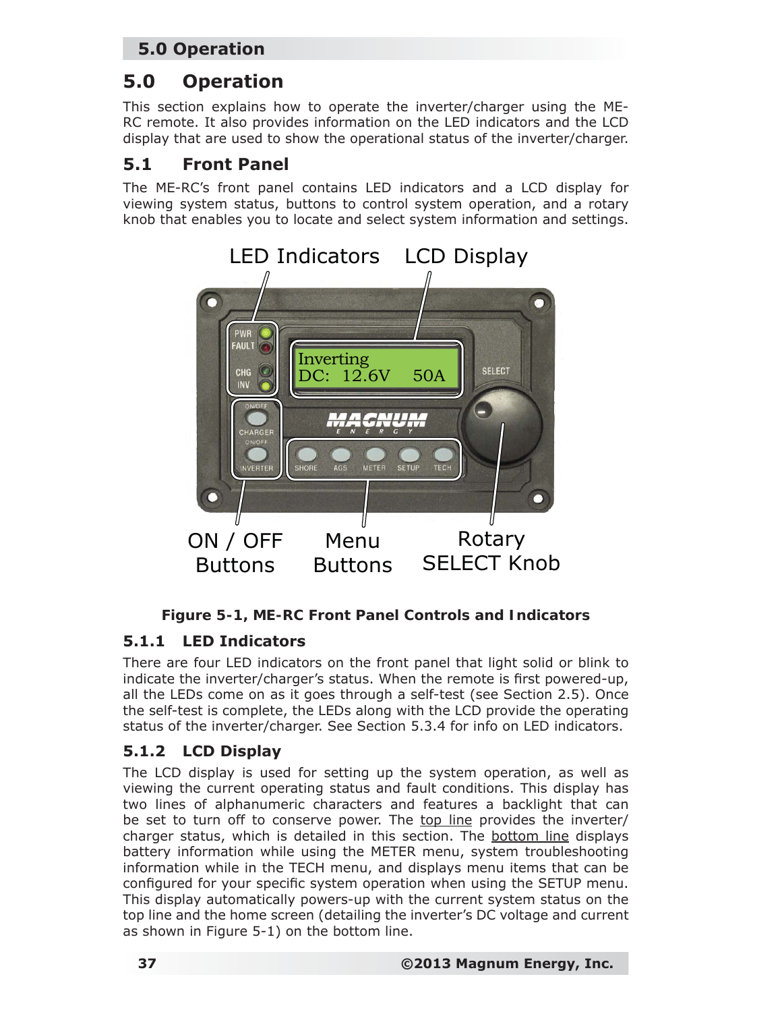# **5.0 Operation**

This section explains how to operate the inverter/charger using the ME-RC remote. It also provides information on the LED indicators and the LCD display that are used to show the operational status of the inverter/charger.

## **5.1 Front Panel**

The ME-RC's front panel contains LED indicators and a LCD display for viewing system status, buttons to control system operation, and a rotary knob that enables you to locate and select system information and settings.



### *Figure 5-1, ME-RC Front Panel Controls and Indicators*

### **5.1.1 LED Indicators**

There are four LED indicators on the front panel that light solid or blink to indicate the inverter/charger's status. When the remote is first powered-up, all the LEDs come on as it goes through a self-test (see Section 2.5). Once the self-test is complete, the LEDs along with the LCD provide the operating status of the inverter/charger. See Section 5.3.4 for info on LED indicators.

### **5.1.2 LCD Display**

The LCD display is used for setting up the system operation, as well as viewing the current operating status and fault conditions. This display has two lines of alphanumeric characters and features a backlight that can be set to turn off to conserve power. The top line provides the inverter/ charger status, which is detailed in this section. The bottom line displays battery information while using the METER menu, system troubleshooting information while in the TECH menu, and displays menu items that can be configured for your specific system operation when using the SETUP menu. This display automatically powers-up with the current system status on the top line and the home screen (detailing the inverter's DC voltage and current as shown in Figure 5-1) on the bottom line.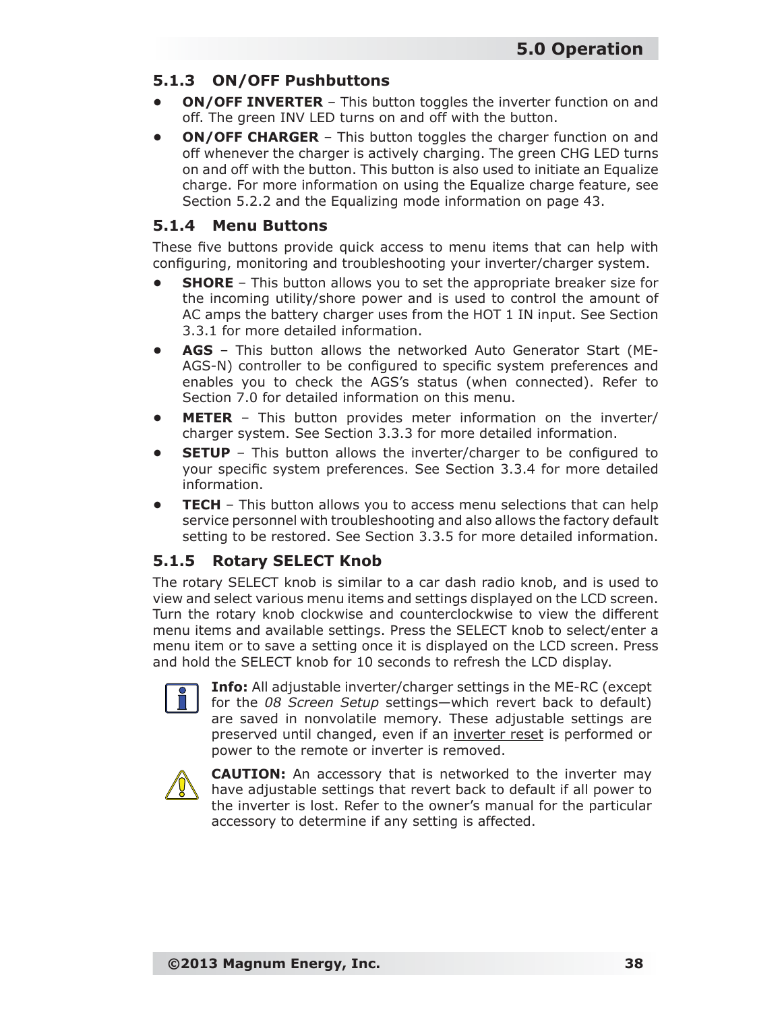### **5.1.3 ON/OFF Pushbuttons**

- **ON/OFF INVERTER** This button toggles the inverter function on and off. The green INV LED turns on and off with the button.
- **ON/OFF CHARGER** This button toggles the charger function on and off whenever the charger is actively charging. The green CHG LED turns on and off with the button. This button is also used to initiate an Equalize charge. For more information on using the Equalize charge feature, see Section 5.2.2 and the Equalizing mode information on page 43.

#### **5.1.4 Menu Buttons**

These five buttons provide quick access to menu items that can help with configuring, monitoring and troubleshooting your inverter/charger system.

- **SHORE** This button allows you to set the appropriate breaker size for the incoming utility/shore power and is used to control the amount of AC amps the battery charger uses from the HOT 1 IN input. See Section 3.3.1 for more detailed information.
- **AGS**  This button allows the networked Auto Generator Start (ME-AGS-N) controller to be configured to specific system preferences and enables you to check the AGS's status (when connected). Refer to Section 7.0 for detailed information on this menu.
- **METER**  This button provides meter information on the inverter/ charger system. See Section 3.3.3 for more detailed information.
- **SETUP** This button allows the inverter/charger to be configured to your specific system preferences. See Section 3.3.4 for more detailed information.
- **TECH**  This button allows you to access menu selections that can help service personnel with troubleshooting and also allows the factory default setting to be restored. See Section 3.3.5 for more detailed information.

### **5.1.5 Rotary SELECT Knob**

The rotary SELECT knob is similar to a car dash radio knob, and is used to view and select various menu items and settings displayed on the LCD screen. Turn the rotary knob clockwise and counterclockwise to view the different menu items and available settings. Press the SELECT knob to select/enter a menu item or to save a setting once it is displayed on the LCD screen. Press and hold the SELECT knob for 10 seconds to refresh the LCD display.



**Info:** All adjustable inverter/charger settings in the ME-RC (except for the *08 Screen Setup* settings—which revert back to default) are saved in nonvolatile memory. These adjustable settings are preserved until changed, even if an inverter reset is performed or power to the remote or inverter is removed.



**CAUTION:** An accessory that is networked to the inverter may have adjustable settings that revert back to default if all power to the inverter is lost. Refer to the owner's manual for the particular accessory to determine if any setting is affected.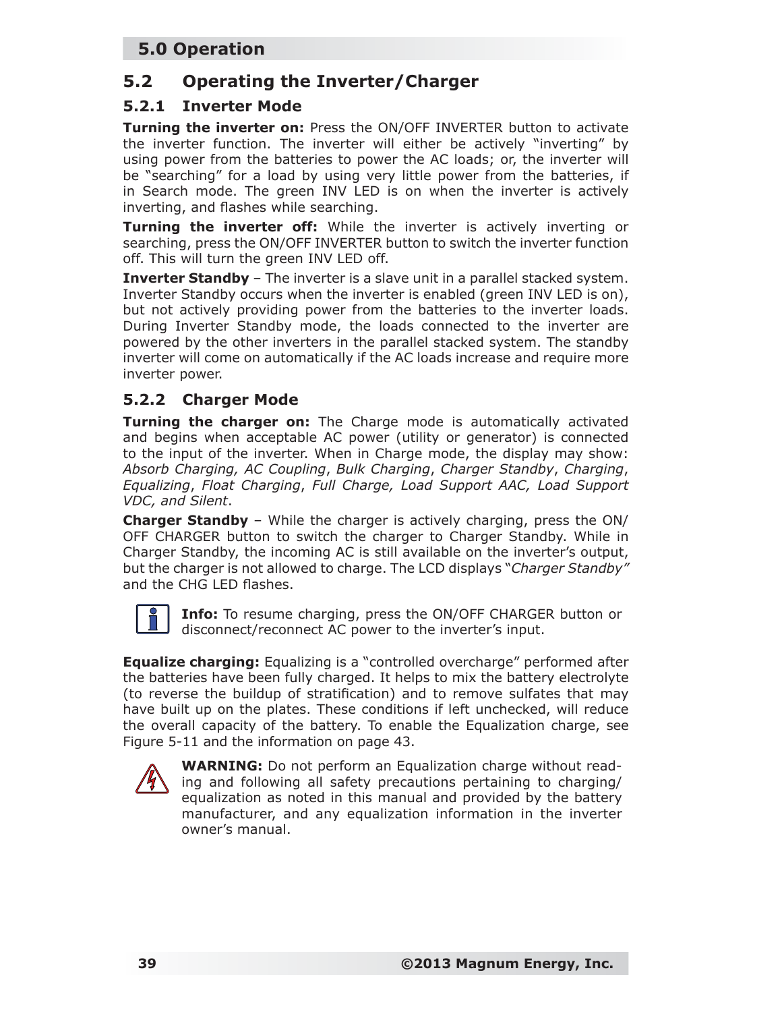### **5.2 Operating the Inverter/Charger**

#### **5.2.1 Inverter Mode**

**Turning the inverter on:** Press the ON/OFF INVERTER button to activate the inverter function. The inverter will either be actively "inverting" by using power from the batteries to power the AC loads; or, the inverter will be "searching" for a load by using very little power from the batteries, if in Search mode. The green INV LED is on when the inverter is actively inverting, and flashes while searching.

**Turning the inverter off:** While the inverter is actively inverting or searching, press the ON/OFF INVERTER button to switch the inverter function off. This will turn the green INV LED off.

**Inverter Standby** – The inverter is a slave unit in a parallel stacked system. Inverter Standby occurs when the inverter is enabled (green INV LED is on), but not actively providing power from the batteries to the inverter loads. During Inverter Standby mode, the loads connected to the inverter are powered by the other inverters in the parallel stacked system. The standby inverter will come on automatically if the AC loads increase and require more inverter power.

#### **5.2.2 Charger Mode**

**Turning the charger on:** The Charge mode is automatically activated and begins when acceptable AC power (utility or generator) is connected to the input of the inverter. When in Charge mode, the display may show: *Absorb Charging, AC Coupling*, *Bulk Charging*, *Charger Standby*, *Charging*, *Equalizing*, *Float Charging*, *Full Charge, Load Support AAC, Load Support VDC, and Silent*.

**Charger Standby** – While the charger is actively charging, press the ON/ OFF CHARGER button to switch the charger to Charger Standby. While in Charger Standby, the incoming AC is still available on the inverter's output, but the charger is not allowed to charge. The LCD displays "*Charger Standby"* and the CHG LED flashes.



**Info:** To resume charging, press the ON/OFF CHARGER button or disconnect/reconnect AC power to the inverter's input.

**Equalize charging:** Equalizing is a "controlled overcharge" performed after the batteries have been fully charged. It helps to mix the battery electrolyte (to reverse the buildup of stratification) and to remove sulfates that may have built up on the plates. These conditions if left unchecked, will reduce the overall capacity of the battery. To enable the Equalization charge, see Figure 5-11 and the information on page 43.



**WARNING:** Do not perform an Equalization charge without reading and following all safety precautions pertaining to charging/ equalization as noted in this manual and provided by the battery manufacturer, and any equalization information in the inverter owner's manual.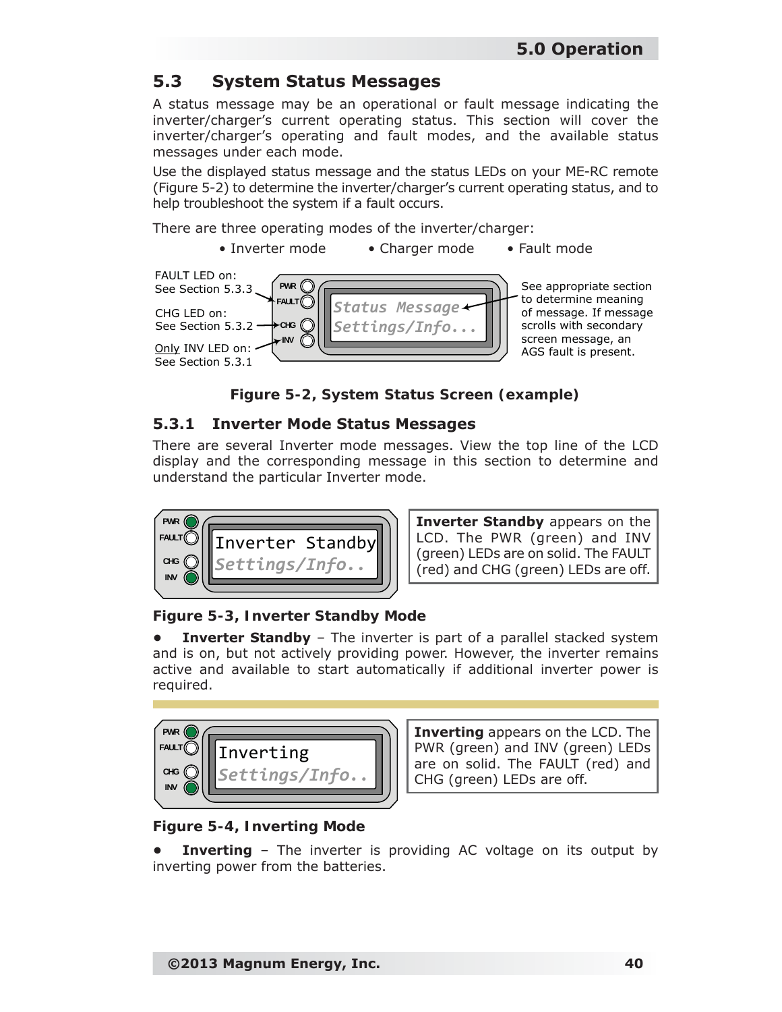### **5.3 System Status Messages**

A status message may be an operational or fault message indicating the inverter/charger's current operating status. This section will cover the inverter/charger's operating and fault modes, and the available status messages under each mode.

Use the displayed status message and the status LEDs on your ME-RC remote (Figure 5-2) to determine the inverter/charger's current operating status, and to help troubleshoot the system if a fault occurs.

There are three operating modes of the inverter/charger:

• Inverter mode • Charger mode • Fault mode



*Figure 5-2, System Status Screen (example)*

#### **5.3.1 Inverter Mode Status Messages**

There are several Inverter mode messages. View the top line of the LCD display and the corresponding message in this section to determine and understand the particular Inverter mode.



**Inverter Standby** appears on the LCD. The PWR (green) and INV (green) LEDs are on solid. The FAULT (red) and CHG (green) LEDs are off.

#### *Figure 5-3, Inverter Standby Mode*

**Inverter Standby** – The inverter is part of a parallel stacked system and is on, but not actively providing power. However, the inverter remains active and available to start automatically if additional inverter power is required.



**Inverting** appears on the LCD. The PWR (green) and INV (green) LEDs are on solid. The FAULT (red) and CHG (green) LEDs are off.

#### *Figure 5-4, Inverting Mode*

**Inverting** – The inverter is providing AC voltage on its output by inverting power from the batteries.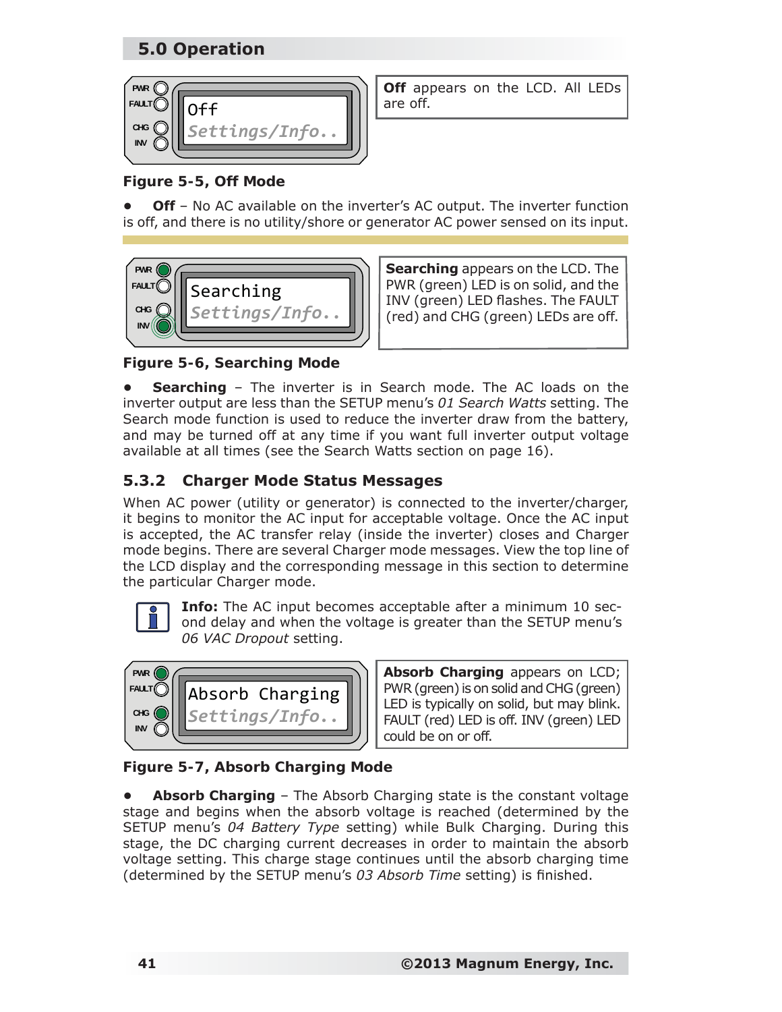

**Off** appears on the LCD. All LEDs

### *Figure 5-5, Off Mode*

**Off** – No AC available on the inverter's AC output. The inverter function is off, and there is no utility/shore or generator AC power sensed on its input.



**Searching** appears on the LCD. The PWR (green) LED is on solid, and the INV (green) LED flashes. The FAULT (red) and CHG (green) LEDs are off.

*Figure 5-6, Searching Mode*

**• Searching** – The inverter is in Search mode. The AC loads on the inverter output are less than the SETUP menu's *01 Search Watts* setting. The Search mode function is used to reduce the inverter draw from the battery, and may be turned off at any time if you want full inverter output voltage available at all times (see the Search Watts section on page 16).

### **5.3.2 Charger Mode Status Messages**

When AC power (utility or generator) is connected to the inverter/charger, it begins to monitor the AC input for acceptable voltage. Once the AC input is accepted, the AC transfer relay (inside the inverter) closes and Charger mode begins. There are several Charger mode messages. View the top line of the LCD display and the corresponding message in this section to determine the particular Charger mode.



**Info:** The AC input becomes acceptable after a minimum 10 second delay and when the voltage is greater than the SETUP menu's *06 VAC Dropout* setting.



**Absorb Charging** appears on LCD; PWR (green) is on solid and CHG (green) LED is typically on solid, but may blink. FAULT (red) LED is off. INV (green) LED could be on or off.

*Figure 5-7, Absorb Charging Mode*

**• Absorb Charging** – The Absorb Charging state is the constant voltage stage and begins when the absorb voltage is reached (determined by the SETUP menu's *04 Battery Type* setting) while Bulk Charging. During this stage, the DC charging current decreases in order to maintain the absorb voltage setting. This charge stage continues until the absorb charging time (determined by the SETUP menu's 03 Absorb Time setting) is finished.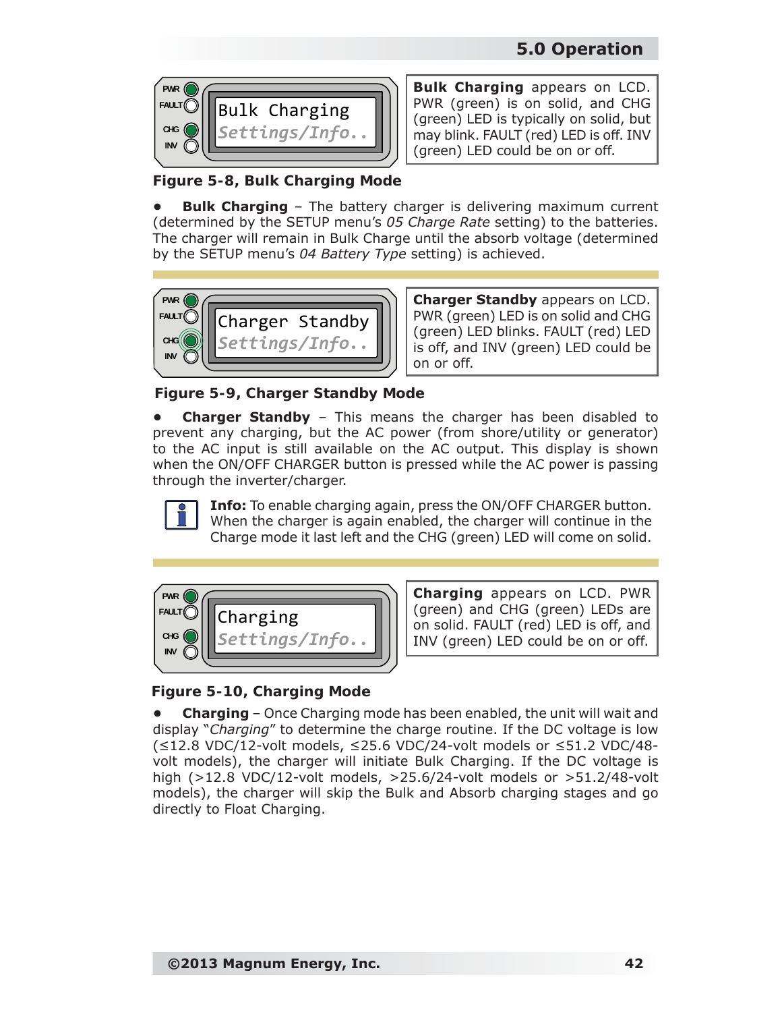

**Bulk Charging** appears on LCD. PWR (green) is on solid, and CHG (green) LED is typically on solid, but may blink. FAULT (red) LED is off. INV (green) LED could be on or off.

*Figure 5-8, Bulk Charging Mode*

**Bulk Charging** – The battery charger is delivering maximum current (determined by the SETUP menu's *05 Charge Rate* setting) to the batteries. The charger will remain in Bulk Charge until the absorb voltage (determined by the SETUP menu's *04 Battery Type* setting) is achieved.



**Charger Standby** appears on LCD. PWR (green) LED is on solid and CHG (green) LED blinks. FAULT (red) LED is off, and INV (green) LED could be on or off.

*Figure 5-9, Charger Standby Mode*

**• Charger Standby** – This means the charger has been disabled to prevent any charging, but the AC power (from shore/utility or generator) to the AC input is still available on the AC output. This display is shown when the ON/OFF CHARGER button is pressed while the AC power is passing through the inverter/charger.

**Info:** To enable charging again, press the ON/OFF CHARGER button. When the charger is again enabled, the charger will continue in the Charge mode it last left and the CHG (green) LED will come on solid.



**Charging** appears on LCD. PWR (green) and CHG (green) LEDs are on solid. FAULT (red) LED is off, and INV (green) LED could be on or off.

#### *Figure 5-10, Charging Mode*

**• Charging** – Once Charging mode has been enabled, the unit will wait and display "*Charging*" to determine the charge routine. If the DC voltage is low (≤12.8 VDC/12-volt models, ≤25.6 VDC/24-volt models or ≤51.2 VDC/48 volt models), the charger will initiate Bulk Charging. If the DC voltage is high (>12.8 VDC/12-volt models, >25.6/24-volt models or >51.2/48-volt models), the charger will skip the Bulk and Absorb charging stages and go directly to Float Charging.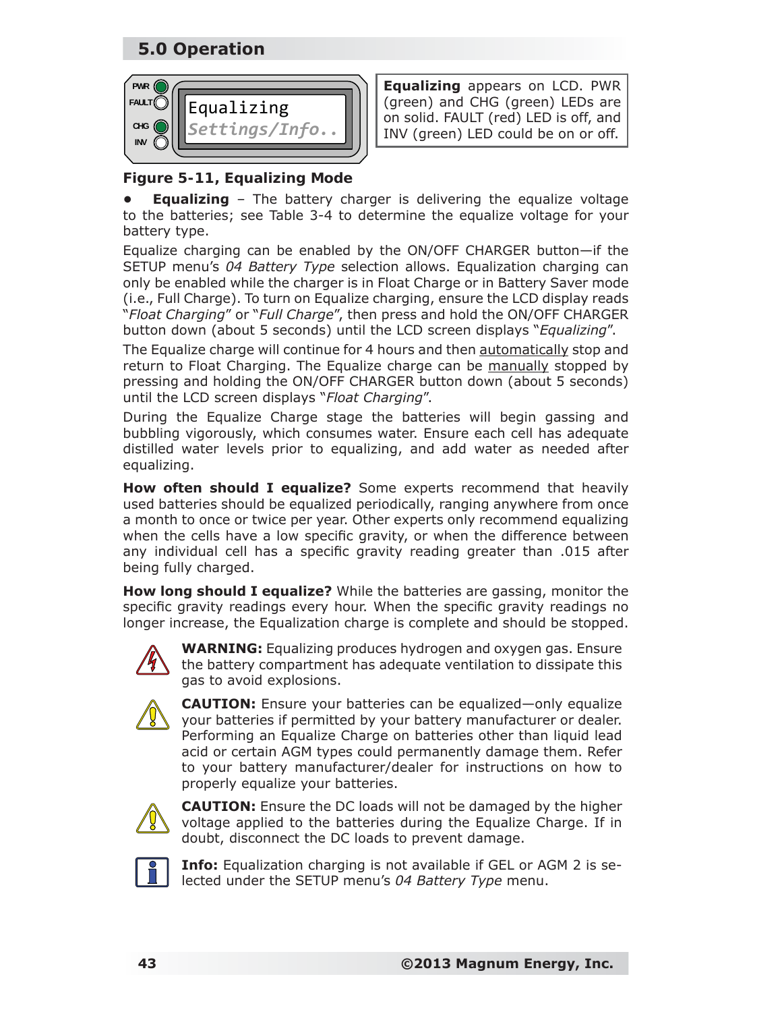

**Equalizing** appears on LCD. PWR (green) and CHG (green) LEDs are on solid. FAULT (red) LED is off, and INV (green) LED could be on or off.

### *Figure 5-11, Equalizing Mode*

**• Equalizing** – The battery charger is delivering the equalize voltage to the batteries; see Table 3-4 to determine the equalize voltage for your battery type.

Equalize charging can be enabled by the ON/OFF CHARGER button—if the SETUP menu's *04 Battery Type* selection allows. Equalization charging can only be enabled while the charger is in Float Charge or in Battery Saver mode (i.e., Full Charge). To turn on Equalize charging, ensure the LCD display reads "*Float Charging*" or "*Full Charge*", then press and hold the ON/OFF CHARGER button down (about 5 seconds) until the LCD screen displays "*Equalizing*".

The Equalize charge will continue for 4 hours and then automatically stop and return to Float Charging. The Equalize charge can be manually stopped by pressing and holding the ON/OFF CHARGER button down (about 5 seconds) until the LCD screen displays "*Float Charging*".

During the Equalize Charge stage the batteries will begin gassing and bubbling vigorously, which consumes water. Ensure each cell has adequate distilled water levels prior to equalizing, and add water as needed after equalizing.

**How often should I equalize?** Some experts recommend that heavily used batteries should be equalized periodically, ranging anywhere from once a month to once or twice per year. Other experts only recommend equalizing when the cells have a low specific gravity, or when the difference between any individual cell has a specific gravity reading greater than .015 after being fully charged.

**How long should I equalize?** While the batteries are gassing, monitor the specific gravity readings every hour. When the specific gravity readings no longer increase, the Equalization charge is complete and should be stopped.



**WARNING:** Equalizing produces hydrogen and oxygen gas. Ensure the battery compartment has adequate ventilation to dissipate this gas to avoid explosions.



**CAUTION:** Ensure your batteries can be equalized—only equalize your batteries if permitted by your battery manufacturer or dealer. Performing an Equalize Charge on batteries other than liquid lead acid or certain AGM types could permanently damage them. Refer to your battery manufacturer/dealer for instructions on how to properly equalize your batteries.



**CAUTION:** Ensure the DC loads will not be damaged by the higher voltage applied to the batteries during the Equalize Charge. If in doubt, disconnect the DC loads to prevent damage.



**Info:** Equalization charging is not available if GEL or AGM 2 is selected under the SETUP menu's *04 Battery Type* menu.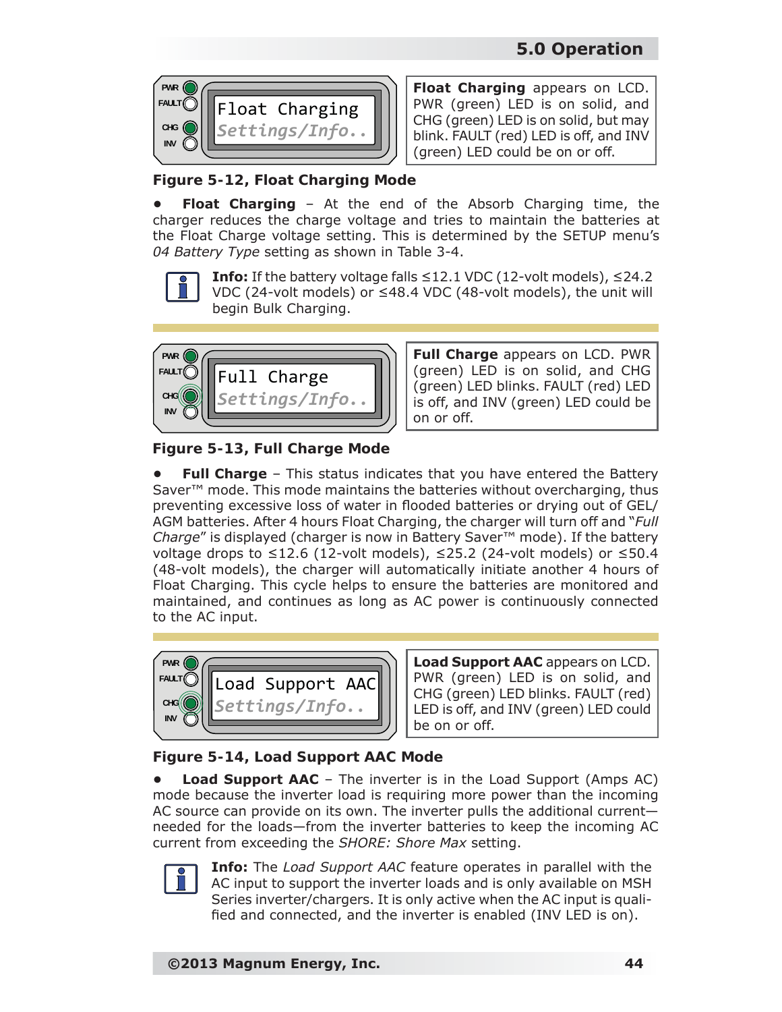

**Float Charging** appears on LCD. PWR (green) LED is on solid, and CHG (green) LED is on solid, but may blink. FAULT (red) LED is off, and INV (green) LED could be on or off.

*Figure 5-12, Float Charging Mode*

**• Float Charging** – At the end of the Absorb Charging time, the charger reduces the charge voltage and tries to maintain the batteries at the Float Charge voltage setting. This is determined by the SETUP menu's *04 Battery Type* setting as shown in Table 3-4.



**Info:** If the battery voltage falls  $\leq$ 12.1 VDC (12-volt models),  $\leq$ 24.2 VDC (24-volt models) or ≤48.4 VDC (48-volt models), the unit will begin Bulk Charging.



**Full Charge** appears on LCD. PWR (green) LED is on solid, and CHG (green) LED blinks. FAULT (red) LED is off, and INV (green) LED could be on or off.

*Figure 5-13, Full Charge Mode*

**Full Charge** – This status indicates that you have entered the Battery Saver<sup>™</sup> mode. This mode maintains the batteries without overcharging, thus preventing excessive loss of water in flooded batteries or drying out of GEL/ AGM batteries. After 4 hours Float Charging, the charger will turn off and "*Full Charge*" is displayed (charger is now in Battery Saver™ mode). If the battery voltage drops to ≤12.6 (12-volt models), ≤25.2 (24-volt models) or ≤50.4 (48-volt models), the charger will automatically initiate another 4 hours of Float Charging. This cycle helps to ensure the batteries are monitored and maintained, and continues as long as AC power is continuously connected to the AC input.



**Load Support AAC** appears on LCD. PWR (green) LED is on solid, and CHG (green) LED blinks. FAULT (red) LED is off, and INV (green) LED could be on or off.

### *Figure 5-14, Load Support AAC Mode*

**Load Support AAC** – The inverter is in the Load Support (Amps AC) mode because the inverter load is requiring more power than the incoming AC source can provide on its own. The inverter pulls the additional current needed for the loads—from the inverter batteries to keep the incoming AC current from exceeding the *SHORE: Shore Max* setting.



**Info:** The *Load Support AAC* feature operates in parallel with the AC input to support the inverter loads and is only available on MSH Series inverter/chargers. It is only active when the AC input is qualified and connected, and the inverter is enabled (INV LED is on).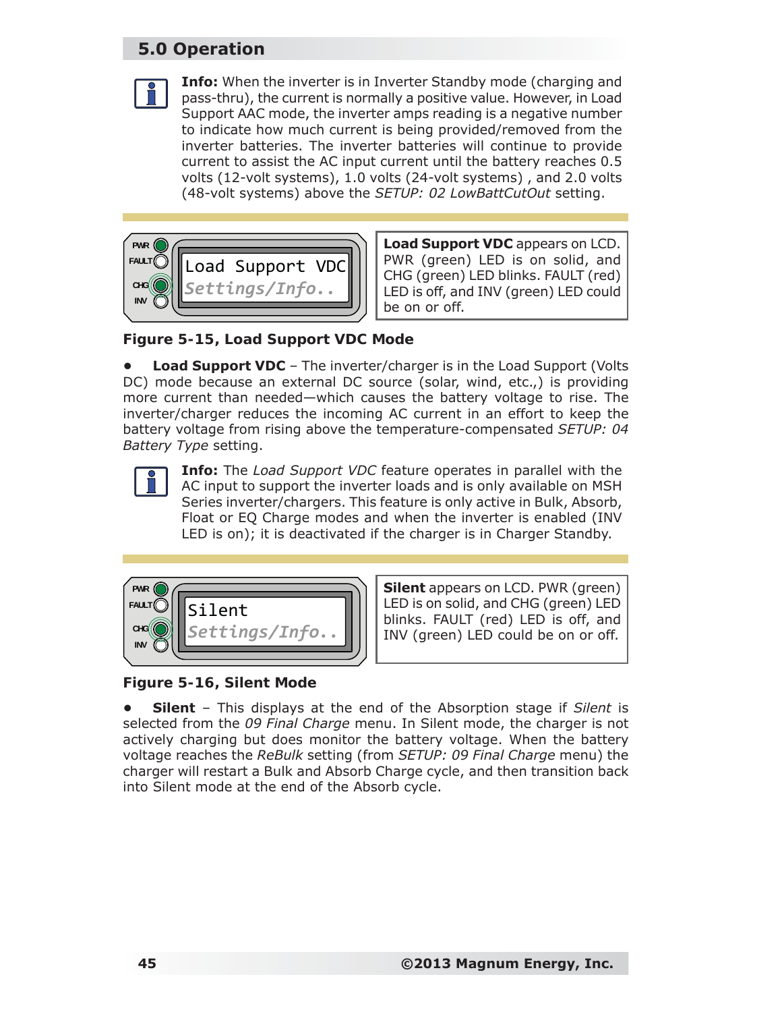



**Load Support VDC** appears on LCD. PWR (green) LED is on solid, and CHG (green) LED blinks. FAULT (red) LED is off, and INV (green) LED could be on or off.

*Figure 5-15, Load Support VDC Mode*

**Load Support VDC** – The inverter/charger is in the Load Support (Volts DC) mode because an external DC source (solar, wind, etc.,) is providing more current than needed—which causes the battery voltage to rise. The inverter/charger reduces the incoming AC current in an effort to keep the battery voltage from rising above the temperature-compensated *SETUP: 04 Battery Type* setting.



**Info:** The *Load Support VDC* feature operates in parallel with the AC input to support the inverter loads and is only available on MSH Series inverter/chargers. This feature is only active in Bulk, Absorb, Float or EQ Charge modes and when the inverter is enabled (INV LED is on); it is deactivated if the charger is in Charger Standby.



**Silent** appears on LCD. PWR (green) LED is on solid, and CHG (green) LED blinks. FAULT (red) LED is off, and INV (green) LED could be on or off.

*Figure 5-16, Silent Mode*

**• Silent** – This displays at the end of the Absorption stage if *Silent* is selected from the *09 Final Charge* menu. In Silent mode, the charger is not actively charging but does monitor the battery voltage. When the battery voltage reaches the *ReBulk* setting (from *SETUP: 09 Final Charge* menu) the charger will restart a Bulk and Absorb Charge cycle, and then transition back into Silent mode at the end of the Absorb cycle.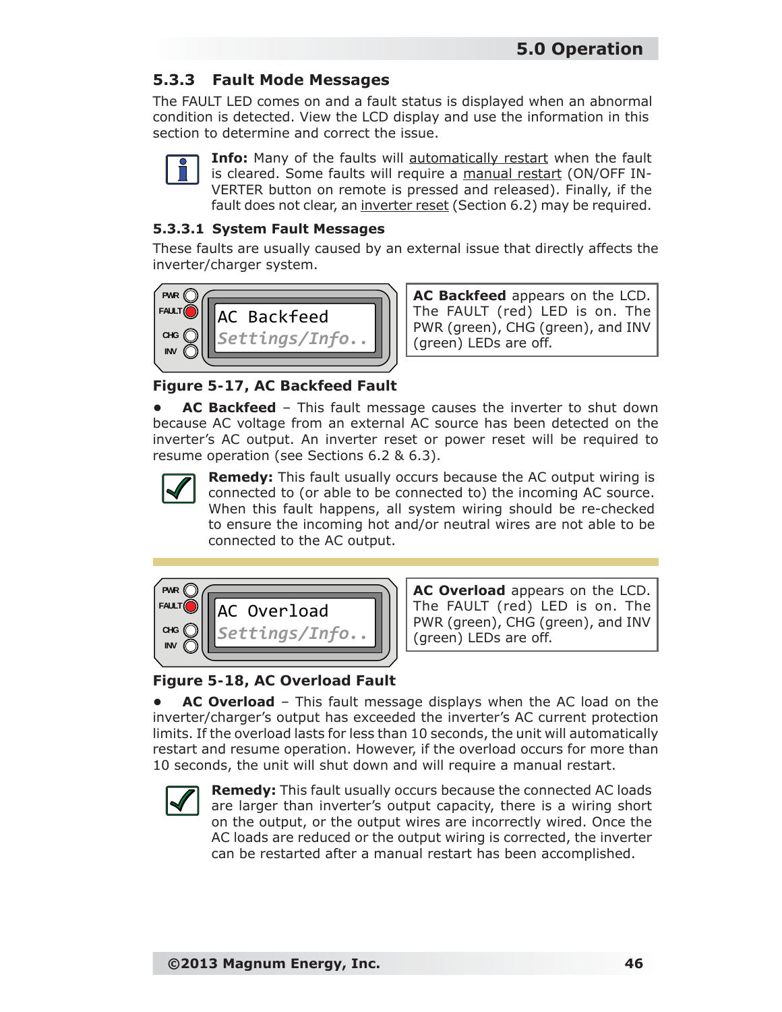### **5.3.3 Fault Mode Messages**

The FAULT LED comes on and a fault status is displayed when an abnormal condition is detected. View the LCD display and use the information in this section to determine and correct the issue.

|--|

**Info:** Many of the faults will automatically restart when the fault is cleared. Some faults will require a manual restart (ON/OFF IN-VERTER button on remote is pressed and released). Finally, if the fault does not clear, an inverter reset (Section 6.2) may be required.

#### **5.3.3.1 System Fault Messages**

These faults are usually caused by an external issue that directly affects the inverter/charger system.



**AC Backfeed** appears on the LCD. The FAULT (red) LED is on. The PWR (green), CHG (green), and INV (green) LEDs are off.

*Figure 5-17, AC Backfeed Fault*

**• AC Backfeed** – This fault message causes the inverter to shut down because AC voltage from an external AC source has been detected on the inverter's AC output. An inverter reset or power reset will be required to resume operation (see Sections 6.2 & 6.3).



**Remedy:** This fault usually occurs because the AC output wiring is connected to (or able to be connected to) the incoming AC source. When this fault happens, all system wiring should be re-checked to ensure the incoming hot and/or neutral wires are not able to be connected to the AC output.



**AC Overload** appears on the LCD. The FAULT (red) LED is on. The PWR (green), CHG (green), and INV (green) LEDs are off.

### *Figure 5-18, AC Overload Fault*

**• AC Overload** – This fault message displays when the AC load on the inverter/charger's output has exceeded the inverter's AC current protection limits. If the overload lasts for less than 10 seconds, the unit will automatically restart and resume operation. However, if the overload occurs for more than 10 seconds, the unit will shut down and will require a manual restart.



**Remedy:** This fault usually occurs because the connected AC loads are larger than inverter's output capacity, there is a wiring short on the output, or the output wires are incorrectly wired. Once the AC loads are reduced or the output wiring is corrected, the inverter can be restarted after a manual restart has been accomplished.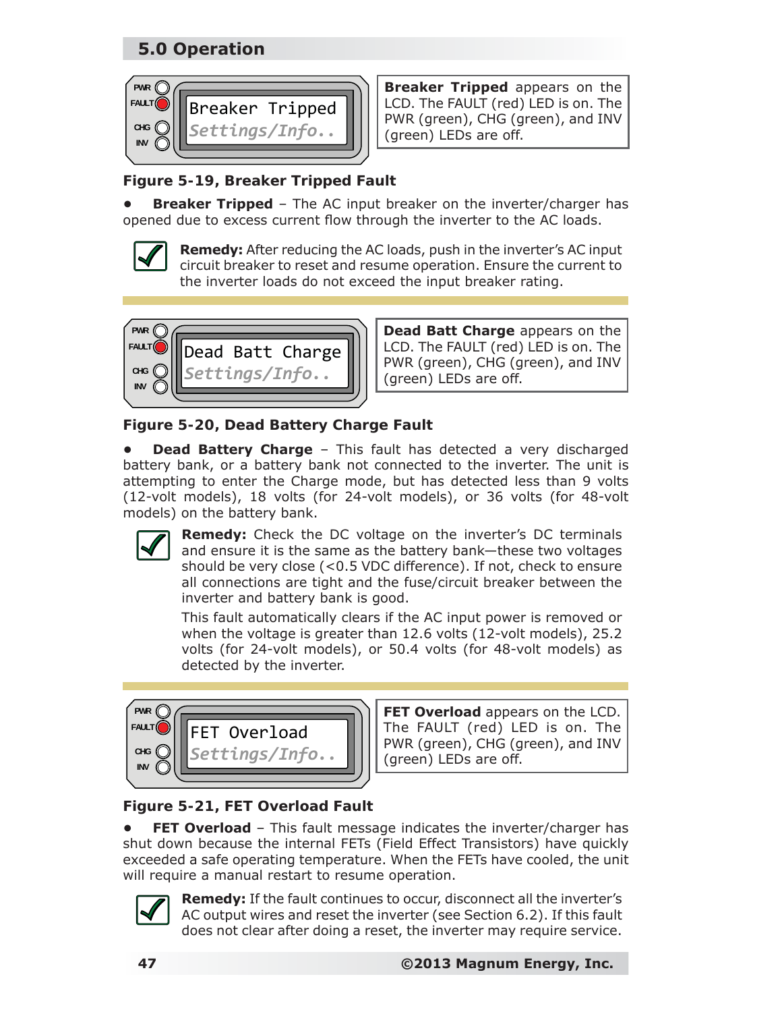

**Breaker Tripped** appears on the LCD. The FAULT (red) LED is on. The PWR (green), CHG (green), and INV (green) LEDs are off.

### *Figure 5-19, Breaker Tripped Fault*

**Breaker Tripped** - The AC input breaker on the inverter/charger has opened due to excess current flow through the inverter to the AC loads.



**Remedy:** After reducing the AC loads, push in the inverter's AC input circuit breaker to reset and resume operation. Ensure the current to the inverter loads do not exceed the input breaker rating.



**Dead Batt Charge** appears on the LCD. The FAULT (red) LED is on. The PWR (green), CHG (green), and INV (green) LEDs are off.

*Figure 5-20, Dead Battery Charge Fault*

**Dead Battery Charge** - This fault has detected a very discharged battery bank, or a battery bank not connected to the inverter. The unit is attempting to enter the Charge mode, but has detected less than 9 volts (12-volt models), 18 volts (for 24-volt models), or 36 volts (for 48-volt models) on the battery bank.



**Remedy:** Check the DC voltage on the inverter's DC terminals and ensure it is the same as the battery bank—these two voltages should be very close (<0.5 VDC difference). If not, check to ensure all connections are tight and the fuse/circuit breaker between the inverter and battery bank is good.

This fault automatically clears if the AC input power is removed or when the voltage is greater than 12.6 volts (12-volt models), 25.2 volts (for 24-volt models), or 50.4 volts (for 48-volt models) as detected by the inverter.



**FET Overload** appears on the LCD. The FAULT (red) LED is on. The PWR (green), CHG (green), and INV (green) LEDs are off.

## *Figure 5-21, FET Overload Fault*

**FET Overload** - This fault message indicates the inverter/charger has shut down because the internal FETs (Field Effect Transistors) have quickly exceeded a safe operating temperature. When the FETs have cooled, the unit will require a manual restart to resume operation.



**Remedy:** If the fault continues to occur, disconnect all the inverter's AC output wires and reset the inverter (see Section 6.2). If this fault does not clear after doing a reset, the inverter may require service.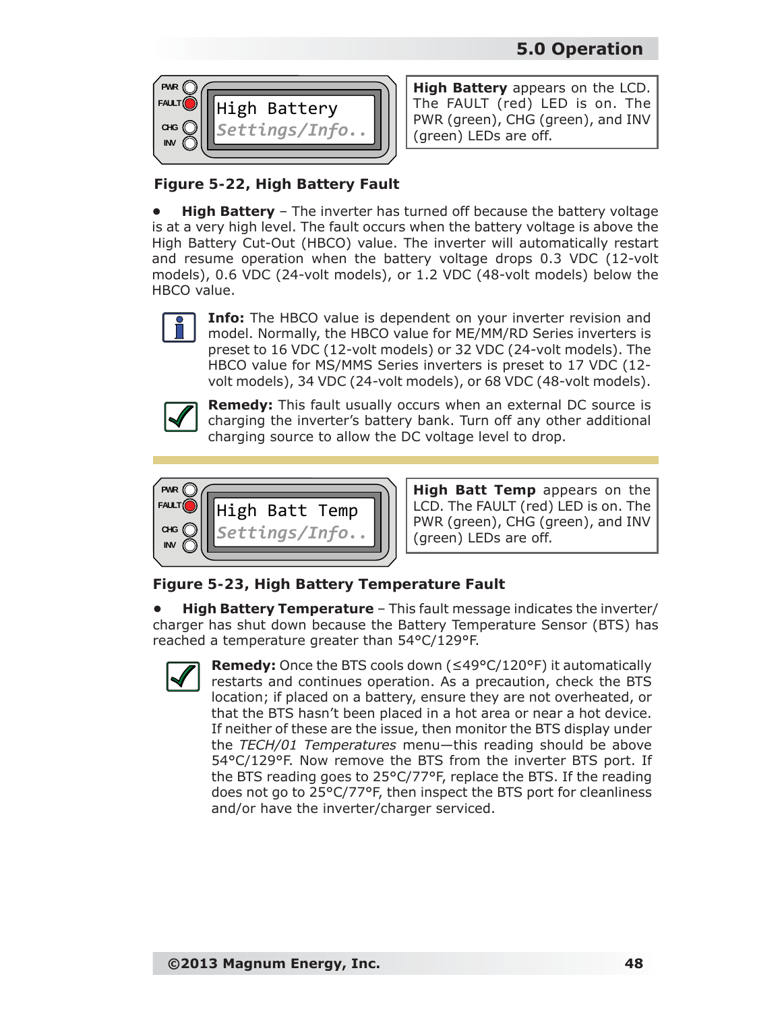

**High Battery** appears on the LCD. The FAULT (red) LED is on. The PWR (green), CHG (green), and INV (green) LEDs are off.

### *Figure 5-22, High Battery Fault*

**High Battery** - The inverter has turned off because the battery voltage is at a very high level. The fault occurs when the battery voltage is above the High Battery Cut-Out (HBCO) value. The inverter will automatically restart and resume operation when the battery voltage drops 0.3 VDC (12-volt models), 0.6 VDC (24-volt models), or 1.2 VDC (48-volt models) below the HBCO value.



**Info:** The HBCO value is dependent on your inverter revision and model. Normally, the HBCO value for ME/MM/RD Series inverters is preset to 16 VDC (12-volt models) or 32 VDC (24-volt models). The HBCO value for MS/MMS Series inverters is preset to 17 VDC (12 volt models), 34 VDC (24-volt models), or 68 VDC (48-volt models).



**Remedy:** This fault usually occurs when an external DC source is charging the inverter's battery bank. Turn off any other additional charging source to allow the DC voltage level to drop.



**High Batt Temp** appears on the LCD. The FAULT (red) LED is on. The PWR (green), CHG (green), and INV (green) LEDs are off.

### *Figure 5-23, High Battery Temperature Fault*

**• High Battery Temperature** – This fault message indicates the inverter/ charger has shut down because the Battery Temperature Sensor (BTS) has reached a temperature greater than 54°C/129°F.



**Remedy:** Once the BTS cools down (≤49°C/120°F) it automatically restarts and continues operation. As a precaution, check the BTS location; if placed on a battery, ensure they are not overheated, or that the BTS hasn't been placed in a hot area or near a hot device. If neither of these are the issue, then monitor the BTS display under the *TECH/01 Temperatures* menu—this reading should be above 54°C/129°F. Now remove the BTS from the inverter BTS port. If the BTS reading goes to 25°C/77°F, replace the BTS. If the reading does not go to 25°C/77°F, then inspect the BTS port for cleanliness and/or have the inverter/charger serviced.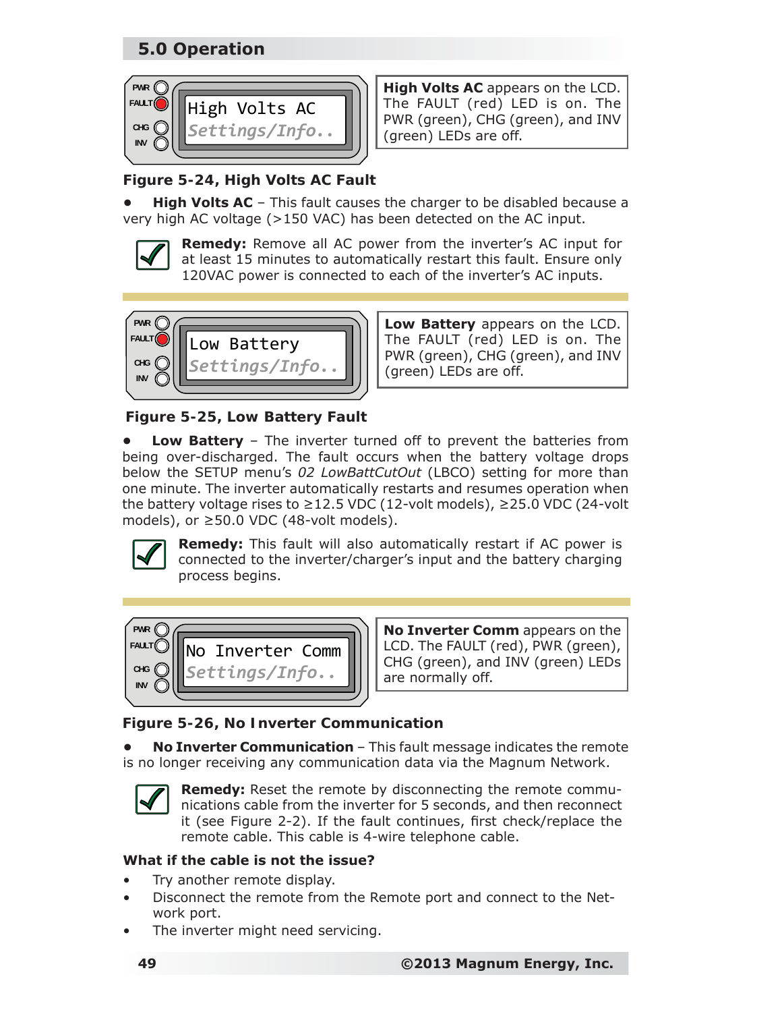

**High Volts AC** appears on the LCD. The FAULT (red) LED is on. The PWR (green), CHG (green), and INV (green) LEDs are off.

### *Figure 5-24, High Volts AC Fault*

**High Volts AC** – This fault causes the charger to be disabled because a very high AC voltage (>150 VAC) has been detected on the AC input.

**Remedy:** Remove all AC power from the inverter's AC input for at least 15 minutes to automatically restart this fault. Ensure only 120VAC power is connected to each of the inverter's AC inputs.



**Low Battery** appears on the LCD. The FAULT (red) LED is on. The PWR (green), CHG (green), and INV (green) LEDs are off.

### *Figure 5-25, Low Battery Fault*

**• Low Battery** – The inverter turned off to prevent the batteries from being over-discharged. The fault occurs when the battery voltage drops below the SETUP menu's *02 LowBattCutOut* (LBCO) setting for more than one minute. The inverter automatically restarts and resumes operation when the battery voltage rises to ≥12.5 VDC (12-volt models), ≥25.0 VDC (24-volt models), or ≥50.0 VDC (48-volt models).



**Remedy:** This fault will also automatically restart if AC power is connected to the inverter/charger's input and the battery charging process begins.



**No Inverter Comm** appears on the LCD. The FAULT (red), PWR (green), CHG (green), and INV (green) LEDs are normally off.

### *Figure 5-26, No Inverter Communication*

**• No Inverter Communication** – This fault message indicates the remote is no longer receiving any communication data via the Magnum Network.



**Remedy:** Reset the remote by disconnecting the remote communications cable from the inverter for 5 seconds, and then reconnect it (see Figure 2-2). If the fault continues, first check/replace the remote cable. This cable is 4-wire telephone cable.

#### **What if the cable is not the issue?**

- Try another remote display.
- Disconnect the remote from the Remote port and connect to the Network port.
- The inverter might need servicing.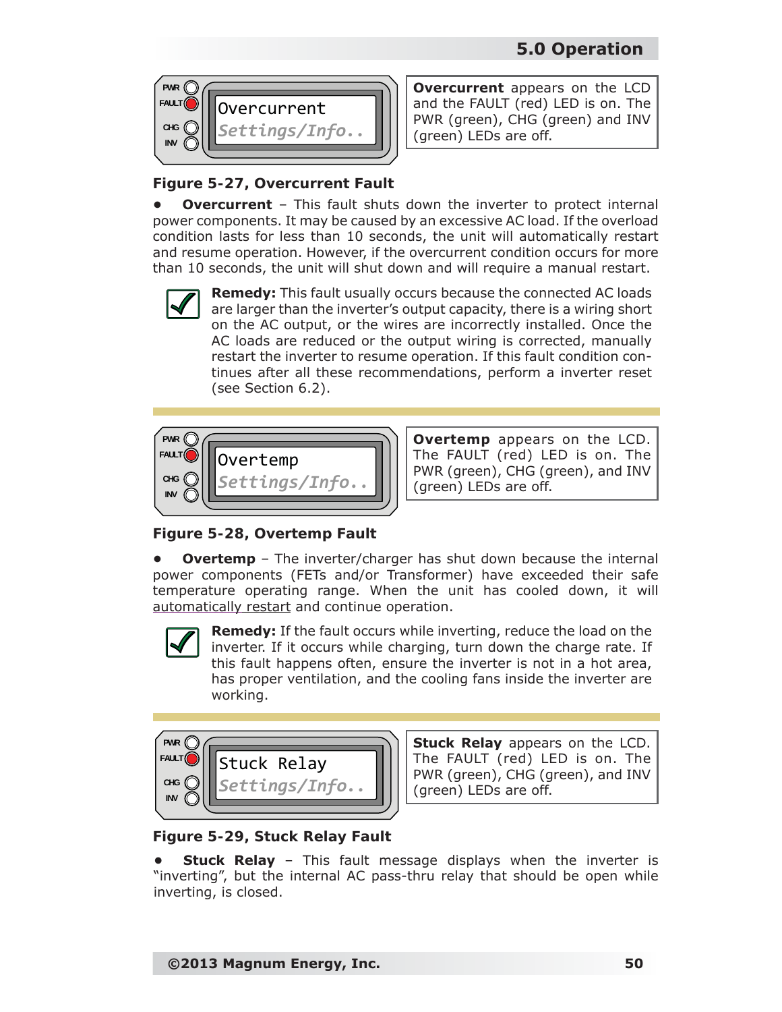

**Overcurrent** appears on the LCD and the FAULT (red) LED is on. The PWR (green), CHG (green) and INV (green) LEDs are off.

### *Figure 5-27, Overcurrent Fault*

**Overcurrent** – This fault shuts down the inverter to protect internal power components. It may be caused by an excessive AC load. If the overload condition lasts for less than 10 seconds, the unit will automatically restart and resume operation. However, if the overcurrent condition occurs for more than 10 seconds, the unit will shut down and will require a manual restart.



**Remedy:** This fault usually occurs because the connected AC loads are larger than the inverter's output capacity, there is a wiring short on the AC output, or the wires are incorrectly installed. Once the AC loads are reduced or the output wiring is corrected, manually restart the inverter to resume operation. If this fault condition continues after all these recommendations, perform a inverter reset (see Section 6.2).



**Overtemp** appears on the LCD. The FAULT (red) LED is on. The PWR (green), CHG (green), and INV (green) LEDs are off.

*Figure 5-28, Overtemp Fault*

**Overtemp** – The inverter/charger has shut down because the internal power components (FETs and/or Transformer) have exceeded their safe temperature operating range. When the unit has cooled down, it will automatically restart and continue operation.



**Remedy:** If the fault occurs while inverting, reduce the load on the inverter. If it occurs while charging, turn down the charge rate. If this fault happens often, ensure the inverter is not in a hot area, has proper ventilation, and the cooling fans inside the inverter are working.

| <b>PWR</b>  |               |  |
|-------------|---------------|--|
| <b>FAUL</b> | Stuck Relay   |  |
| <b>CHG</b>  | Settings/Info |  |
| <b>INV</b>  |               |  |

**Stuck Relay** appears on the LCD. The FAULT (red) LED is on. The PWR (green), CHG (green), and INV (green) LEDs are off.

### *Figure 5-29, Stuck Relay Fault*

**Stuck Relay** – This fault message displays when the inverter is "inverting", but the internal AC pass-thru relay that should be open while inverting, is closed.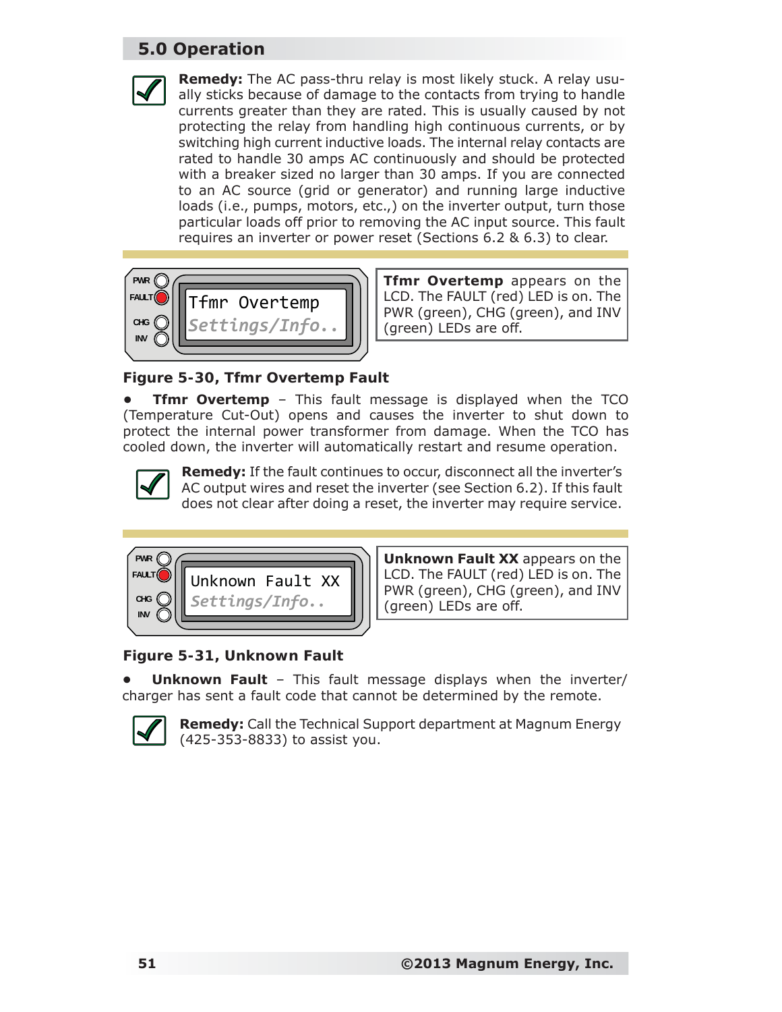



**Tfmr Overtemp** appears on the LCD. The FAULT (red) LED is on. The PWR (green), CHG (green), and INV (green) LEDs are off.

#### *Figure 5-30, Tfmr Overtemp Fault*

**Tfmr Overtemp** - This fault message is displayed when the TCO (Temperature Cut-Out) opens and causes the inverter to shut down to protect the internal power transformer from damage. When the TCO has cooled down, the inverter will automatically restart and resume operation.



**Remedy:** If the fault continues to occur, disconnect all the inverter's AC output wires and reset the inverter (see Section 6.2). If this fault does not clear after doing a reset, the inverter may require service.



**Unknown Fault XX** appears on the LCD. The FAULT (red) LED is on. The PWR (green), CHG (green), and INV (green) LEDs are off.

#### *Figure 5-31, Unknown Fault*

**Unknown Fault** – This fault message displays when the inverter/ charger has sent a fault code that cannot be determined by the remote.



**Remedy:** Call the Technical Support department at Magnum Energy (425-353-8833) to assist you.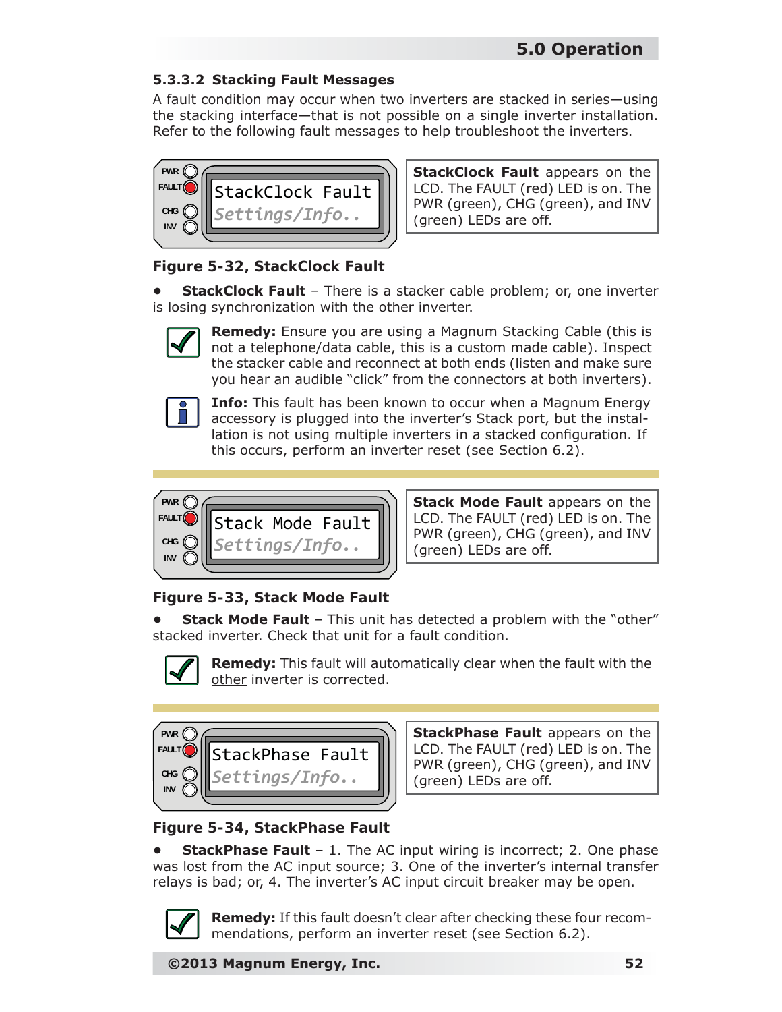#### **5.3.3.2 Stacking Fault Messages**

A fault condition may occur when two inverters are stacked in series—using the stacking interface—that is not possible on a single inverter installation. Refer to the following fault messages to help troubleshoot the inverters.



**StackClock Fault** appears on the LCD. The FAULT (red) LED is on. The PWR (green), CHG (green), and INV (green) LEDs are off.

#### *Figure 5-32, StackClock Fault*

**• StackClock Fault** – There is a stacker cable problem; or, one inverter is losing synchronization with the other inverter.



**Remedy:** Ensure you are using a Magnum Stacking Cable (this is not a telephone/data cable, this is a custom made cable). Inspect the stacker cable and reconnect at both ends (listen and make sure you hear an audible "click" from the connectors at both inverters).



**Info:** This fault has been known to occur when a Magnum Energy accessory is plugged into the inverter's Stack port, but the installation is not using multiple inverters in a stacked configuration. If this occurs, perform an inverter reset (see Section 6.2).



**Stack Mode Fault** appears on the LCD. The FAULT (red) LED is on. The PWR (green), CHG (green), and INV (green) LEDs are off.

### *Figure 5-33, Stack Mode Fault*

**• Stack Mode Fault** – This unit has detected a problem with the "other" stacked inverter. Check that unit for a fault condition.



**Remedy:** This fault will automatically clear when the fault with the other inverter is corrected.

| PWR        |                  |
|------------|------------------|
| FAULT      | StackPhase Fault |
| CHG        | Settings/Info    |
| <b>INV</b> |                  |

**StackPhase Fault** appears on the LCD. The FAULT (red) LED is on. The PWR (green), CHG (green), and INV (green) LEDs are off.

### *Figure 5-34, StackPhase Fault*

**StackPhase Fault** - 1. The AC input wiring is incorrect; 2. One phase was lost from the AC input source; 3. One of the inverter's internal transfer relays is bad; or, 4. The inverter's AC input circuit breaker may be open.



**Remedy:** If this fault doesn't clear after checking these four recommendations, perform an inverter reset (see Section 6.2).

**©2013 Magnum Energy, Inc. 52**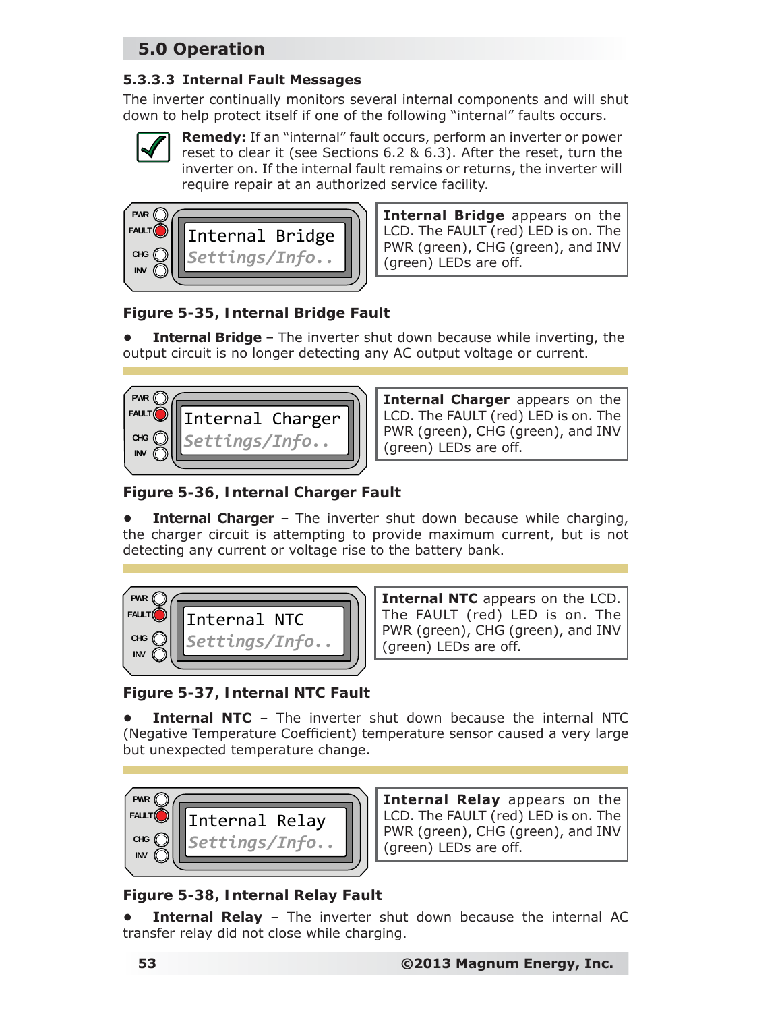#### **5.3.3.3 Internal Fault Messages**

The inverter continually monitors several internal components and will shut down to help protect itself if one of the following "internal" faults occurs.



**Remedy:** If an "internal" fault occurs, perform an inverter or power reset to clear it (see Sections 6.2 & 6.3). After the reset, turn the inverter on. If the internal fault remains or returns, the inverter will require repair at an authorized service facility.



**Internal Bridge** appears on the LCD. The FAULT (red) LED is on. The PWR (green), CHG (green), and INV (green) LEDs are off.

### *Figure 5-35, Internal Bridge Fault*

**Internal Bridge** - The inverter shut down because while inverting, the output circuit is no longer detecting any AC output voltage or current.



**Internal Charger** appears on the LCD. The FAULT (red) LED is on. The PWR (green), CHG (green), and INV (green) LEDs are off.

*Figure 5-36, Internal Charger Fault*

**Internal Charger** – The inverter shut down because while charging, the charger circuit is attempting to provide maximum current, but is not detecting any current or voltage rise to the battery bank.



**Internal NTC** appears on the LCD. The FAULT (red) LED is on. The PWR (green), CHG (green), and INV (green) LEDs are off.

*Figure 5-37, Internal NTC Fault*

**Internal NTC** – The inverter shut down because the internal NTC (Negative Temperature Coefficient) temperature sensor caused a very large but unexpected temperature change.



**Internal Relay** appears on the LCD. The FAULT (red) LED is on. The PWR (green), CHG (green), and INV (green) LEDs are off.

### *Figure 5-38, Internal Relay Fault*

**Internal Relay** – The inverter shut down because the internal AC transfer relay did not close while charging.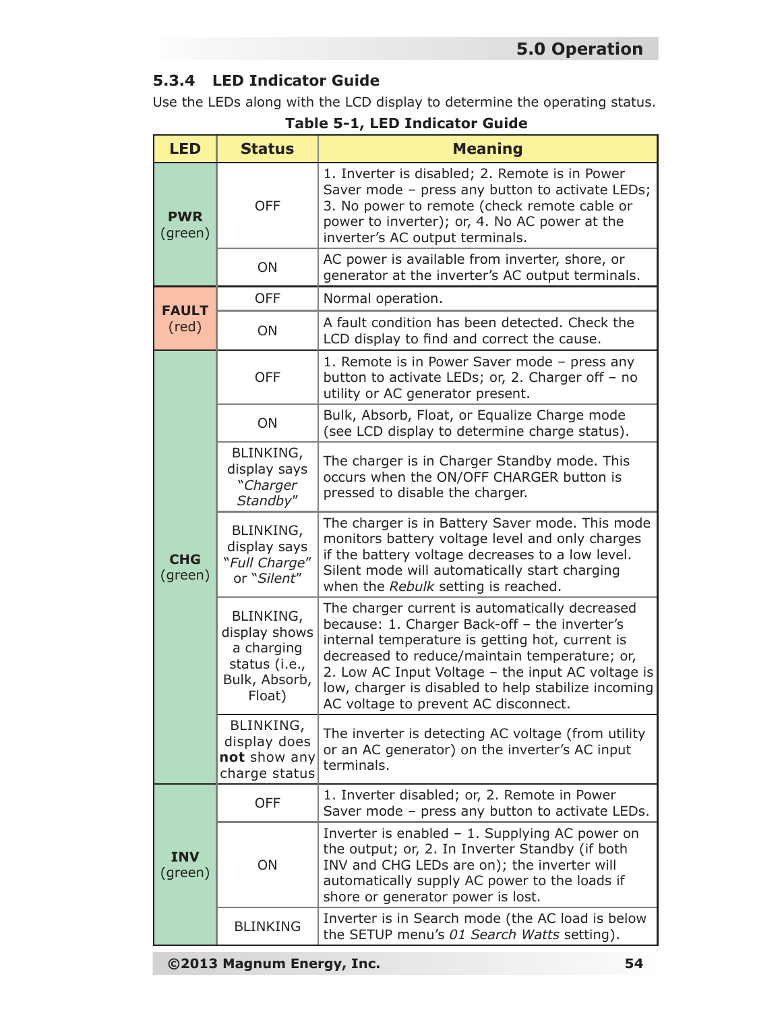### **5.3.4 LED Indicator Guide**

Use the LEDs along with the LCD display to determine the operating status.

| <b>LED</b>            | <b>Status</b>                                                                        | <b>Meaning</b>                                                                                                                                                                                                                                                                                                                                          |
|-----------------------|--------------------------------------------------------------------------------------|---------------------------------------------------------------------------------------------------------------------------------------------------------------------------------------------------------------------------------------------------------------------------------------------------------------------------------------------------------|
| <b>PWR</b><br>(green) | <b>OFF</b>                                                                           | 1. Inverter is disabled; 2. Remote is in Power<br>Saver mode - press any button to activate LEDs;<br>3. No power to remote (check remote cable or<br>power to inverter); or, 4. No AC power at the<br>inverter's AC output terminals.                                                                                                                   |
|                       | ON                                                                                   | AC power is available from inverter, shore, or<br>generator at the inverter's AC output terminals.                                                                                                                                                                                                                                                      |
| <b>FAULT</b>          | <b>OFF</b>                                                                           | Normal operation.                                                                                                                                                                                                                                                                                                                                       |
| $(\text{red})$        | ON                                                                                   | A fault condition has been detected. Check the<br>LCD display to find and correct the cause.                                                                                                                                                                                                                                                            |
|                       | <b>OFF</b>                                                                           | 1. Remote is in Power Saver mode - press any<br>button to activate LEDs; or, 2. Charger off - no<br>utility or AC generator present.                                                                                                                                                                                                                    |
|                       | ON                                                                                   | Bulk, Absorb, Float, or Equalize Charge mode<br>(see LCD display to determine charge status).                                                                                                                                                                                                                                                           |
| <b>CHG</b><br>(green) | BLINKING,<br>display says<br>"Charger<br>Standby"                                    | The charger is in Charger Standby mode. This<br>occurs when the ON/OFF CHARGER button is<br>pressed to disable the charger.                                                                                                                                                                                                                             |
|                       | BLINKING,<br>display says<br>"Full Charge"<br>or "Silent"                            | The charger is in Battery Saver mode. This mode<br>monitors battery voltage level and only charges<br>if the battery voltage decreases to a low level.<br>Silent mode will automatically start charging<br>when the Rebulk setting is reached.                                                                                                          |
|                       | BLINKING,<br>display shows<br>a charging<br>status (i.e.,<br>Bulk, Absorb,<br>Float) | The charger current is automatically decreased<br>because: 1. Charger Back-off - the inverter's<br>internal temperature is getting hot, current is<br>decreased to reduce/maintain temperature; or,<br>2. Low AC Input Voltage - the input AC voltage is<br>low, charger is disabled to help stabilize incoming<br>AC voltage to prevent AC disconnect. |
|                       | BLINKING,<br>display does<br>not show any<br>charge status                           | The inverter is detecting AC voltage (from utility<br>or an AC generator) on the inverter's AC input<br>terminals.                                                                                                                                                                                                                                      |
|                       | <b>OFF</b>                                                                           | 1. Inverter disabled; or, 2. Remote in Power<br>Saver mode - press any button to activate LEDs.                                                                                                                                                                                                                                                         |
| <b>INV</b><br>(green) | ON                                                                                   | Inverter is enabled - 1. Supplying AC power on<br>the output; or, 2. In Inverter Standby (if both<br>INV and CHG LEDs are on); the inverter will<br>automatically supply AC power to the loads if<br>shore or generator power is lost.                                                                                                                  |
|                       | <b>BLINKING</b>                                                                      | Inverter is in Search mode (the AC load is below<br>the SETUP menu's 01 Search Watts setting).                                                                                                                                                                                                                                                          |

**Table 5-1, LED Indicator Guide**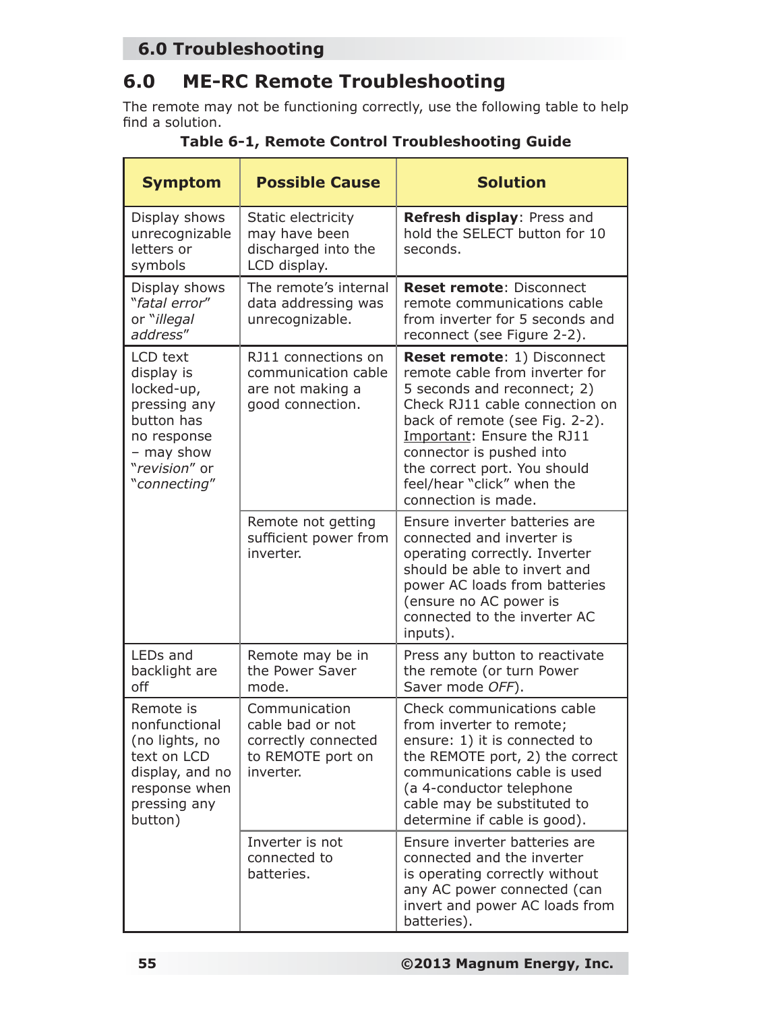## **6.0 Troubleshooting**

# **6.0 ME-RC Remote Troubleshooting**

The remote may not be functioning correctly, use the following table to help find a solution.

| <b>Symptom</b>                                                                                                                   | <b>Possible Cause</b>                                                                      | <b>Solution</b>                                                                                                                                                                                                                                                                                                        |  |
|----------------------------------------------------------------------------------------------------------------------------------|--------------------------------------------------------------------------------------------|------------------------------------------------------------------------------------------------------------------------------------------------------------------------------------------------------------------------------------------------------------------------------------------------------------------------|--|
| Display shows<br>unrecognizable<br>letters or<br>symbols                                                                         | Static electricity<br>may have been<br>discharged into the<br>LCD display.                 | Refresh display: Press and<br>hold the SELECT button for 10<br>seconds.                                                                                                                                                                                                                                                |  |
| Display shows<br>"fatal error"<br>or "illegal<br>address"                                                                        | The remote's internal<br>data addressing was<br>unrecognizable.                            | <b>Reset remote: Disconnect</b><br>remote communications cable<br>from inverter for 5 seconds and<br>reconnect (see Figure 2-2).                                                                                                                                                                                       |  |
| LCD text<br>display is<br>locked-up,<br>pressing any<br>button has<br>no response<br>- may show<br>"revision" or<br>"connecting" | RJ11 connections on<br>communication cable<br>are not making a<br>good connection.         | <b>Reset remote: 1) Disconnect</b><br>remote cable from inverter for<br>5 seconds and reconnect; 2)<br>Check RJ11 cable connection on<br>back of remote (see Fig. 2-2).<br>Important: Ensure the RJ11<br>connector is pushed into<br>the correct port. You should<br>feel/hear "click" when the<br>connection is made. |  |
|                                                                                                                                  | Remote not getting<br>sufficient power from<br>inverter.                                   | Ensure inverter batteries are<br>connected and inverter is<br>operating correctly. Inverter<br>should be able to invert and<br>power AC loads from batteries<br>(ensure no AC power is<br>connected to the inverter AC<br>inputs).                                                                                     |  |
| LEDs and<br>backlight are<br>off                                                                                                 | Remote may be in<br>the Power Saver<br>mode.                                               | Press any button to reactivate<br>the remote (or turn Power<br>Saver mode OFF).                                                                                                                                                                                                                                        |  |
| Remote is<br>nonfunctional<br>(no lights, no<br>text on LCD<br>display, and no<br>response when<br>pressing any<br>button)       | Communication<br>cable bad or not<br>correctly connected<br>to REMOTE port on<br>inverter. | Check communications cable<br>from inverter to remote;<br>ensure: 1) it is connected to<br>the REMOTE port, 2) the correct<br>communications cable is used<br>(a 4-conductor telephone<br>cable may be substituted to<br>determine if cable is good).                                                                  |  |
|                                                                                                                                  | Inverter is not<br>connected to<br>batteries.                                              | Ensure inverter batteries are<br>connected and the inverter<br>is operating correctly without<br>any AC power connected (can<br>invert and power AC loads from<br>batteries).                                                                                                                                          |  |

**Table 6-1, Remote Control Troubleshooting Guide**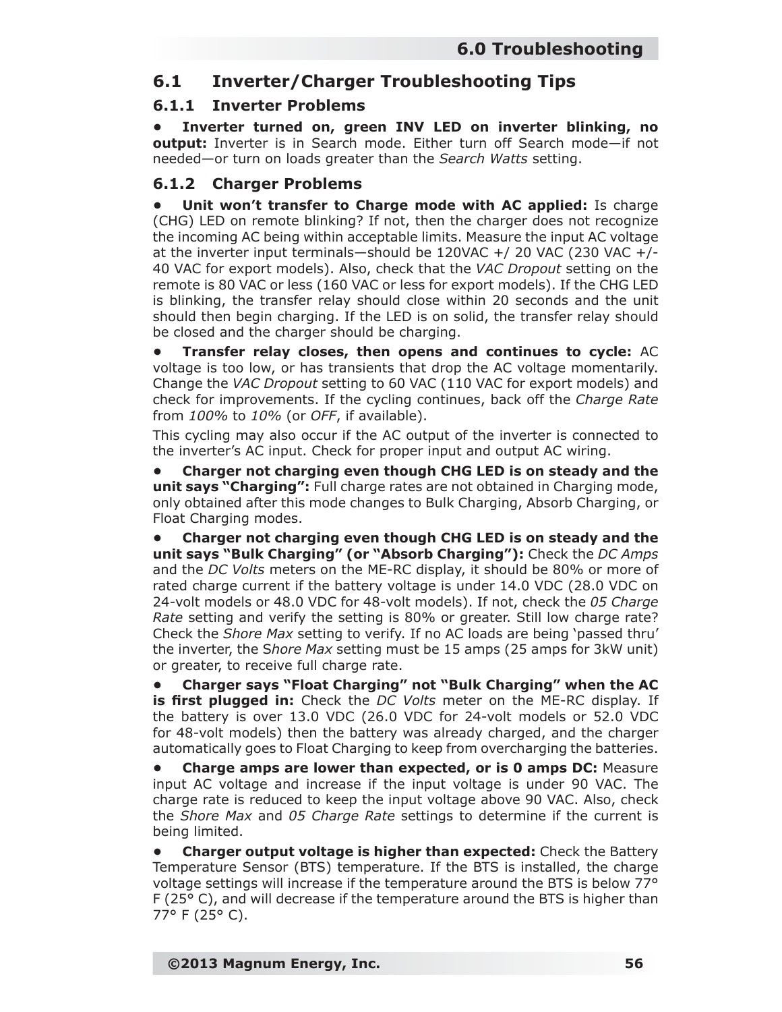### **6.1 Inverter/Charger Troubleshooting Tips**

#### **6.1.1 Inverter Problems**

**• Inverter turned on, green INV LED on inverter blinking, no output:** Inverter is in Search mode. Either turn off Search mode—if not needed—or turn on loads greater than the *Search Watts* setting.

#### **6.1.2 Charger Problems**

**• Unit won't transfer to Charge mode with AC applied:** Is charge (CHG) LED on remote blinking? If not, then the charger does not recognize the incoming AC being within acceptable limits. Measure the input AC voltage at the inverter input terminals—should be 120VAC +/ 20 VAC (230 VAC +/- 40 VAC for export models). Also, check that the *VAC Dropout* setting on the remote is 80 VAC or less (160 VAC or less for export models). If the CHG LED is blinking, the transfer relay should close within 20 seconds and the unit should then begin charging. If the LED is on solid, the transfer relay should be closed and the charger should be charging.

**• Transfer relay closes, then opens and continues to cycle:** AC voltage is too low, or has transients that drop the AC voltage momentarily. Change the *VAC Dropout* setting to 60 VAC (110 VAC for export models) and check for improvements. If the cycling continues, back off the *Charge Rate* from *100%* to *10%* (or *OFF*, if available).

This cycling may also occur if the AC output of the inverter is connected to the inverter's AC input. Check for proper input and output AC wiring.

**• Charger not charging even though CHG LED is on steady and the unit says "***Charging***":** Full charge rates are not obtained in Charging mode, only obtained after this mode changes to Bulk Charging, Absorb Charging, or Float Charging modes.

**• Charger not charging even though CHG LED is on steady and the unit says "***Bulk Charging***" (or "***Absorb Charging***"):** Check the *DC Amps* and the *DC Volts* meters on the ME-RC display, it should be 80% or more of rated charge current if the battery voltage is under 14.0 VDC (28.0 VDC on 24-volt models or 48.0 VDC for 48-volt models). If not, check the *05 Charge Rate* setting and verify the setting is 80% or greater. Still low charge rate? Check the *Shore Max* setting to verify. If no AC loads are being 'passed thru' the inverter, the S*hore Max* setting must be 15 amps (25 amps for 3kW unit) or greater, to receive full charge rate.

**• Charger says "***Float Charging***" not "***Bulk Charging***" when the AC is first plugged in:** Check the *DC Volts* meter on the ME-RC display. If the battery is over 13.0 VDC (26.0 VDC for 24-volt models or 52.0 VDC for 48-volt models) then the battery was already charged, and the charger automatically goes to Float Charging to keep from overcharging the batteries.

**Charge amps are lower than expected, or is 0 amps DC: Measure** input AC voltage and increase if the input voltage is under 90 VAC. The charge rate is reduced to keep the input voltage above 90 VAC. Also, check the *Shore Max* and *05 Charge Rate* settings to determine if the current is being limited.

**• Charger output voltage is higher than expected:** Check the Battery Temperature Sensor (BTS) temperature. If the BTS is installed, the charge voltage settings will increase if the temperature around the BTS is below 77° F (25° C), and will decrease if the temperature around the BTS is higher than 77° F (25° C).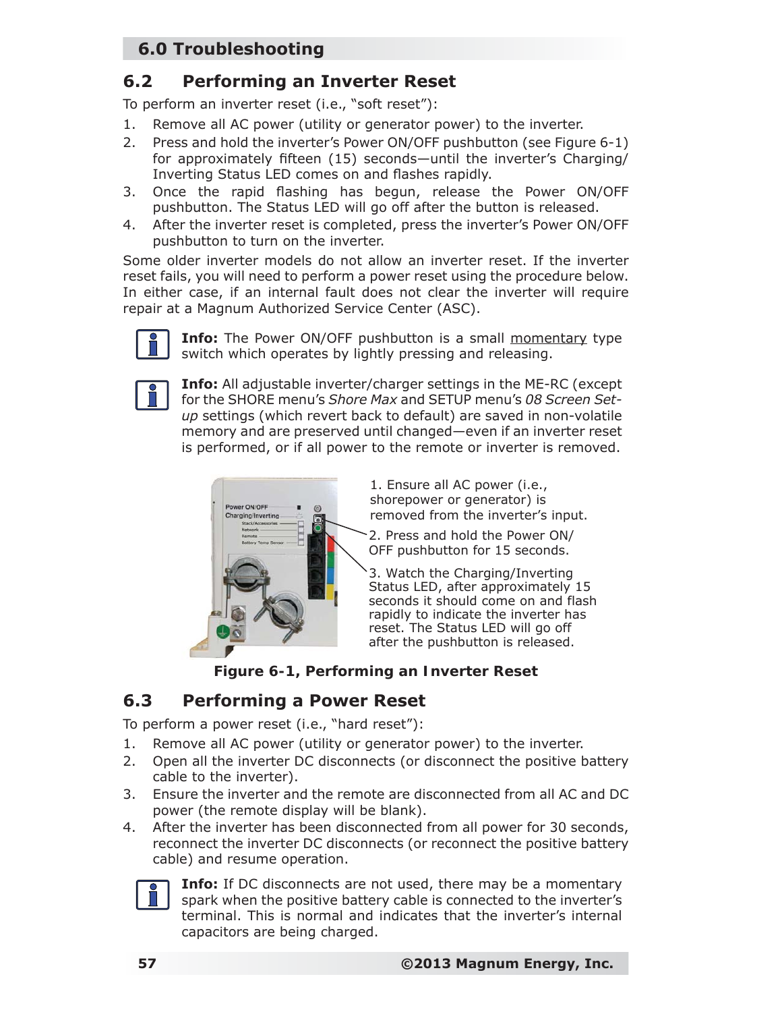## **6.0 Troubleshooting**

### **6.2 Performing an Inverter Reset**

To perform an inverter reset (i.e., "soft reset"):

- Remove all AC power (utility or generator power) to the inverter.
- 2. Press and hold the inverter's Power ON/OFF pushbutton (see Figure 6-1) for approximately fifteen (15) seconds—until the inverter's Charging/ Inverting Status LED comes on and flashes rapidly.
- 3. Once the rapid flashing has begun, release the Power ON/OFF pushbutton. The Status LED will go off after the button is released.
- 4. After the inverter reset is completed, press the inverter's Power ON/OFF pushbutton to turn on the inverter.

Some older inverter models do not allow an inverter reset. If the inverter reset fails, you will need to perform a power reset using the procedure below. In either case, if an internal fault does not clear the inverter will require repair at a Magnum Authorized Service Center (ASC).



**Info:** The Power ON/OFF pushbutton is a small momentary type switch which operates by lightly pressing and releasing.



**Info:** All adjustable inverter/charger settings in the ME-RC (except for the SHORE menu's *Shore Max* and SETUP menu's *08 Screen Setup* settings (which revert back to default) are saved in non-volatile memory and are preserved until changed—even if an inverter reset is performed, or if all power to the remote or inverter is removed.



1. Ensure all AC power (i.e., shorepower or generator) is removed from the inverter's input.

2. Press and hold the Power ON/ OFF pushbutton for 15 seconds.

3. Watch the Charging/Inverting Status LED, after approximately 15 seconds it should come on and flash rapidly to indicate the inverter has reset. The Status LED will go off after the pushbutton is released.

*Figure 6-1, Performing an Inverter Reset*

# **6.3 Performing a Power Reset**

To perform a power reset (i.e., "hard reset"):

- 1. Remove all AC power (utility or generator power) to the inverter.
- 2. Open all the inverter DC disconnects (or disconnect the positive battery cable to the inverter).
- 3. Ensure the inverter and the remote are disconnected from all AC and DC power (the remote display will be blank).
- 4. After the inverter has been disconnected from all power for 30 seconds, reconnect the inverter DC disconnects (or reconnect the positive battery cable) and resume operation.



**Info:** If DC disconnects are not used, there may be a momentary spark when the positive battery cable is connected to the inverter's terminal. This is normal and indicates that the inverter's internal capacitors are being charged.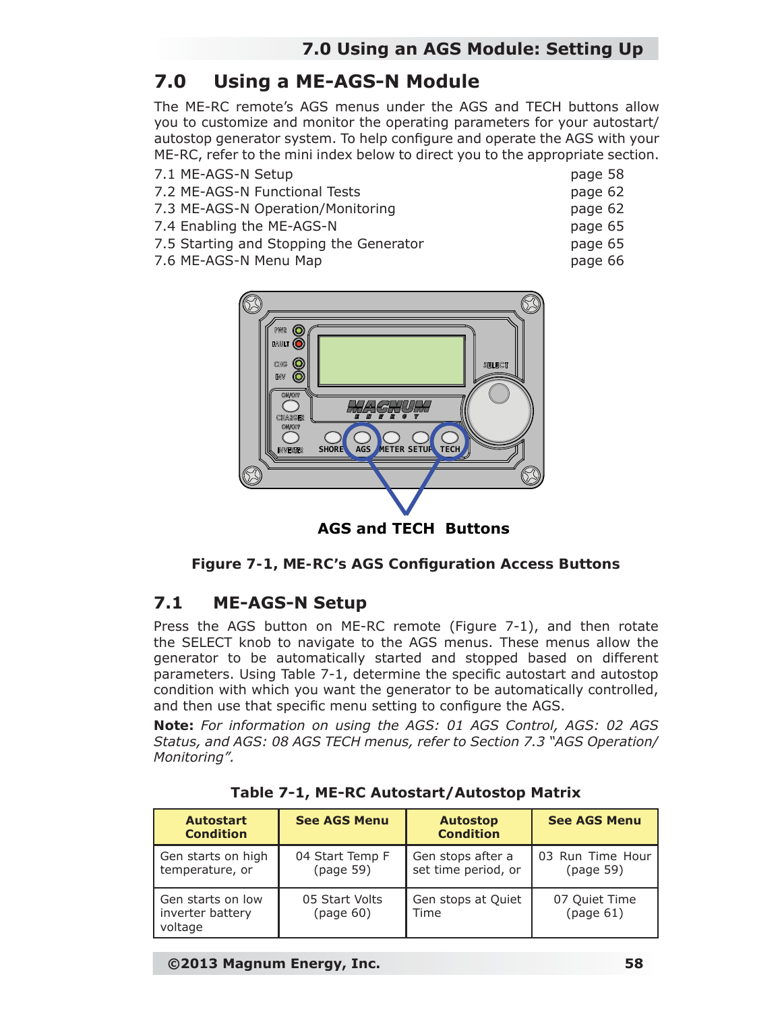# **7.0 Using a ME-AGS-N Module**

The ME-RC remote's AGS menus under the AGS and TECH buttons allow you to customize and monitor the operating parameters for your autostart/ autostop generator system. To help configure and operate the AGS with your ME-RC, refer to the mini index below to direct you to the appropriate section.

| 7.1 ME-AGS-N Setup                | page 58 |
|-----------------------------------|---------|
| 7.2 ME-AGS-N Functional Tests     | page 62 |
| 7.3 ME-AGS-N Operation/Monitoring | page 62 |
| 7.4 Enabling the ME-AGS-N         | page 65 |

- 
- 7.5 Starting and Stopping the Generator page 65
- 7.6 ME-AGS-N Menu Map bage 66



Q) fault  $\widehat{\mathbf{O}}$ SELECT **SHORE AGS METER SETUP TECH AGS and TECH Buttons**

**Figure 7-1, ME-RC's AGS Configuration Access Buttons** 

## **7.1 ME-AGS-N Setup**

Press the AGS button on ME-RC remote (Figure 7-1), and then rotate the SELECT knob to navigate to the AGS menus. These menus allow the generator to be automatically started and stopped based on different parameters. Using Table 7-1, determine the specific autostart and autostop condition with which you want the generator to be automatically controlled, and then use that specific menu setting to configure the AGS.

*Note: For information on using the AGS: 01 AGS Control, AGS: 02 AGS Status, and AGS: 08 AGS TECH menus, refer to Section 7.3 "AGS Operation/ Monitoring".*

| <b>Autostart</b><br><b>Condition</b>             | <b>See AGS Menu</b>          | <b>Autostop</b><br><b>Condition</b>      | <b>See AGS Menu</b>           |
|--------------------------------------------------|------------------------------|------------------------------------------|-------------------------------|
| Gen starts on high<br>temperature, or            | 04 Start Temp F<br>(page 59) | Gen stops after a<br>set time period, or | 03 Run Time Hour<br>(paqe 59) |
| Gen starts on low<br>inverter battery<br>voltage | 05 Start Volts<br>(page 60)  | Gen stops at Quiet<br>Time               | 07 Quiet Time<br>(page 61)    |

|  |  | Table 7-1, ME-RC Autostart/Autostop Matrix |  |  |
|--|--|--------------------------------------------|--|--|
|--|--|--------------------------------------------|--|--|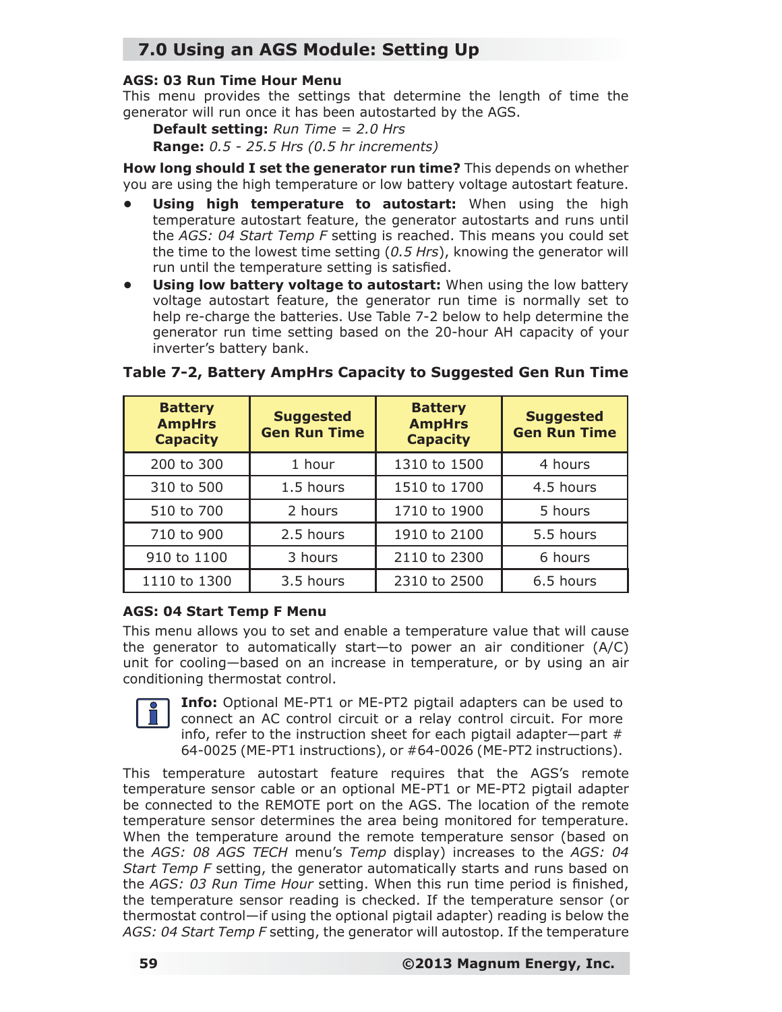## **7.0 Using an AGS Module: Setting Up**

#### **AGS: 03 Run Time Hour Menu**

This menu provides the settings that determine the length of time the generator will run once it has been autostarted by the AGS.

**Default setting:** *Run Time = 2.0 Hrs*

**Range:** *0.5 - 25.5 Hrs (0.5 hr increments)*

**How long should I set the generator run time?** This depends on whether you are using the high temperature or low battery voltage autostart feature.

- **Using high temperature to autostart:** When using the high temperature autostart feature, the generator autostarts and runs until the *AGS: 04 Start Temp F* setting is reached. This means you could set the time to the lowest time setting (*0.5 Hrs*), knowing the generator will run until the temperature setting is satisfied.
- **Using low battery voltage to autostart:** When using the low battery voltage autostart feature, the generator run time is normally set to help re-charge the batteries. Use Table 7-2 below to help determine the generator run time setting based on the 20-hour AH capacity of your inverter's battery bank.

| <b>Battery</b><br><b>AmpHrs</b><br><b>Capacity</b> | <b>Suggested</b><br><b>Gen Run Time</b> | <b>Battery</b><br><b>AmpHrs</b><br><b>Capacity</b> | <b>Suggested</b><br><b>Gen Run Time</b> |
|----------------------------------------------------|-----------------------------------------|----------------------------------------------------|-----------------------------------------|
| 200 to 300                                         | 1 hour                                  | 1310 to 1500                                       | 4 hours                                 |
| 310 to 500                                         | 1.5 hours                               | 1510 to 1700                                       | 4.5 hours                               |
| 510 to 700                                         | 2 hours                                 | 1710 to 1900                                       | 5 hours                                 |
| 710 to 900                                         | 2.5 hours                               | 1910 to 2100                                       | 5.5 hours                               |
| 910 to 1100                                        | 3 hours                                 | 2110 to 2300                                       | 6 hours                                 |
| 1110 to 1300                                       | 3.5 hours                               | 2310 to 2500                                       | 6.5 hours                               |

#### **Table 7-2, Battery AmpHrs Capacity to Suggested Gen Run Time**

#### **AGS: 04 Start Temp F Menu**

This menu allows you to set and enable a temperature value that will cause the generator to automatically start—to power an air conditioner (A/C) unit for cooling—based on an increase in temperature, or by using an air conditioning thermostat control.



**Info:** Optional ME-PT1 or ME-PT2 pigtail adapters can be used to connect an AC control circuit or a relay control circuit. For more info, refer to the instruction sheet for each pigtail adapter-part  $#$ 64-0025 (ME-PT1 instructions), or #64-0026 (ME-PT2 instructions).

This temperature autostart feature requires that the AGS's remote temperature sensor cable or an optional ME-PT1 or ME-PT2 pigtail adapter be connected to the REMOTE port on the AGS. The location of the remote temperature sensor determines the area being monitored for temperature. When the temperature around the remote temperature sensor (based on the *AGS: 08 AGS TECH* menu's *Temp* display) increases to the *AGS: 04 Start Temp F* setting, the generator automatically starts and runs based on the *AGS: 03 Run Time Hour* setting. When this run time period is finished, the temperature sensor reading is checked. If the temperature sensor (or thermostat control—if using the optional pigtail adapter) reading is below the *AGS: 04 Start Temp F* setting, the generator will autostop. If the temperature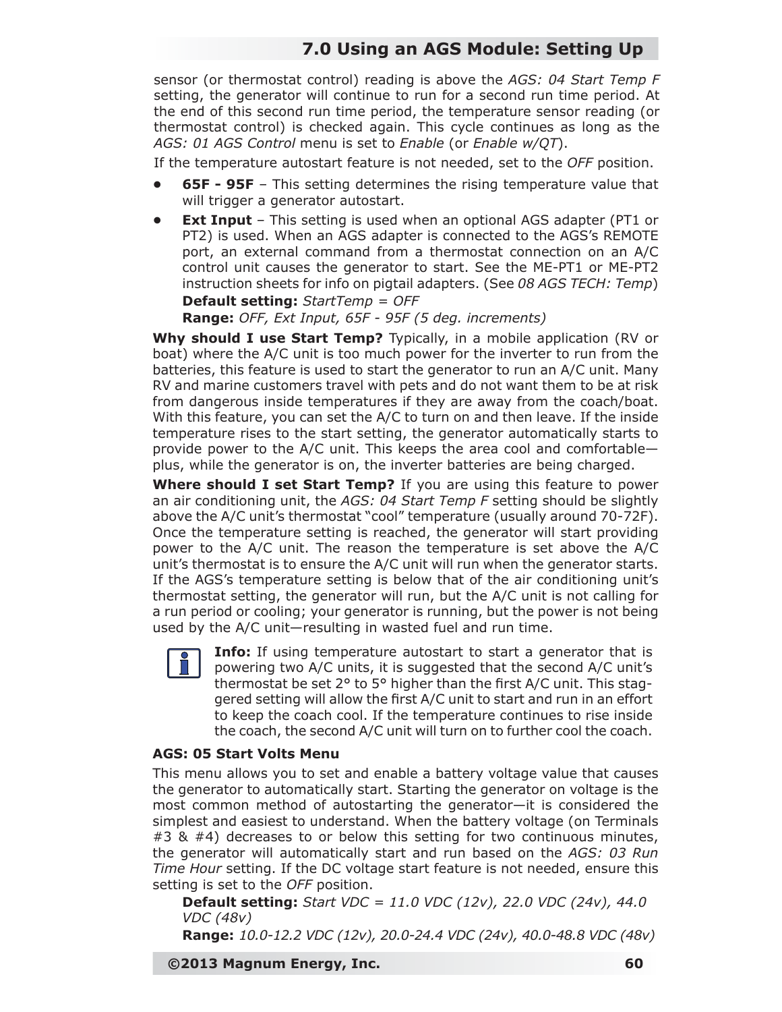## **7.0 Using an AGS Module: Setting Up**

sensor (or thermostat control) reading is above the *AGS: 04 Start Temp F*  setting, the generator will continue to run for a second run time period. At the end of this second run time period, the temperature sensor reading (or thermostat control) is checked again. This cycle continues as long as the *AGS: 01 AGS Control* menu is set to *Enable* (or *Enable w/QT*).

If the temperature autostart feature is not needed, set to the *OFF* position.

- **65F 95F** This setting determines the rising temperature value that will trigger a generator autostart.
- **Ext Input** This setting is used when an optional AGS adapter (PT1 or PT2) is used. When an AGS adapter is connected to the AGS's REMOTE port, an external command from a thermostat connection on an A/C control unit causes the generator to start. See the ME-PT1 or ME-PT2 instruction sheets for info on pigtail adapters. (See *08 AGS TECH: Temp*) **Default setting:** *StartTemp = OFF*

**Range:** *OFF, Ext Input, 65F - 95F (5 deg. increments)*

**Why should I use Start Temp?** Typically, in a mobile application (RV or boat) where the A/C unit is too much power for the inverter to run from the batteries, this feature is used to start the generator to run an A/C unit. Many RV and marine customers travel with pets and do not want them to be at risk from dangerous inside temperatures if they are away from the coach/boat. With this feature, you can set the A/C to turn on and then leave. If the inside temperature rises to the start setting, the generator automatically starts to provide power to the A/C unit. This keeps the area cool and comfortable plus, while the generator is on, the inverter batteries are being charged.

**Where should I set Start Temp?** If you are using this feature to power an air conditioning unit, the *AGS: 04 Start Temp F* setting should be slightly above the A/C unit's thermostat "cool" temperature (usually around 70-72F). Once the temperature setting is reached, the generator will start providing power to the A/C unit. The reason the temperature is set above the A/C unit's thermostat is to ensure the A/C unit will run when the generator starts. If the AGS's temperature setting is below that of the air conditioning unit's thermostat setting, the generator will run, but the A/C unit is not calling for a run period or cooling; your generator is running, but the power is not being used by the A/C unit—resulting in wasted fuel and run time.



**Info:** If using temperature autostart to start a generator that is powering two A/C units, it is suggested that the second A/C unit's thermostat be set  $2^{\circ}$  to  $5^{\circ}$  higher than the first A/C unit. This staggered setting will allow the first A/C unit to start and run in an effort to keep the coach cool. If the temperature continues to rise inside the coach, the second A/C unit will turn on to further cool the coach.

#### **AGS: 05 Start Volts Menu**

This menu allows you to set and enable a battery voltage value that causes the generator to automatically start. Starting the generator on voltage is the most common method of autostarting the generator—it is considered the simplest and easiest to understand. When the battery voltage (on Terminals #3 & #4) decreases to or below this setting for two continuous minutes, the generator will automatically start and run based on the *AGS: 03 Run Time Hour* setting. If the DC voltage start feature is not needed, ensure this setting is set to the *OFF* position.

**Default setting:** *Start VDC = 11.0 VDC (12v), 22.0 VDC (24v), 44.0 VDC (48v)*

**Range:** *10.0-12.2 VDC (12v), 20.0-24.4 VDC (24v), 40.0-48.8 VDC (48v)*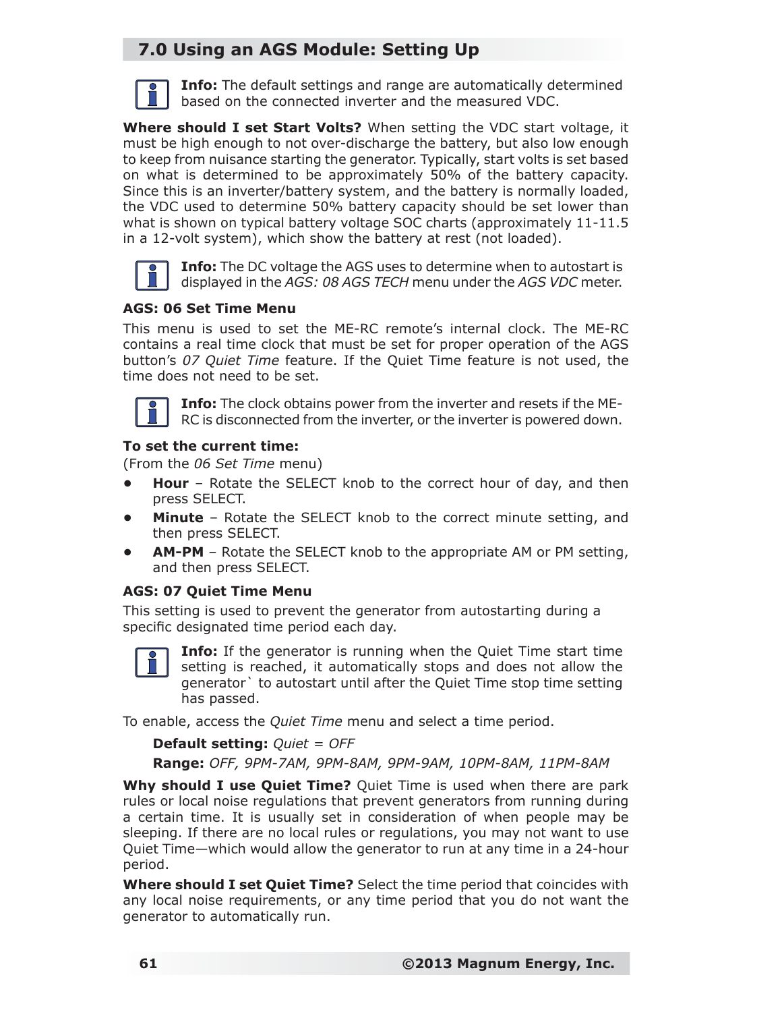## **7.0 Using an AGS Module: Setting Up**



**Info:** The default settings and range are automatically determined based on the connected inverter and the measured VDC.

**Where should I set Start Volts?** When setting the VDC start voltage, it must be high enough to not over-discharge the battery, but also low enough to keep from nuisance starting the generator. Typically, start volts is set based on what is determined to be approximately 50% of the battery capacity. Since this is an inverter/battery system, and the battery is normally loaded, the VDC used to determine 50% battery capacity should be set lower than what is shown on typical battery voltage SOC charts (approximately 11-11.5 in a 12-volt system), which show the battery at rest (not loaded).



**Info:** The DC voltage the AGS uses to determine when to autostart is displayed in the *AGS: 08 AGS TECH* menu under the *AGS VDC* meter.

#### **AGS: 06 Set Time Menu**

This menu is used to set the ME-RC remote's internal clock. The ME-RC contains a real time clock that must be set for proper operation of the AGS button's *07 Quiet Time* feature. If the Quiet Time feature is not used, the time does not need to be set.



**Info:** The clock obtains power from the inverter and resets if the ME-RC is disconnected from the inverter, or the inverter is powered down.

#### **To set the current time:**

(From the *06 Set Time* menu)

- **Hour** Rotate the SELECT knob to the correct hour of day, and then press SELECT.
- **Minute** Rotate the SELECT knob to the correct minute setting, and then press SELECT.
- **AM-PM** Rotate the SELECT knob to the appropriate AM or PM setting, and then press SELECT.

#### **AGS: 07 Quiet Time Menu**

This setting is used to prevent the generator from autostarting during a specific designated time period each day.



**Info:** If the generator is running when the Quiet Time start time setting is reached, it automatically stops and does not allow the generator` to autostart until after the Quiet Time stop time setting has passed.

To enable, access the *Quiet Time* menu and select a time period.

**Default setting:** *Quiet = OFF* **Range:** *OFF, 9PM-7AM, 9PM-8AM, 9PM-9AM, 10PM-8AM, 11PM-8AM*

**Why should I use Quiet Time?** Quiet Time is used when there are park rules or local noise regulations that prevent generators from running during a certain time. It is usually set in consideration of when people may be sleeping. If there are no local rules or regulations, you may not want to use Quiet Time—which would allow the generator to run at any time in a 24-hour period.

**Where should I set Quiet Time?** Select the time period that coincides with any local noise requirements, or any time period that you do not want the generator to automatically run.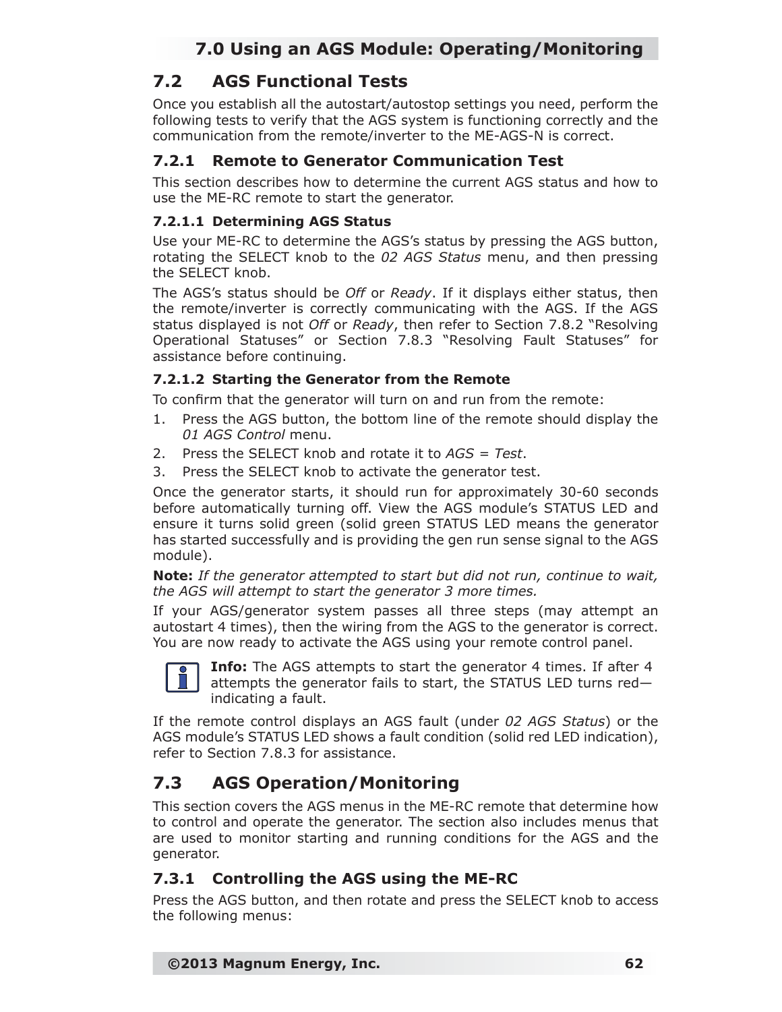## **7.2 AGS Functional Tests**

Once you establish all the autostart/autostop settings you need, perform the following tests to verify that the AGS system is functioning correctly and the communication from the remote/inverter to the ME-AGS-N is correct.

### **7.2.1 Remote to Generator Communication Test**

This section describes how to determine the current AGS status and how to use the ME-RC remote to start the generator.

#### **7.2.1.1 Determining AGS Status**

Use your ME-RC to determine the AGS's status by pressing the AGS button, rotating the SELECT knob to the *02 AGS Status* menu, and then pressing the SELECT knob.

The AGS's status should be *Off* or *Ready*. If it displays either status, then the remote/inverter is correctly communicating with the AGS. If the AGS status displayed is not *Off* or *Ready*, then refer to Section 7.8.2 "Resolving Operational Statuses" or Section 7.8.3 "Resolving Fault Statuses" for assistance before continuing.

#### **7.2.1.2 Starting the Generator from the Remote**

To confirm that the generator will turn on and run from the remote:

- 1. Press the AGS button, the bottom line of the remote should display the *01 AGS Control* menu.
- 2. Press the SELECT knob and rotate it to *AGS = Test*.
- 3. Press the SELECT knob to activate the generator test.

Once the generator starts, it should run for approximately 30-60 seconds before automatically turning off. View the AGS module's STATUS LED and ensure it turns solid green (solid green STATUS LED means the generator has started successfully and is providing the gen run sense signal to the AGS module).

*Note: If the generator attempted to start but did not run, continue to wait, the AGS will attempt to start the generator 3 more times.*

If your AGS/generator system passes all three steps (may attempt an autostart 4 times), then the wiring from the AGS to the generator is correct. You are now ready to activate the AGS using your remote control panel.



**Info:** The AGS attempts to start the generator 4 times. If after 4 attempts the generator fails to start, the STATUS LED turns red indicating a fault.

If the remote control displays an AGS fault (under *02 AGS Status*) or the AGS module's STATUS LED shows a fault condition (solid red LED indication), refer to Section 7.8.3 for assistance.

## **7.3 AGS Operation/Monitoring**

This section covers the AGS menus in the ME-RC remote that determine how to control and operate the generator. The section also includes menus that are used to monitor starting and running conditions for the AGS and the generator.

### **7.3.1 Controlling the AGS using the ME-RC**

Press the AGS button, and then rotate and press the SELECT knob to access the following menus: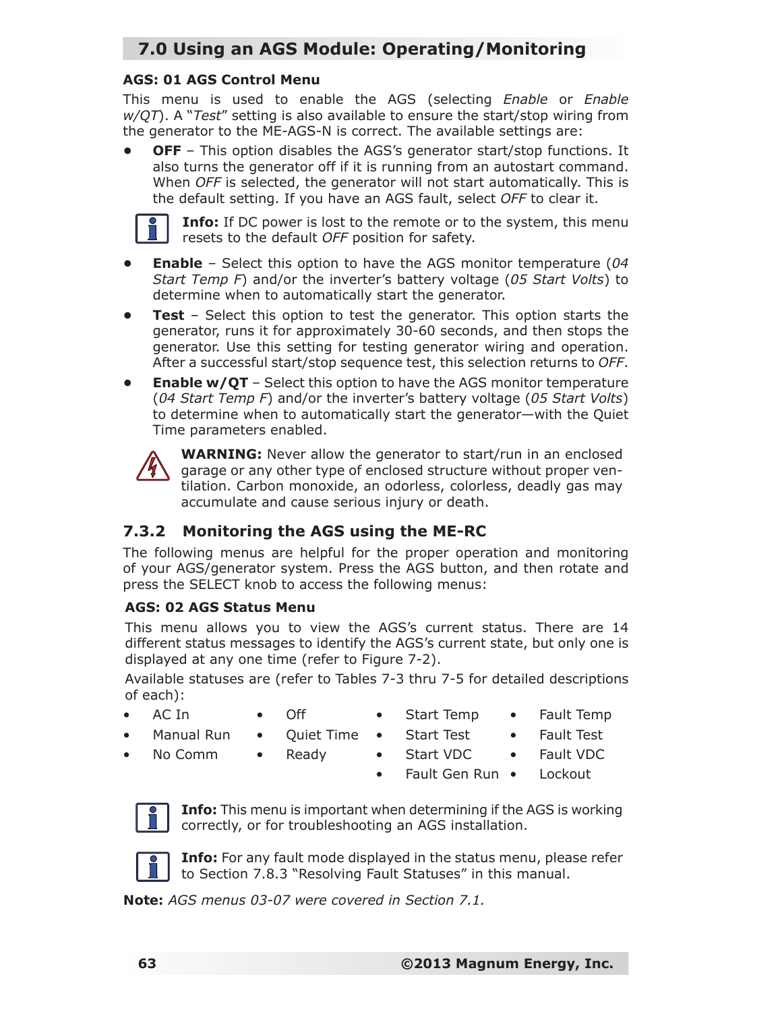## **7.0 Using an AGS Module: Operating/Monitoring**

#### **AGS: 01 AGS Control Menu**

This menu is used to enable the AGS (selecting *Enable* or *Enable w/QT*). A "*Test*" setting is also available to ensure the start/stop wiring from the generator to the ME-AGS-N is correct. The available settings are:

**OFF** – This option disables the AGS's generator start/stop functions. It also turns the generator off if it is running from an autostart command. When *OFF* is selected, the generator will not start automatically. This is the default setting. If you have an AGS fault, select *OFF* to clear it.



**Info:** If DC power is lost to the remote or to the system, this menu resets to the default *OFF* position for safety.

- **Enable** Select this option to have the AGS monitor temperature (*04 Start Temp F*) and/or the inverter's battery voltage (*05 Start Volts*) to determine when to automatically start the generator.
- **Test** Select this option to test the generator. This option starts the generator, runs it for approximately 30-60 seconds, and then stops the generator. Use this setting for testing generator wiring and operation. After a successful start/stop sequence test, this selection returns to *OFF*.
- **Enable w/QT** Select this option to have the AGS monitor temperature (*04 Start Temp F*) and/or the inverter's battery voltage (*05 Start Volts*) to determine when to automatically start the generator—with the Quiet Time parameters enabled.



**WARNING:** Never allow the generator to start/run in an enclosed garage or any other type of enclosed structure without proper ventilation. Carbon monoxide, an odorless, colorless, deadly gas may accumulate and cause serious injury or death.

### **7.3.2 Monitoring the AGS using the ME-RC**

The following menus are helpful for the proper operation and monitoring of your AGS/generator system. Press the AGS button, and then rotate and press the SELECT knob to access the following menus:

#### **AGS: 02 AGS Status Menu**

This menu allows you to view the AGS's current status. There are 14 different status messages to identify the AGS's current state, but only one is displayed at any one time (refer to Figure 7-2).

Available statuses are (refer to Tables 7-3 thru 7-5 for detailed descriptions of each):

- AC In
- Off
- Start Temp
- Fault Temp
- Manual Run • No Comm
- Quiet Time • Ready
- Start Test

• Start VDC

- Fault Test
- Fault VDC
- **Lockout** • Fault Gen Run •



**Info:** This menu is important when determining if the AGS is working correctly, or for troubleshooting an AGS installation.



**Info:** For any fault mode displayed in the status menu, please refer to Section 7.8.3 "Resolving Fault Statuses" in this manual.

*Note: AGS menus 03-07 were covered in Section 7.1.*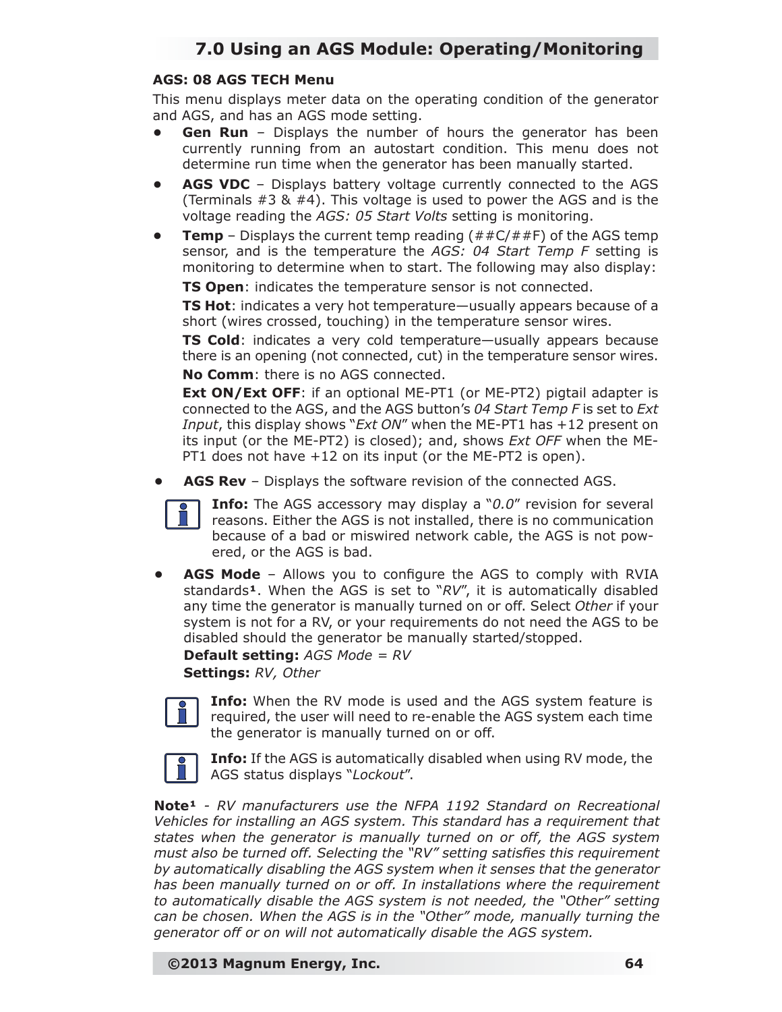#### **AGS: 08 AGS TECH Menu**

This menu displays meter data on the operating condition of the generator and AGS, and has an AGS mode setting.

- **Gen Run** Displays the number of hours the generator has been currently running from an autostart condition. This menu does not determine run time when the generator has been manually started.
- **AGS VDC** Displays battery voltage currently connected to the AGS (Terminals  $#3 \& #4$ ). This voltage is used to power the AGS and is the voltage reading the *AGS: 05 Start Volts* setting is monitoring.
- **Temp** Displays the current temp reading  $(*#C##F)$  of the AGS temp sensor, and is the temperature the *AGS: 04 Start Temp F* setting is monitoring to determine when to start. The following may also display:

**TS Open**: indicates the temperature sensor is not connected.

**TS Hot**: indicates a very hot temperature—usually appears because of a short (wires crossed, touching) in the temperature sensor wires.

**TS Cold**: indicates a very cold temperature—usually appears because there is an opening (not connected, cut) in the temperature sensor wires. **No Comm**: there is no AGS connected.

**Ext ON/Ext OFF:** if an optional ME-PT1 (or ME-PT2) pigtail adapter is connected to the AGS, and the AGS button's *04 Start Temp F* is set to *Ext Input*, this display shows "*Ext ON*" when the ME-PT1 has +12 present on its input (or the ME-PT2) is closed); and, shows *Ext OFF* when the ME-PT1 does not have +12 on its input (or the ME-PT2 is open).

**• AGS Rev** – Displays the software revision of the connected AGS.



**Info:** The AGS accessory may display a "*0.0*" revision for several reasons. Either the AGS is not installed, there is no communication because of a bad or miswired network cable, the AGS is not powered, or the AGS is bad.

**AGS Mode** – Allows you to configure the AGS to comply with RVIA standards<sup>1</sup>. When the AGS is set to "RV", it is automatically disabled any time the generator is manually turned on or off. Select *Other* if your system is not for a RV, or your requirements do not need the AGS to be disabled should the generator be manually started/stopped.

**Default setting:** *AGS Mode = RV* **Settings:** *RV, Other*



**Info:** When the RV mode is used and the AGS system feature is required, the user will need to re-enable the AGS system each time the generator is manually turned on or off.



**Info:** If the AGS is automatically disabled when using RV mode, the AGS status displays "*Lockout*".

*Note<sup>1</sup> - RV manufacturers use the NFPA 1192 Standard on Recreational Vehicles for installing an AGS system. This standard has a requirement that states when the generator is manually turned on or off, the AGS system*  must also be turned off. Selecting the "RV" setting satisfies this requirement *by automatically disabling the AGS system when it senses that the generator has been manually turned on or off. In installations where the requirement to automatically disable the AGS system is not needed, the "Other" setting can be chosen. When the AGS is in the "Other" mode, manually turning the generator off or on will not automatically disable the AGS system.*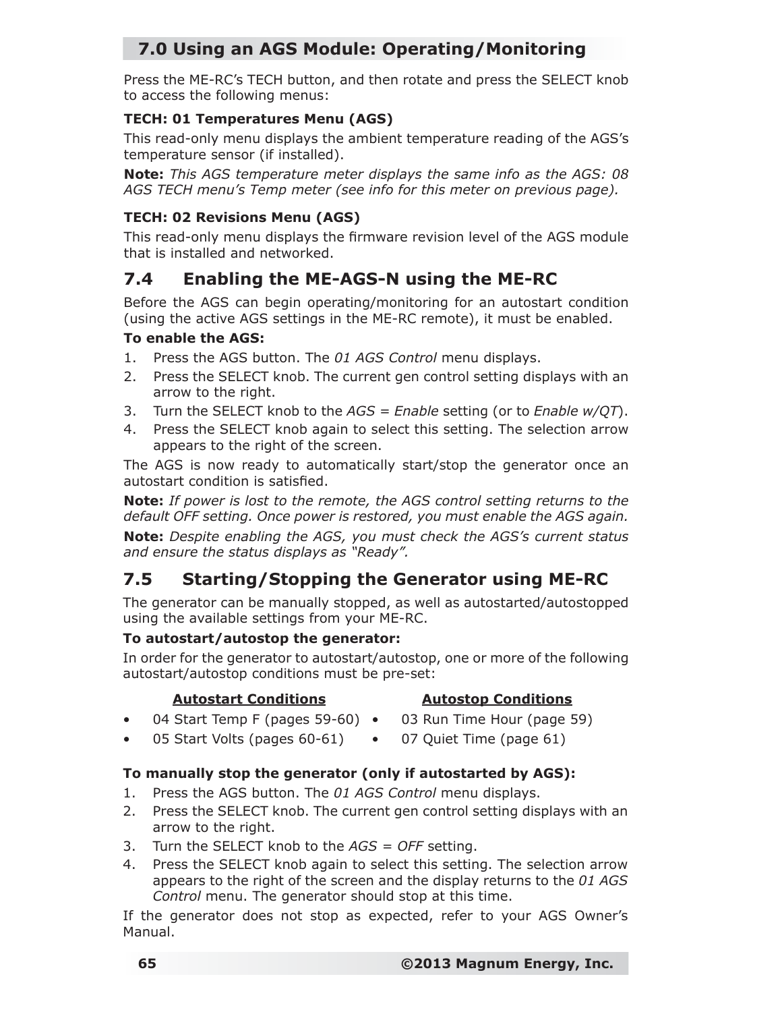## **7.0 Using an AGS Module: Operating/Monitoring**

Press the ME-RC's TECH button, and then rotate and press the SELECT knob to access the following menus:

#### **TECH: 01 Temperatures Menu (AGS)**

This read-only menu displays the ambient temperature reading of the AGS's temperature sensor (if installed).

*Note: This AGS temperature meter displays the same info as the AGS: 08 AGS TECH menu's Temp meter (see info for this meter on previous page).*

### **TECH: 02 Revisions Menu (AGS)**

This read-only menu displays the firmware revision level of the AGS module that is installed and networked.

## **7.4 Enabling the ME-AGS-N using the ME-RC**

Before the AGS can begin operating/monitoring for an autostart condition (using the active AGS settings in the ME-RC remote), it must be enabled.

#### **To enable the AGS:**

- 1. Press the AGS button. The *01 AGS Control* menu displays.
- 2. Press the SELECT knob. The current gen control setting displays with an arrow to the right.
- 3. Turn the SELECT knob to the *AGS = Enable* setting (or to *Enable w/QT*).
- 4. Press the SELECT knob again to select this setting. The selection arrow appears to the right of the screen.

The AGS is now ready to automatically start/stop the generator once an autostart condition is satisfied.

*Note: If power is lost to the remote, the AGS control setting returns to the default OFF setting. Once power is restored, you must enable the AGS again.*

*Note: Despite enabling the AGS, you must check the AGS's current status and ensure the status displays as "Ready".*

## **7.5 Starting/Stopping the Generator using ME-RC**

The generator can be manually stopped, as well as autostarted/autostopped using the available settings from your ME-RC.

#### **To autostart/autostop the generator:**

In order for the generator to autostart/autostop, one or more of the following autostart/autostop conditions must be pre-set:

#### **Autostart Conditions**

#### **Autostop Conditions**

- 04 Start Temp F (pages 59-60) 03 Run Time Hour (page 59)
- 05 Start Volts (pages 60-61) 07 Quiet Time (page 61)

#### **To manually stop the generator (only if autostarted by AGS):**

- 1. Press the AGS button. The *01 AGS Control* menu displays.
- 2. Press the SELECT knob. The current gen control setting displays with an arrow to the right.
- 3. Turn the SELECT knob to the *AGS = OFF* setting.
- 4. Press the SELECT knob again to select this setting. The selection arrow appears to the right of the screen and the display returns to the *01 AGS Control* menu. The generator should stop at this time.

If the generator does not stop as expected, refer to your AGS Owner's Manual.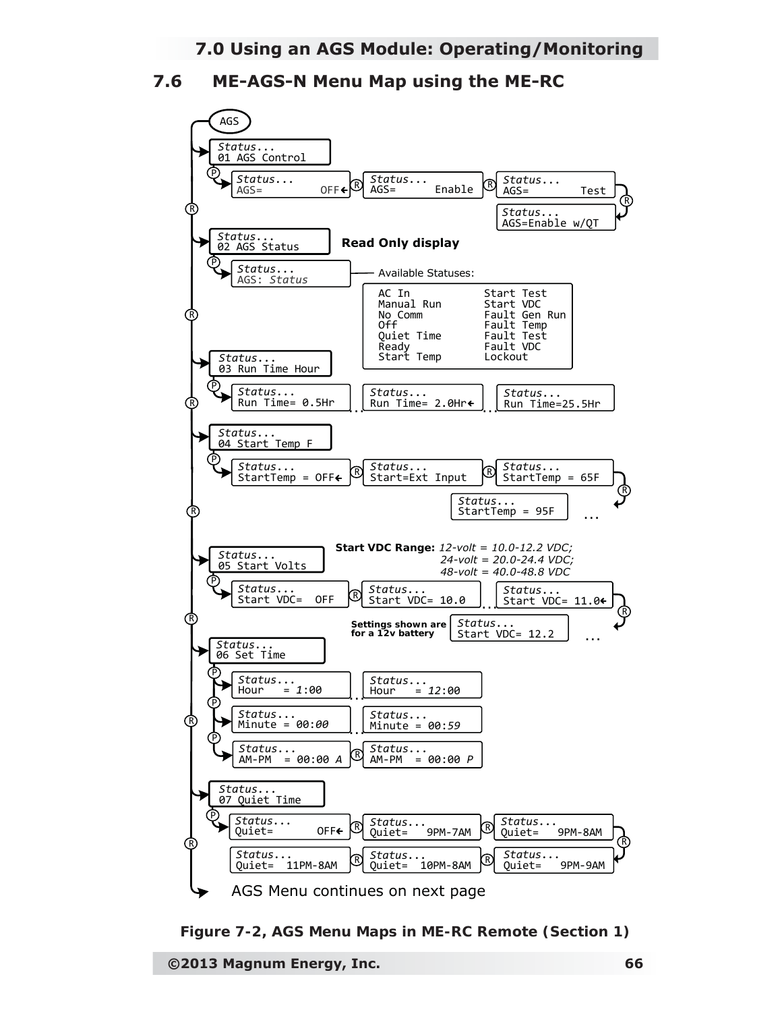**7.6 ME-AGS-N Menu Map using the ME-RC**



*Figure 7-2, AGS Menu Maps in ME-RC Remote (Section 1)*

**©2013 Magnum Energy, Inc. 66**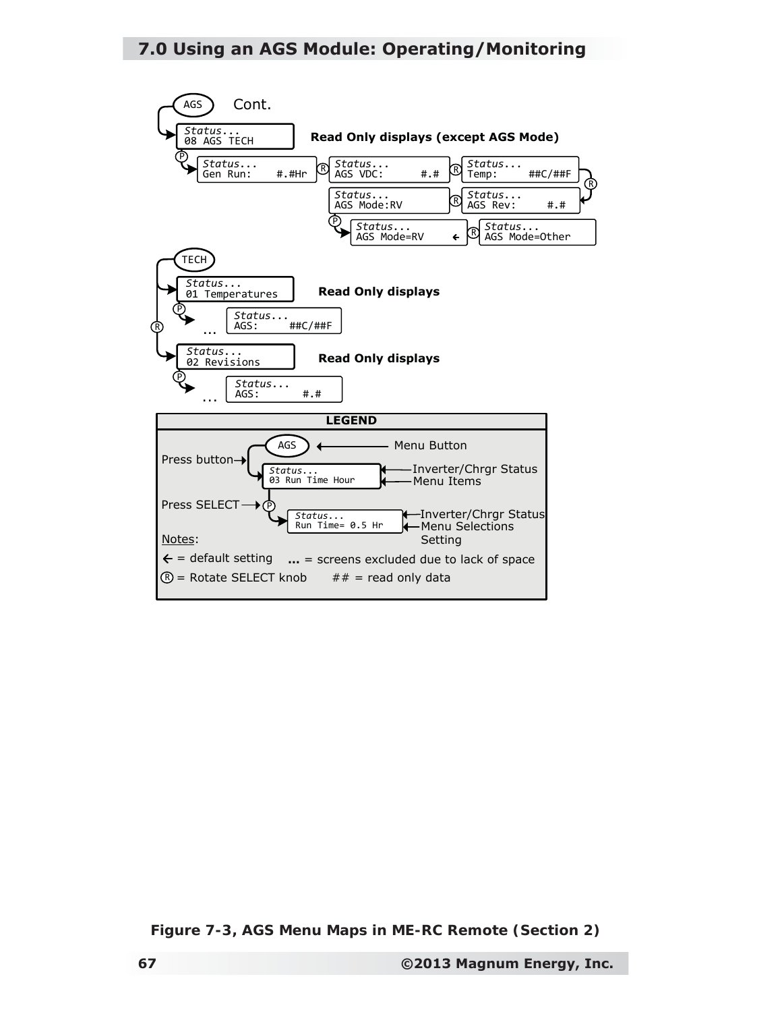### **7.0 Using an AGS Module: Operating/Monitoring**



*Figure 7-3, AGS Menu Maps in ME-RC Remote (Section 2)*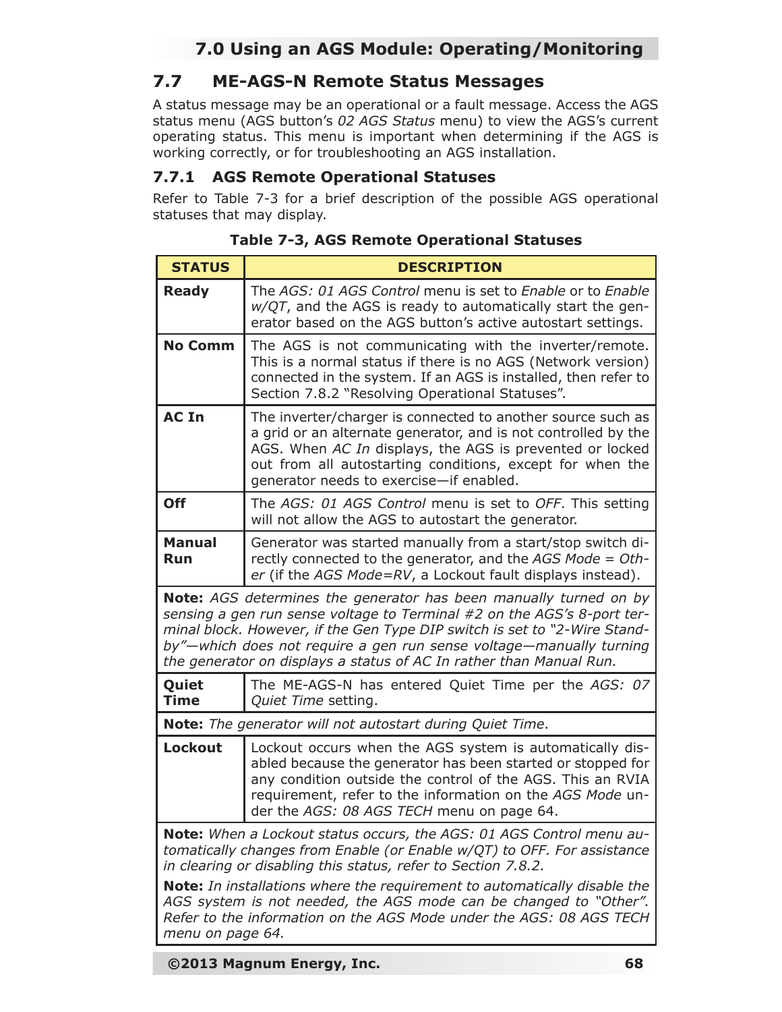## **7.0 Using an AGS Module: Operating/Monitoring**

### **7.7 ME-AGS-N Remote Status Messages**

A status message may be an operational or a fault message. Access the AGS status menu (AGS button's *02 AGS Status* menu) to view the AGS's current operating status. This menu is important when determining if the AGS is working correctly, or for troubleshooting an AGS installation.

#### **7.7.1 AGS Remote Operational Statuses**

Refer to Table 7-3 for a brief description of the possible AGS operational statuses that may display.

| <b>STATUS</b>                                                                                                                                                                                                                                                                                                                                                                  | <b>DESCRIPTION</b>                                                                                                                                                                                                                                                                                |  |
|--------------------------------------------------------------------------------------------------------------------------------------------------------------------------------------------------------------------------------------------------------------------------------------------------------------------------------------------------------------------------------|---------------------------------------------------------------------------------------------------------------------------------------------------------------------------------------------------------------------------------------------------------------------------------------------------|--|
| <b>Ready</b>                                                                                                                                                                                                                                                                                                                                                                   | The AGS: 01 AGS Control menu is set to Enable or to Enable<br>$w/QT$ , and the AGS is ready to automatically start the gen-<br>erator based on the AGS button's active autostart settings.                                                                                                        |  |
| <b>No Comm</b>                                                                                                                                                                                                                                                                                                                                                                 | The AGS is not communicating with the inverter/remote.<br>This is a normal status if there is no AGS (Network version)<br>connected in the system. If an AGS is installed, then refer to<br>Section 7.8.2 "Resolving Operational Statuses".                                                       |  |
| <b>AC In</b>                                                                                                                                                                                                                                                                                                                                                                   | The inverter/charger is connected to another source such as<br>a grid or an alternate generator, and is not controlled by the<br>AGS. When AC In displays, the AGS is prevented or locked<br>out from all autostarting conditions, except for when the<br>generator needs to exercise-if enabled. |  |
| <b>Off</b>                                                                                                                                                                                                                                                                                                                                                                     | The AGS: 01 AGS Control menu is set to OFF. This setting<br>will not allow the AGS to autostart the generator.                                                                                                                                                                                    |  |
| <b>Manual</b><br><b>Run</b>                                                                                                                                                                                                                                                                                                                                                    | Generator was started manually from a start/stop switch di-<br>rectly connected to the generator, and the AGS Mode = Oth-<br>er (if the AGS Mode=RV, a Lockout fault displays instead).                                                                                                           |  |
| <b>Note:</b> AGS determines the generator has been manually turned on by<br>sensing a gen run sense voltage to Terminal #2 on the AGS's 8-port ter-<br>minal block. However, if the Gen Type DIP switch is set to "2-Wire Stand-<br>by"—which does not require a gen run sense voltage—manually turning<br>the generator on displays a status of AC In rather than Manual Run. |                                                                                                                                                                                                                                                                                                   |  |
| Quiet<br><b>Time</b>                                                                                                                                                                                                                                                                                                                                                           | The ME-AGS-N has entered Quiet Time per the AGS: 07<br>Quiet Time setting.                                                                                                                                                                                                                        |  |
|                                                                                                                                                                                                                                                                                                                                                                                | Note: The generator will not autostart during Quiet Time.                                                                                                                                                                                                                                         |  |
| <b>Lockout</b>                                                                                                                                                                                                                                                                                                                                                                 | Lockout occurs when the AGS system is automatically dis-<br>abled because the generator has been started or stopped for<br>any condition outside the control of the AGS. This an RVIA<br>requirement, refer to the information on the AGS Mode un-<br>der the AGS: 08 AGS TECH menu on page 64.   |  |
| Note: When a Lockout status occurs, the AGS: 01 AGS Control menu au-<br>tomatically changes from Enable (or Enable w/QT) to OFF. For assistance<br>in clearing or disabling this status, refer to Section 7.8.2.                                                                                                                                                               |                                                                                                                                                                                                                                                                                                   |  |
| <b>Note:</b> In installations where the requirement to automatically disable the<br>AGS system is not needed, the AGS mode can be changed to "Other".<br>Refer to the information on the AGS Mode under the AGS: 08 AGS TECH<br>menu on page 64.                                                                                                                               |                                                                                                                                                                                                                                                                                                   |  |

**Table 7-3, AGS Remote Operational Statuses**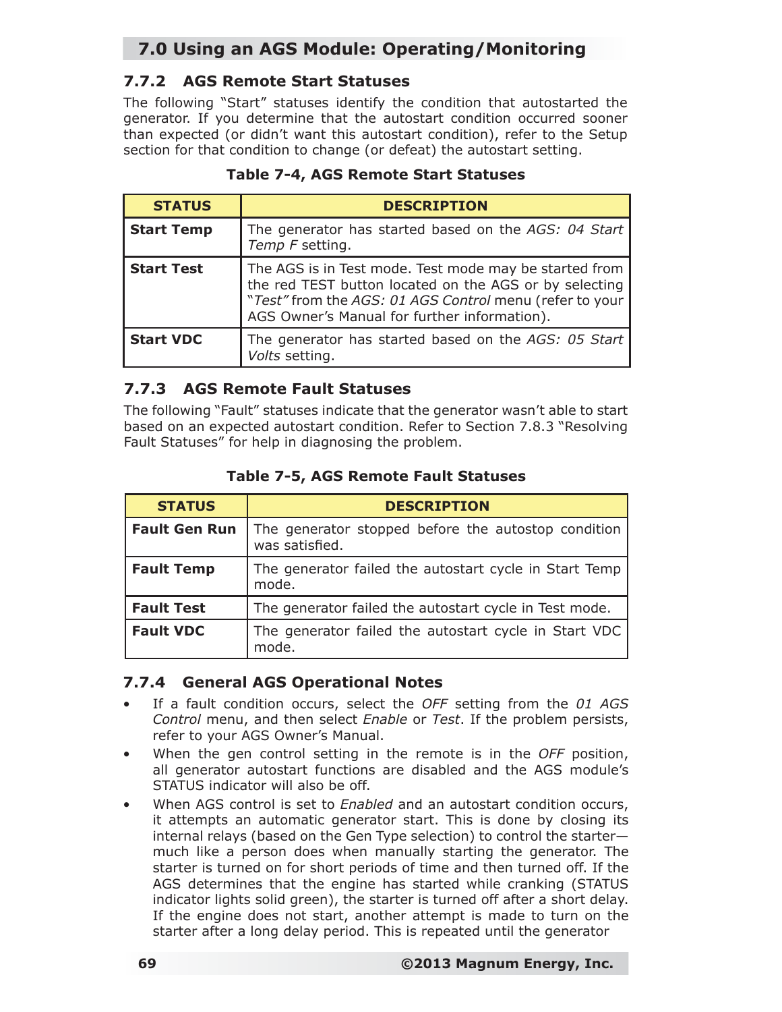# **7.0 Using an AGS Module: Operating/Monitoring**

### **7.7.2 AGS Remote Start Statuses**

The following "Start" statuses identify the condition that autostarted the generator. If you determine that the autostart condition occurred sooner than expected (or didn't want this autostart condition), refer to the Setup section for that condition to change (or defeat) the autostart setting.

| <b>STATUS</b>     | <b>DESCRIPTION</b>                                                                                                                                                                                                          |
|-------------------|-----------------------------------------------------------------------------------------------------------------------------------------------------------------------------------------------------------------------------|
| <b>Start Temp</b> | The generator has started based on the AGS: 04 Start<br>Temp F setting.                                                                                                                                                     |
| <b>Start Test</b> | The AGS is in Test mode. Test mode may be started from<br>the red TEST button located on the AGS or by selecting<br>"Test" from the AGS: 01 AGS Control menu (refer to your<br>AGS Owner's Manual for further information). |
| <b>Start VDC</b>  | The generator has started based on the AGS: 05 Start<br>Volts setting.                                                                                                                                                      |

#### **Table 7-4, AGS Remote Start Statuses**

### **7.7.3 AGS Remote Fault Statuses**

The following "Fault" statuses indicate that the generator wasn't able to start based on an expected autostart condition. Refer to Section 7.8.3 "Resolving Fault Statuses" for help in diagnosing the problem.

| <b>STATUS</b>        | <b>DESCRIPTION</b>                                                    |
|----------------------|-----------------------------------------------------------------------|
| <b>Fault Gen Run</b> | The generator stopped before the autostop condition<br>was satisfied. |
| <b>Fault Temp</b>    | The generator failed the autostart cycle in Start Temp<br>mode.       |
| <b>Fault Test</b>    | The generator failed the autostart cycle in Test mode.                |
| <b>Fault VDC</b>     | The generator failed the autostart cycle in Start VDC<br>mode.        |

#### **Table 7-5, AGS Remote Fault Statuses**

### **7.7.4 General AGS Operational Notes**

- If a fault condition occurs, select the *OFF* setting from the *01 AGS Control* menu, and then select *Enable* or *Test*. If the problem persists, refer to your AGS Owner's Manual.
- When the gen control setting in the remote is in the *OFF* position, all generator autostart functions are disabled and the AGS module's STATUS indicator will also be off.
- When AGS control is set to *Enabled* and an autostart condition occurs, it attempts an automatic generator start. This is done by closing its internal relays (based on the Gen Type selection) to control the starter much like a person does when manually starting the generator. The starter is turned on for short periods of time and then turned off. If the AGS determines that the engine has started while cranking (STATUS indicator lights solid green), the starter is turned off after a short delay. If the engine does not start, another attempt is made to turn on the starter after a long delay period. This is repeated until the generator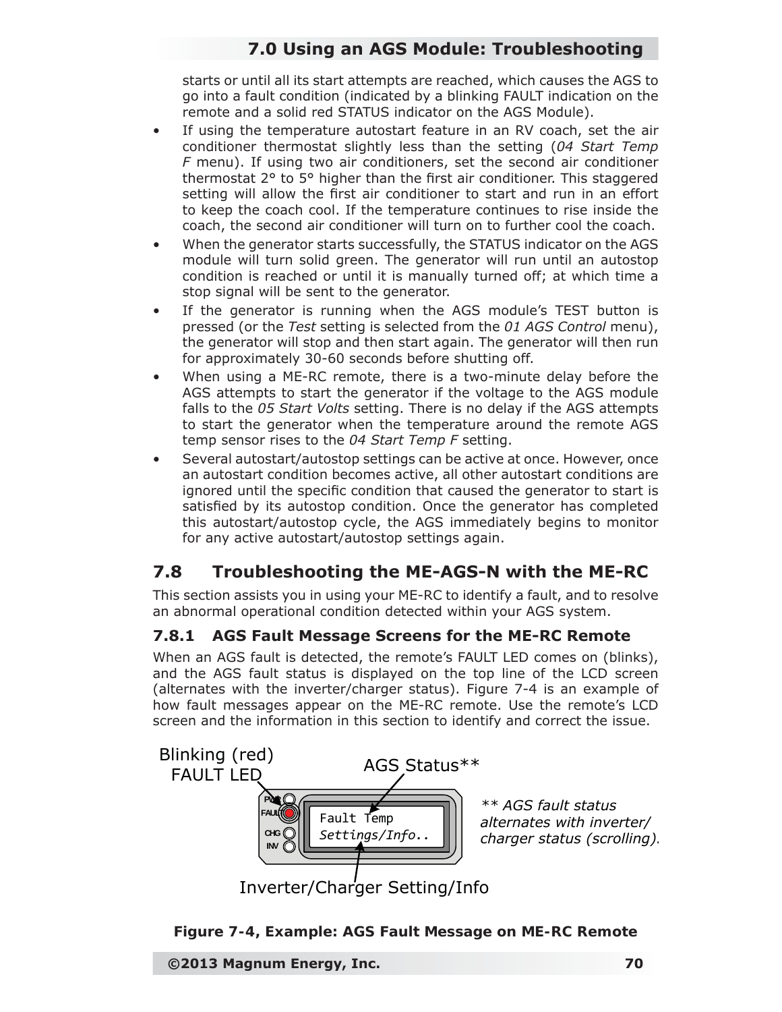# **7.0 Using an AGS Module: Troubleshooting**

starts or until all its start attempts are reached, which causes the AGS to go into a fault condition (indicated by a blinking FAULT indication on the remote and a solid red STATUS indicator on the AGS Module).

- If using the temperature autostart feature in an RV coach, set the air conditioner thermostat slightly less than the setting (*04 Start Temp F* menu). If using two air conditioners, set the second air conditioner thermostat  $2^{\circ}$  to  $5^{\circ}$  higher than the first air conditioner. This staggered setting will allow the first air conditioner to start and run in an effort to keep the coach cool. If the temperature continues to rise inside the coach, the second air conditioner will turn on to further cool the coach.
- When the generator starts successfully, the STATUS indicator on the AGS module will turn solid green. The generator will run until an autostop condition is reached or until it is manually turned off; at which time a stop signal will be sent to the generator.
- If the generator is running when the AGS module's TEST button is pressed (or the *Test* setting is selected from the *01 AGS Control* menu), the generator will stop and then start again. The generator will then run for approximately 30-60 seconds before shutting off.
- When using a ME-RC remote, there is a two-minute delay before the AGS attempts to start the generator if the voltage to the AGS module falls to the *05 Start Volts* setting. There is no delay if the AGS attempts to start the generator when the temperature around the remote AGS temp sensor rises to the *04 Start Temp F* setting.
- Several autostart/autostop settings can be active at once. However, once an autostart condition becomes active, all other autostart conditions are ignored until the specific condition that caused the generator to start is satisfied by its autostop condition. Once the generator has completed this autostart/autostop cycle, the AGS immediately begins to monitor for any active autostart/autostop settings again.

## **7.8 Troubleshooting the ME-AGS-N with the ME-RC**

This section assists you in using your ME-RC to identify a fault, and to resolve an abnormal operational condition detected within your AGS system.

### **7.8.1 AGS Fault Message Screens for the ME-RC Remote**

When an AGS fault is detected, the remote's FAULT LED comes on (blinks), and the AGS fault status is displayed on the top line of the LCD screen (alternates with the inverter/charger status). Figure 7-4 is an example of how fault messages appear on the ME-RC remote. Use the remote's LCD screen and the information in this section to identify and correct the issue.



*Figure 7-4, Example: AGS Fault Message on ME-RC Remote*

**©2013 Magnum Energy, Inc. 70**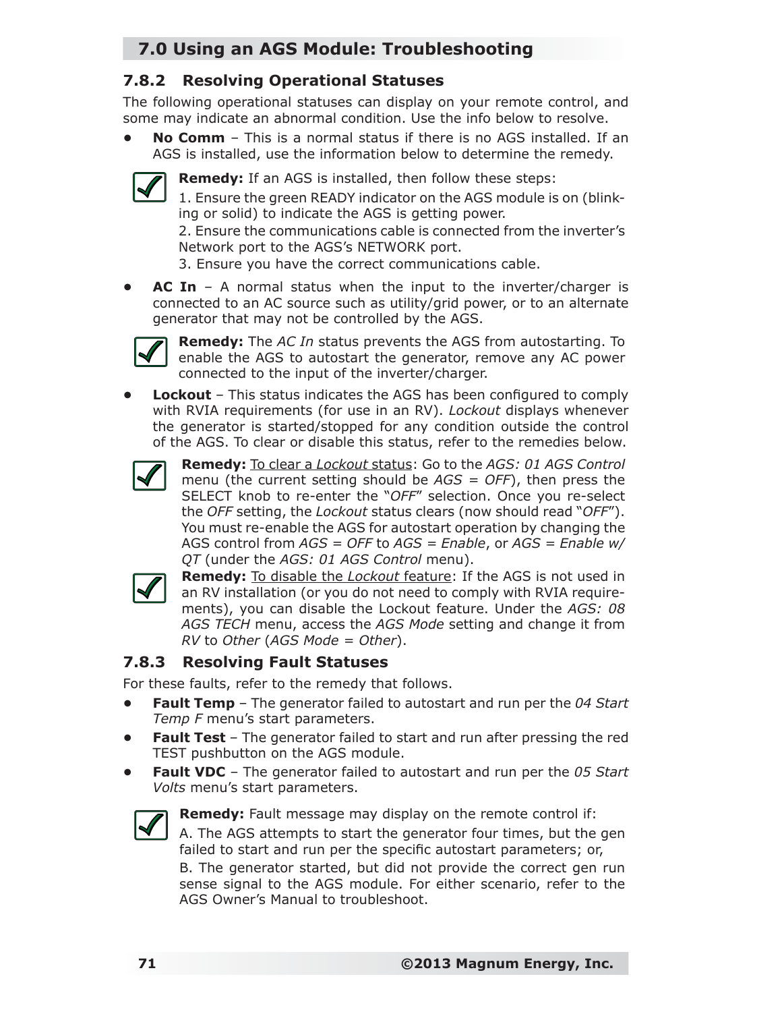# **7.0 Using an AGS Module: Troubleshooting**

### **7.8.2 Resolving Operational Statuses**

The following operational statuses can display on your remote control, and some may indicate an abnormal condition. Use the info below to resolve.

**• No Comm** – This is a normal status if there is no AGS installed. If an AGS is installed, use the information below to determine the remedy.



**Remedy:** If an AGS is installed, then follow these steps:

1. Ensure the green READY indicator on the AGS module is on (blinking or solid) to indicate the AGS is getting power.

2. Ensure the communications cable is connected from the inverter's Network port to the AGS's NETWORK port.

3. Ensure you have the correct communications cable.

**AC In** – A normal status when the input to the inverter/charger is connected to an AC source such as utility/grid power, or to an alternate generator that may not be controlled by the AGS.



**Remedy:** The *AC In* status prevents the AGS from autostarting. To enable the AGS to autostart the generator, remove any AC power connected to the input of the inverter/charger.

**Lockout** – This status indicates the AGS has been configured to comply with RVIA requirements (for use in an RV). *Lockout* displays whenever the generator is started/stopped for any condition outside the control of the AGS. To clear or disable this status, refer to the remedies below.



**Remedy:** To clear a *Lockout* status: Go to the *AGS: 01 AGS Control* menu (the current setting should be *AGS = OFF*), then press the SELECT knob to re-enter the "*OFF*" selection. Once you re-select the *OFF* setting, the *Lockout* status clears (now should read "*OFF*"). You must re-enable the AGS for autostart operation by changing the AGS control from *AGS = OFF* to *AGS = Enable*, or *AGS = Enable w/ QT* (under the *AGS: 01 AGS Control* menu).



**Remedy:** To disable the *Lockout* feature: If the AGS is not used in an RV installation (or you do not need to comply with RVIA requirements), you can disable the Lockout feature. Under the *AGS: 08 AGS TECH* menu, access the *AGS Mode* setting and change it from *RV* to *Other* (*AGS Mode = Other*).

### **7.8.3 Resolving Fault Statuses**

For these faults, refer to the remedy that follows.

- **Fault Temp** The generator failed to autostart and run per the *04 Start Temp F* menu's start parameters.
- **Fault Test** The generator failed to start and run after pressing the red TEST pushbutton on the AGS module.
- **Fault VDC** The generator failed to autostart and run per the *05 Start Volts* menu's start parameters.



**Remedy:** Fault message may display on the remote control if:

A. The AGS attempts to start the generator four times, but the gen failed to start and run per the specific autostart parameters; or,

B. The generator started, but did not provide the correct gen run sense signal to the AGS module. For either scenario, refer to the AGS Owner's Manual to troubleshoot.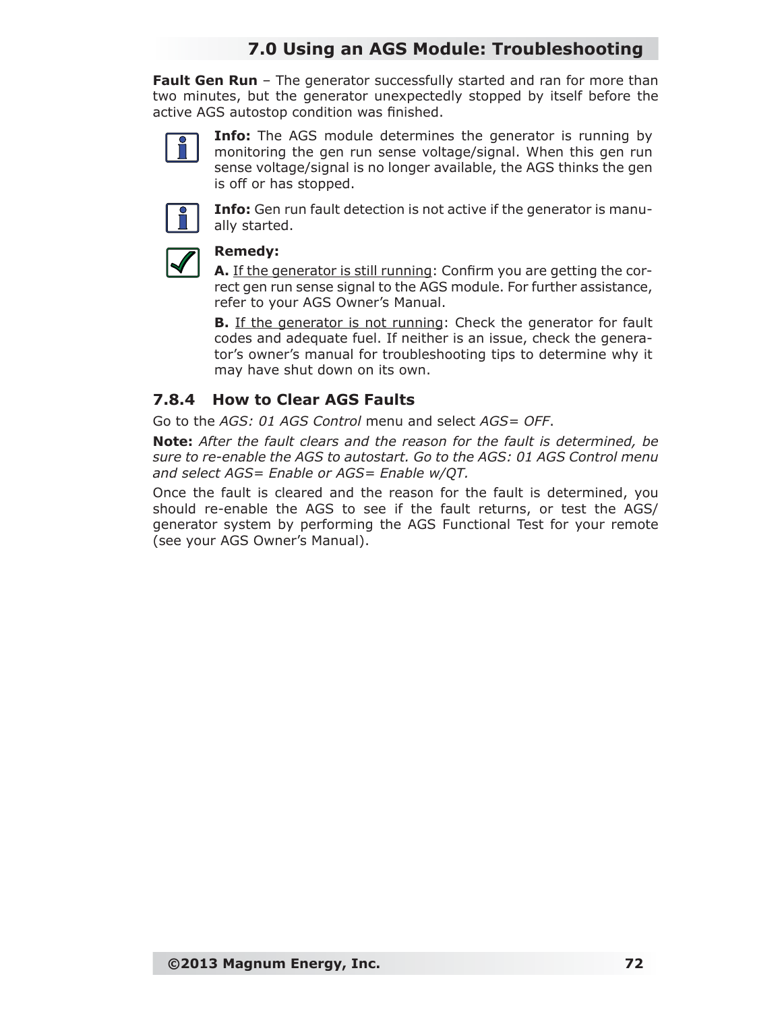### **7.0 Using an AGS Module: Troubleshooting**

**Fault Gen Run** – The generator successfully started and ran for more than two minutes, but the generator unexpectedly stopped by itself before the active AGS autostop condition was finished.



**Info:** The AGS module determines the generator is running by monitoring the gen run sense voltage/signal. When this gen run sense voltage/signal is no longer available, the AGS thinks the gen is off or has stopped.



**Info:** Gen run fault detection is not active if the generator is manually started.



#### **Remedy:**

**A.** If the generator is still running: Confirm you are getting the correct gen run sense signal to the AGS module. For further assistance, refer to your AGS Owner's Manual.

**B.** If the generator is not running: Check the generator for fault codes and adequate fuel. If neither is an issue, check the generator's owner's manual for troubleshooting tips to determine why it may have shut down on its own.

#### **7.8.4 How to Clear AGS Faults**

Go to the *AGS: 01 AGS Control* menu and select *AGS= OFF*.

*Note: After the fault clears and the reason for the fault is determined, be sure to re-enable the AGS to autostart. Go to the AGS: 01 AGS Control menu and select AGS= Enable or AGS= Enable w/QT.*

Once the fault is cleared and the reason for the fault is determined, you should re-enable the AGS to see if the fault returns, or test the AGS/ generator system by performing the AGS Functional Test for your remote (see your AGS Owner's Manual).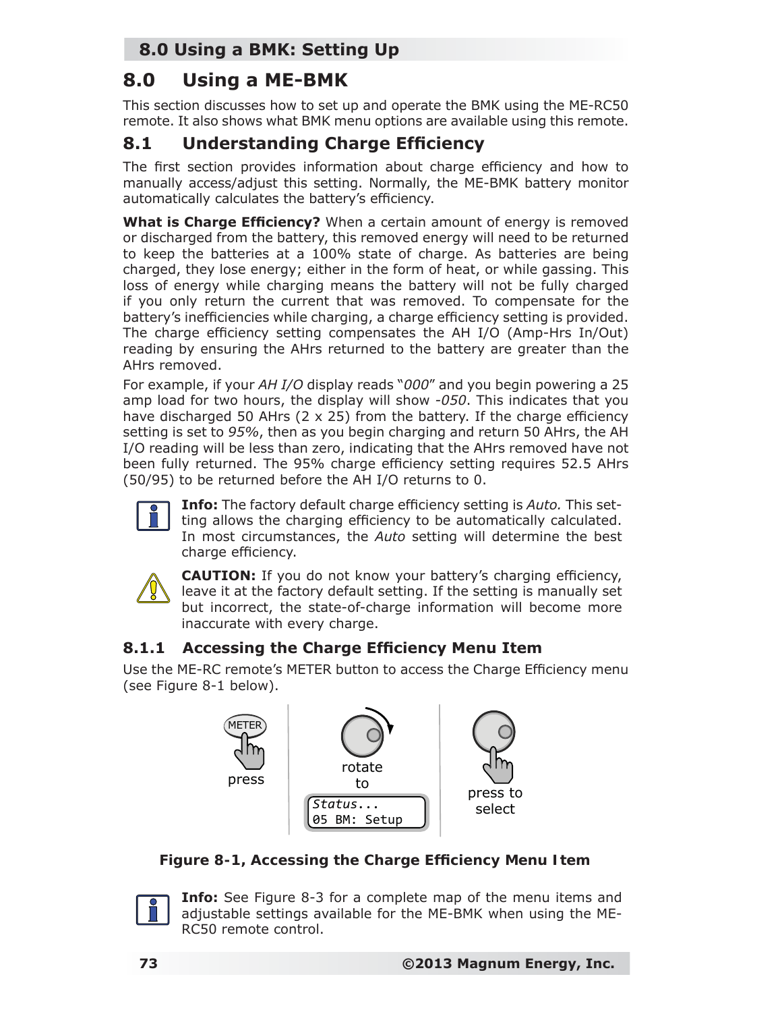# **8.0 Using a BMK: Setting Up**

# **8.0 Using a ME-BMK**

This section discusses how to set up and operate the BMK using the ME-RC50 remote. It also shows what BMK menu options are available using this remote.

# **8.1 Understanding Charge Efficiency**

The first section provides information about charge efficiency and how to manually access/adjust this setting. Normally, the ME-BMK battery monitor automatically calculates the battery's efficiency.

**What is Charge Efficiency?** When a certain amount of energy is removed or discharged from the battery, this removed energy will need to be returned to keep the batteries at a 100% state of charge. As batteries are being charged, they lose energy; either in the form of heat, or while gassing. This loss of energy while charging means the battery will not be fully charged if you only return the current that was removed. To compensate for the battery's inefficiencies while charging, a charge efficiency setting is provided. The charge efficiency setting compensates the AH I/O (Amp-Hrs In/Out) reading by ensuring the AHrs returned to the battery are greater than the AHrs removed.

For example, if your *AH I/O* display reads "*000*" and you begin powering a 25 amp load for two hours, the display will show *-050*. This indicates that you have discharged 50 AHrs ( $2 \times 25$ ) from the battery. If the charge efficiency setting is set to *95%*, then as you begin charging and return 50 AHrs, the AH I/O reading will be less than zero, indicating that the AHrs removed have not been fully returned. The 95% charge efficiency setting requires 52.5 AHrs (50/95) to be returned before the AH I/O returns to 0.



**Info:** The factory default charge efficiency setting is Auto. This setting allows the charging efficiency to be automatically calculated. In most circumstances, the *Auto* setting will determine the best charge efficiency.



**CAUTION:** If you do not know your battery's charging efficiency, leave it at the factory default setting. If the setting is manually set but incorrect, the state-of-charge information will become more inaccurate with every charge.

### **8.1.1 Accessing the Charge Efficiency Menu Item**

Use the ME-RC remote's METER button to access the Charge Efficiency menu (see Figure 8-1 below).



*Figure 8-1, Accessing the Charge Efficiency Menu Item* 



**Info:** See Figure 8-3 for a complete map of the menu items and adjustable settings available for the ME-BMK when using the ME-RC50 remote control.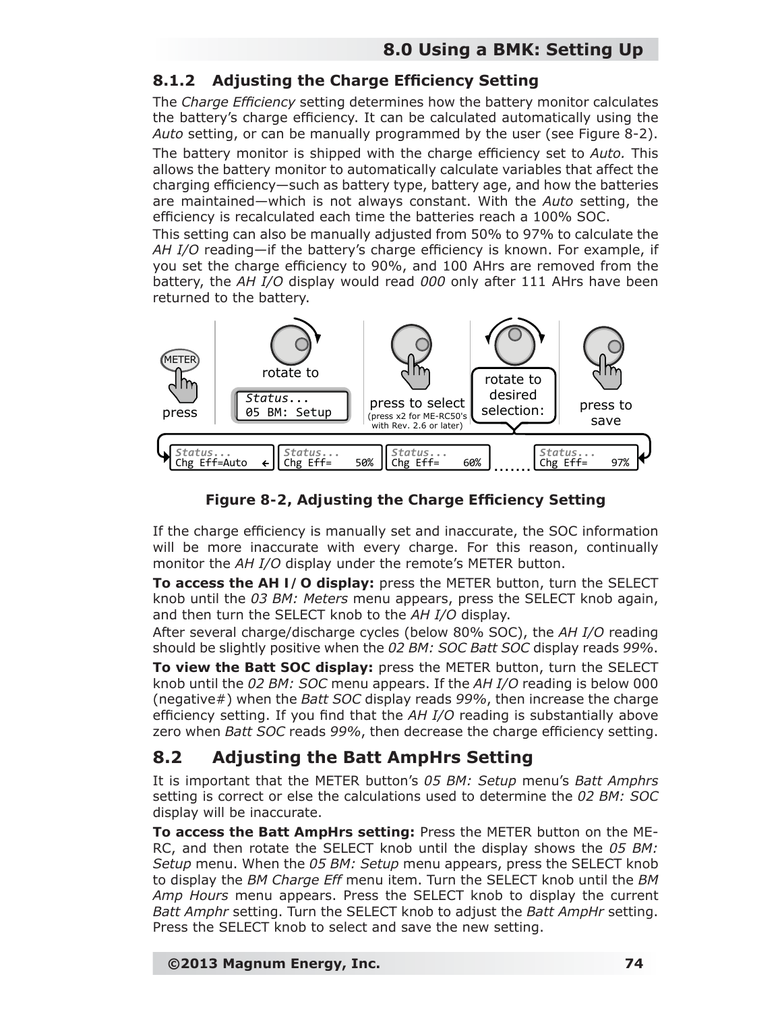### **8.1.2** Adjusting the Charge Efficiency Setting

The *Charge Efficiency* setting determines how the battery monitor calculates the battery's charge efficiency. It can be calculated automatically using the *Auto* setting, or can be manually programmed by the user (see Figure 8-2).

The battery monitor is shipped with the charge efficiency set to *Auto*. This allows the battery monitor to automatically calculate variables that affect the charging efficiency—such as battery type, battery age, and how the batteries are maintained—which is not always constant. With the *Auto* setting, the efficiency is recalculated each time the batteries reach a 100% SOC.

This setting can also be manually adjusted from 50% to 97% to calculate the AH I/O reading—if the battery's charge efficiency is known. For example, if you set the charge efficiency to 90%, and 100 AHrs are removed from the battery, the *AH I/O* display would read *000* only after 111 AHrs have been returned to the battery.



*Figure 8-2, Adjusting the Charge Efficiency Setting* 

If the charge efficiency is manually set and inaccurate, the SOC information will be more inaccurate with every charge. For this reason, continually monitor the *AH I/O* display under the remote's METER button.

**To access the** *AH I/O* **display:** press the METER button, turn the SELECT knob until the *03 BM: Meters* menu appears, press the SELECT knob again, and then turn the SELECT knob to the *AH I/O* display.

After several charge/discharge cycles (below 80% SOC), the *AH I/O* reading should be slightly positive when the *02 BM: SOC Batt SOC* display reads *99%*.

**To view the** *Batt SOC* **display:** press the METER button, turn the SELECT knob until the *02 BM: SOC* menu appears. If the *AH I/O* reading is below 000 (negative#) when the *Batt SOC* display reads *99%*, then increase the charge efficiency setting. If you find that the *AH I/O* reading is substantially above zero when *Batt SOC* reads 99%, then decrease the charge efficiency setting.

### **8.2 Adjusting the Batt AmpHrs Setting**

It is important that the METER button's *05 BM: Setup* menu's *Batt Amphrs* setting is correct or else the calculations used to determine the *02 BM: SOC* display will be inaccurate.

**To access the** *Batt AmpHrs* **setting:** Press the METER button on the ME-RC, and then rotate the SELECT knob until the display shows the *05 BM: Setup* menu. When the *05 BM: Setup* menu appears, press the SELECT knob to display the *BM Charge Eff* menu item. Turn the SELECT knob until the *BM Amp Hours* menu appears. Press the SELECT knob to display the current *Batt Amphr* setting. Turn the SELECT knob to adjust the *Batt AmpHr* setting. Press the SELECT knob to select and save the new setting.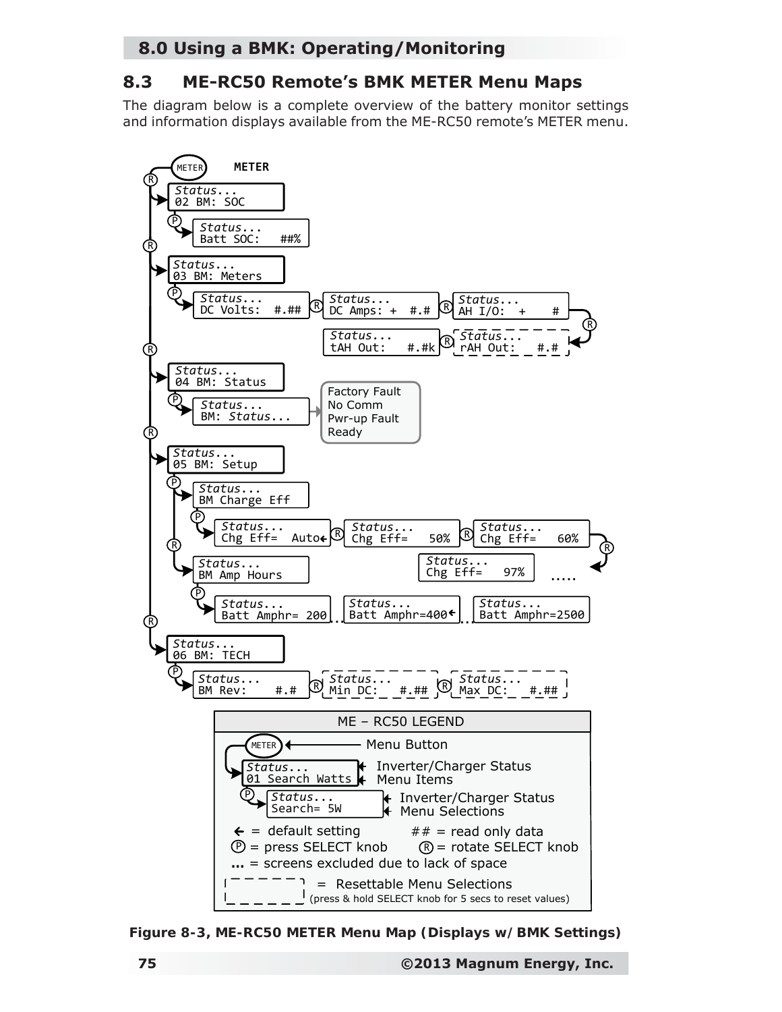### **8.0 Using a BMK: Operating/Monitoring**

### **8.3 ME-RC50 Remote's BMK METER Menu Maps**

The diagram below is a complete overview of the battery monitor settings and information displays available from the ME-RC50 remote's METER menu.



*Figure 8-3, ME-RC50 METER Menu Map (Displays w/BMK Settings)*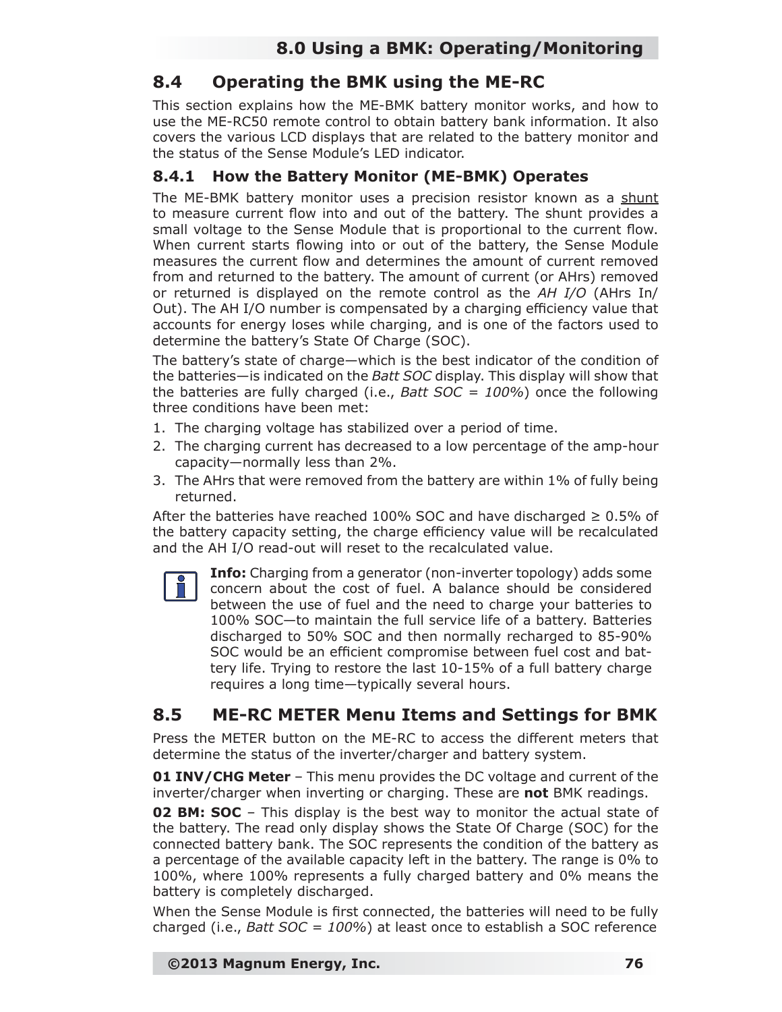### **8.4 Operating the BMK using the ME-RC**

This section explains how the ME-BMK battery monitor works, and how to use the ME-RC50 remote control to obtain battery bank information. It also covers the various LCD displays that are related to the battery monitor and the status of the Sense Module's LED indicator.

### **8.4.1 How the Battery Monitor (ME-BMK) Operates**

The ME-BMK battery monitor uses a precision resistor known as a shunt to measure current flow into and out of the battery. The shunt provides a small voltage to the Sense Module that is proportional to the current flow. When current starts flowing into or out of the battery, the Sense Module measures the current flow and determines the amount of current removed from and returned to the battery. The amount of current (or AHrs) removed or returned is displayed on the remote control as the *AH I/O* (AHrs In/ Out). The AH I/O number is compensated by a charging efficiency value that accounts for energy loses while charging, and is one of the factors used to determine the battery's State Of Charge (SOC).

The battery's state of charge—which is the best indicator of the condition of the batteries—is indicated on the *Batt SOC* display. This display will show that the batteries are fully charged (i.e., *Batt SOC = 100%*) once the following three conditions have been met:

- 1. The charging voltage has stabilized over a period of time.
- 2. The charging current has decreased to a low percentage of the amp-hour capacity—normally less than 2%.
- 3. The AHrs that were removed from the battery are within 1% of fully being returned.

After the batteries have reached 100% SOC and have discharged  $\geq 0.5\%$  of the battery capacity setting, the charge efficiency value will be recalculated and the AH I/O read-out will reset to the recalculated value.



**Info:** Charging from a generator (non-inverter topology) adds some concern about the cost of fuel. A balance should be considered between the use of fuel and the need to charge your batteries to 100% SOC—to maintain the full service life of a battery. Batteries discharged to 50% SOC and then normally recharged to 85-90% SOC would be an efficient compromise between fuel cost and battery life. Trying to restore the last 10-15% of a full battery charge requires a long time—typically several hours.

## **8.5 ME-RC METER Menu Items and Settings for BMK**

Press the METER button on the ME-RC to access the different meters that determine the status of the inverter/charger and battery system.

**01 INV/CHG Meter** – This menu provides the DC voltage and current of the inverter/charger when inverting or charging. These are **not** BMK readings.

**02 BM: SOC** – This display is the best way to monitor the actual state of the battery. The read only display shows the State Of Charge (SOC) for the connected battery bank. The SOC represents the condition of the battery as a percentage of the available capacity left in the battery. The range is 0% to 100%, where 100% represents a fully charged battery and 0% means the battery is completely discharged.

When the Sense Module is first connected, the batteries will need to be fully charged (i.e., *Batt SOC = 100%*) at least once to establish a SOC reference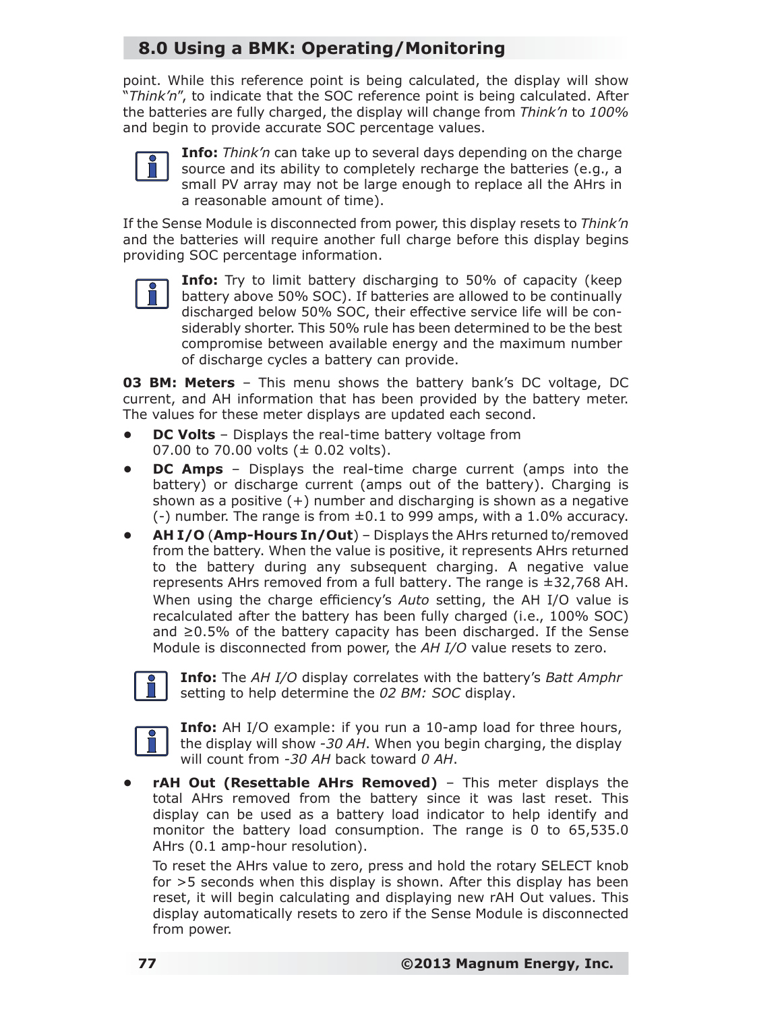# **8.0 Using a BMK: Operating/Monitoring**

point. While this reference point is being calculated, the display will show "*Think'n*", to indicate that the SOC reference point is being calculated. After the batteries are fully charged, the display will change from *Think'n* to *100%* and begin to provide accurate SOC percentage values.



**Info:** *Think'n* can take up to several days depending on the charge source and its ability to completely recharge the batteries (e.g., a small PV array may not be large enough to replace all the AHrs in a reasonable amount of time).

If the Sense Module is disconnected from power, this display resets to *Think'n* and the batteries will require another full charge before this display begins providing SOC percentage information.



**Info:** Try to limit battery discharging to 50% of capacity (keep battery above 50% SOC). If batteries are allowed to be continually discharged below 50% SOC, their effective service life will be considerably shorter. This 50% rule has been determined to be the best compromise between available energy and the maximum number of discharge cycles a battery can provide.

**03 BM: Meters** – This menu shows the battery bank's DC voltage, DC current, and AH information that has been provided by the battery meter. The values for these meter displays are updated each second.

- **DC Volts**  Displays the real-time battery voltage from 07.00 to 70.00 volts ( $\pm$  0.02 volts).
- **DC Amps**  Displays the real-time charge current (amps into the battery) or discharge current (amps out of the battery). Charging is shown as a positive  $(+)$  number and discharging is shown as a negative  $(-)$  number. The range is from  $\pm 0.1$  to 999 amps, with a 1.0% accuracy.
- **AH I/O** (**Amp-Hours In/Out**) Displays the AHrs returned to/removed from the battery. When the value is positive, it represents AHrs returned to the battery during any subsequent charging. A negative value represents AHrs removed from a full battery. The range is ±32,768 AH. When using the charge efficiency's *Auto* setting, the AH I/O value is recalculated after the battery has been fully charged (i.e., 100% SOC) and ≥0.5% of the battery capacity has been discharged. If the Sense Module is disconnected from power, the *AH I/O* value resets to zero.



**Info:** The *AH I/O* display correlates with the battery's *Batt Amphr* setting to help determine the *02 BM: SOC* display.



**Info:** AH I/O example: if you run a 10-amp load for three hours, the display will show *-30 AH*. When you begin charging, the display will count from *-30 AH* back toward *0 AH*.

**• rAH Out (Resettable AHrs Removed)** – This meter displays the total AHrs removed from the battery since it was last reset. This display can be used as a battery load indicator to help identify and monitor the battery load consumption. The range is 0 to 65,535.0 AHrs (0.1 amp-hour resolution).

To reset the AHrs value to zero, press and hold the rotary SELECT knob for >5 seconds when this display is shown. After this display has been reset, it will begin calculating and displaying new rAH Out values. This display automatically resets to zero if the Sense Module is disconnected from power.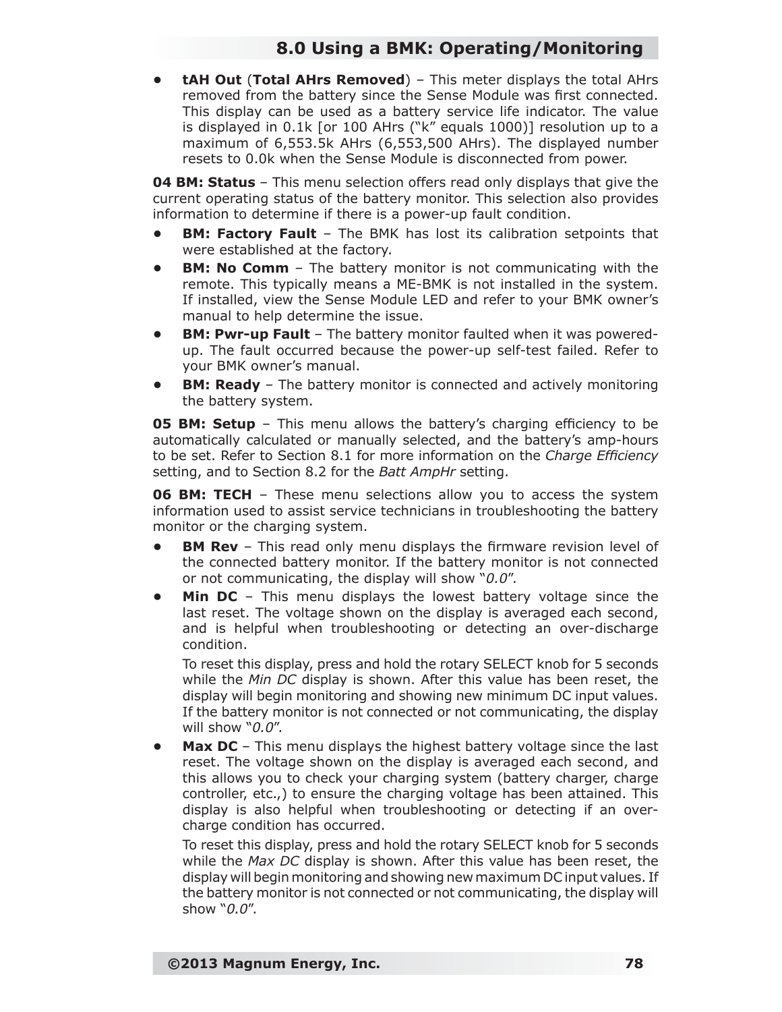### **8.0 Using a BMK: Operating/Monitoring**

**• tAH Out** (**Total AHrs Removed**) – This meter displays the total AHrs removed from the battery since the Sense Module was first connected. This display can be used as a battery service life indicator. The value is displayed in 0.1k [or 100 AHrs ("k" equals 1000)] resolution up to a maximum of 6,553.5k AHrs (6,553,500 AHrs). The displayed number resets to 0.0k when the Sense Module is disconnected from power.

**04 BM: Status** – This menu selection offers read only displays that give the current operating status of the battery monitor. This selection also provides information to determine if there is a power-up fault condition.

- **BM: Factory Fault** The BMK has lost its calibration setpoints that were established at the factory.
- **BM: No Comm**  The battery monitor is not communicating with the remote. This typically means a ME-BMK is not installed in the system. If installed, view the Sense Module LED and refer to your BMK owner's manual to help determine the issue.
- **BM: Pwr-up Fault** The battery monitor faulted when it was poweredup. The fault occurred because the power-up self-test failed. Refer to your BMK owner's manual.
- **BM: Ready**  The battery monitor is connected and actively monitoring the battery system.

**05 BM: Setup** – This menu allows the battery's charging efficiency to be automatically calculated or manually selected, and the battery's amp-hours to be set. Refer to Section 8.1 for more information on the *Charge Efficiency* setting, and to Section 8.2 for the *Batt AmpHr* setting.

**06 BM: TECH** – These menu selections allow you to access the system information used to assist service technicians in troubleshooting the battery monitor or the charging system.

- **BM Rev** This read only menu displays the firmware revision level of the connected battery monitor. If the battery monitor is not connected or not communicating, the display will show "*0.0*".
- **Min DC** This menu displays the lowest battery voltage since the last reset. The voltage shown on the display is averaged each second, and is helpful when troubleshooting or detecting an over-discharge condition.

To reset this display, press and hold the rotary SELECT knob for 5 seconds while the *Min DC* display is shown. After this value has been reset, the display will begin monitoring and showing new minimum DC input values. If the battery monitor is not connected or not communicating, the display will show "*0.0*".

**Max DC** – This menu displays the highest battery voltage since the last reset. The voltage shown on the display is averaged each second, and this allows you to check your charging system (battery charger, charge controller, etc.,) to ensure the charging voltage has been attained. This display is also helpful when troubleshooting or detecting if an overcharge condition has occurred.

To reset this display, press and hold the rotary SELECT knob for 5 seconds while the *Max DC* display is shown. After this value has been reset, the display will begin monitoring and showing new maximum DC input values. If the battery monitor is not connected or not communicating, the display will show "*0.0*".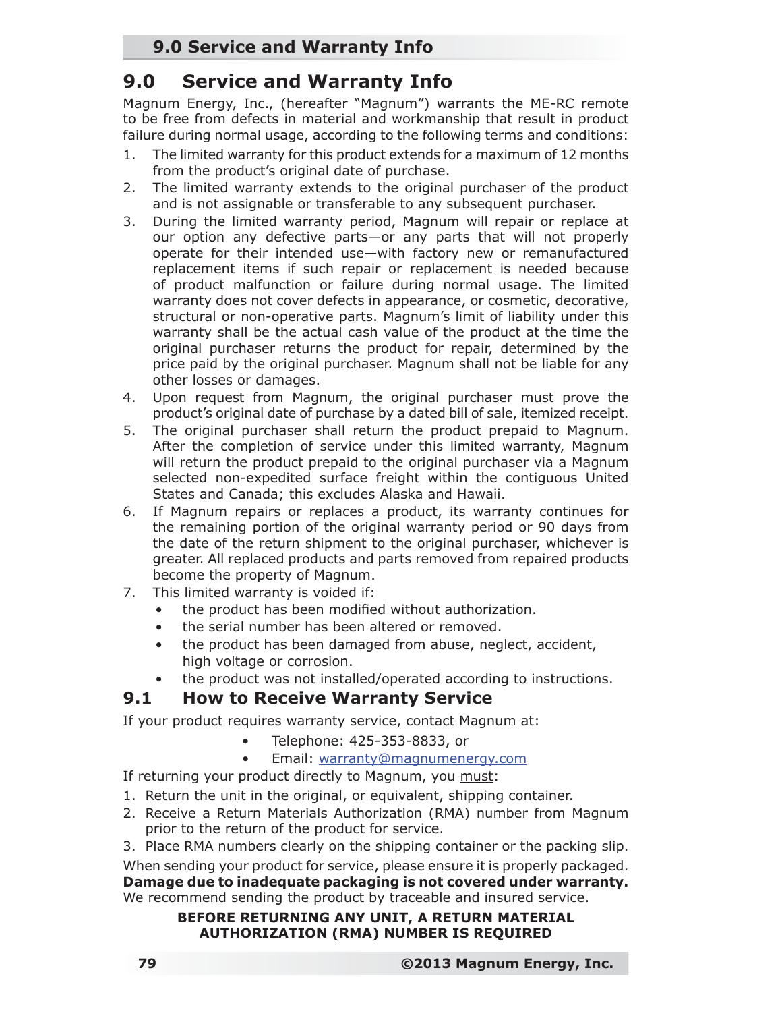# **9.0 Service and Warranty Info**

# **9.0 Service and Warranty Info**

Magnum Energy, Inc., (hereafter "Magnum") warrants the ME-RC remote to be free from defects in material and workmanship that result in product failure during normal usage, according to the following terms and conditions:

- 1. The limited warranty for this product extends for a maximum of 12 months from the product's original date of purchase.
- 2. The limited warranty extends to the original purchaser of the product and is not assignable or transferable to any subsequent purchaser.
- 3. During the limited warranty period, Magnum will repair or replace at our option any defective parts—or any parts that will not properly operate for their intended use—with factory new or remanufactured replacement items if such repair or replacement is needed because of product malfunction or failure during normal usage. The limited warranty does not cover defects in appearance, or cosmetic, decorative, structural or non-operative parts. Magnum's limit of liability under this warranty shall be the actual cash value of the product at the time the original purchaser returns the product for repair, determined by the price paid by the original purchaser. Magnum shall not be liable for any other losses or damages.
- 4. Upon request from Magnum, the original purchaser must prove the product's original date of purchase by a dated bill of sale, itemized receipt.
- 5. The original purchaser shall return the product prepaid to Magnum. After the completion of service under this limited warranty, Magnum will return the product prepaid to the original purchaser via a Magnum selected non-expedited surface freight within the contiguous United States and Canada; this excludes Alaska and Hawaii.
- 6. If Magnum repairs or replaces a product, its warranty continues for the remaining portion of the original warranty period or 90 days from the date of the return shipment to the original purchaser, whichever is greater. All replaced products and parts removed from repaired products become the property of Magnum.
- 7. This limited warranty is voided if:
	- the product has been modified without authorization.
	- the serial number has been altered or removed.
	- the product has been damaged from abuse, neglect, accident, high voltage or corrosion.
	- the product was not installed/operated according to instructions.

### **9.1 How to Receive Warranty Service**

If your product requires warranty service, contact Magnum at:

- Telephone: 425-353-8833, or
- Email: warranty@magnumenergy.com

If returning your product directly to Magnum, you must:

- 1. Return the unit in the original, or equivalent, shipping container.
- 2. Receive a Return Materials Authorization (RMA) number from Magnum prior to the return of the product for service.
- 3. Place RMA numbers clearly on the shipping container or the packing slip.

When sending your product for service, please ensure it is properly packaged. **Damage due to inadequate packaging is not covered under warranty.** We recommend sending the product by traceable and insured service.

#### **BEFORE RETURNING ANY UNIT, A RETURN MATERIAL AUTHORIZATION (RMA) NUMBER IS REQUIRED**